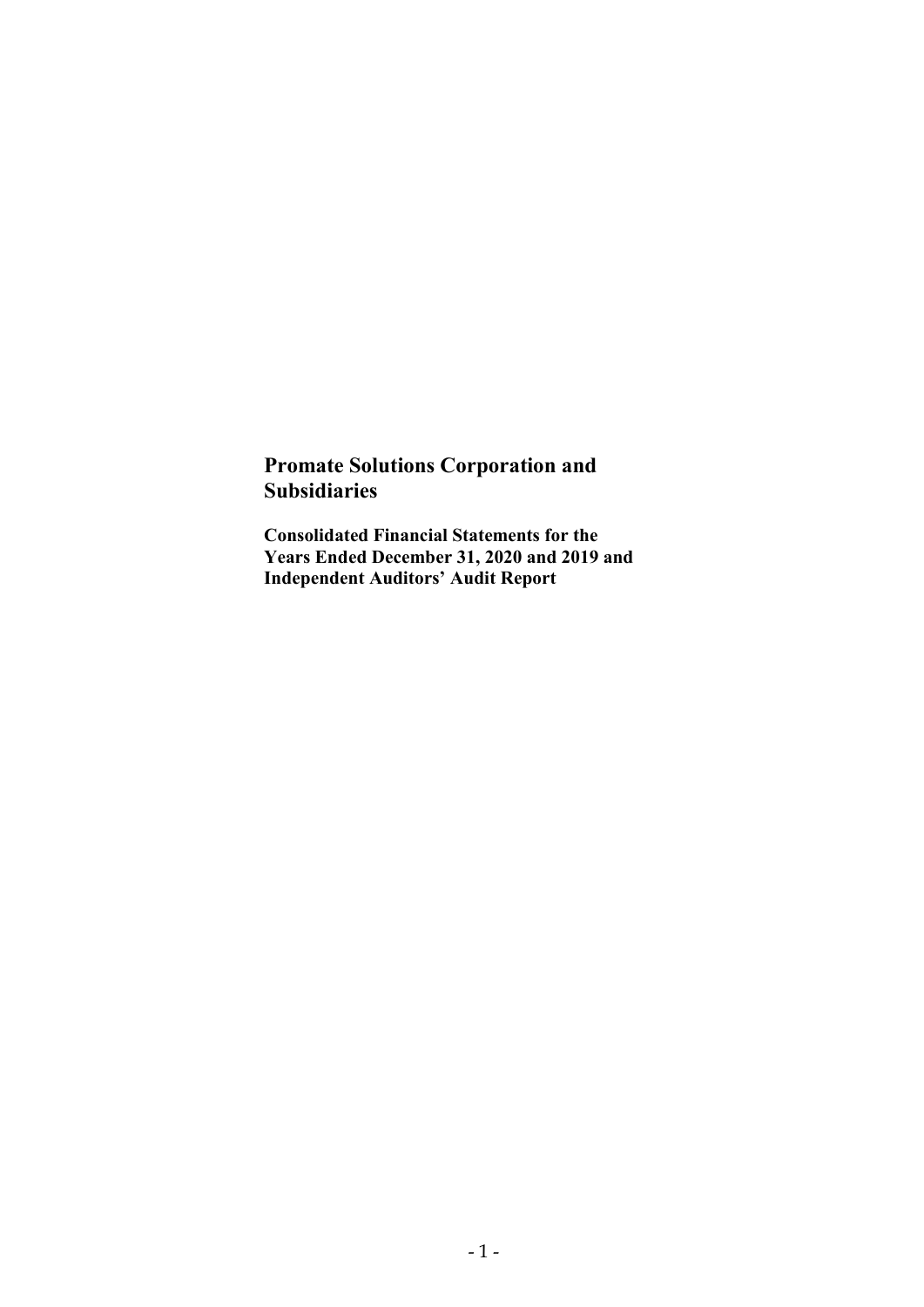# Promate Solutions Corporation and Subsidiaries

Consolidated Financial Statements for the Years Ended December 31, 2020 and 2019 and Independent Auditors' Audit Report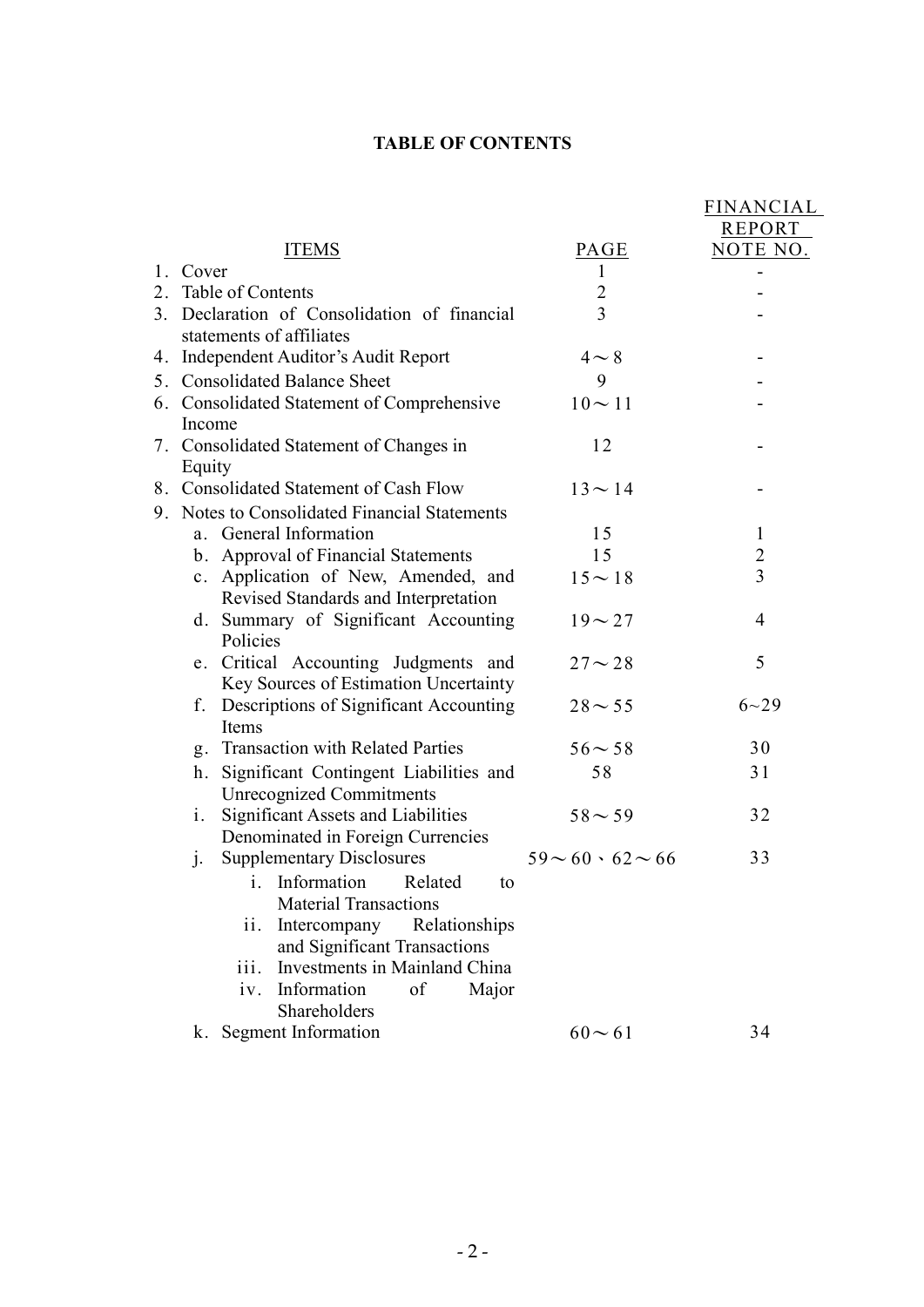# TABLE OF CONTENTS

|                                                                             |                               | FINANCIAL       |
|-----------------------------------------------------------------------------|-------------------------------|-----------------|
|                                                                             |                               | REPORT          |
| <b>ITEMS</b>                                                                | PAGE                          | <u>NOTE NO.</u> |
| 1. Cover                                                                    | 1                             |                 |
| 2. Table of Contents                                                        | $\overline{c}$                |                 |
| 3. Declaration of Consolidation of financial                                | $\overline{3}$                |                 |
| statements of affiliates                                                    |                               |                 |
| 4. Independent Auditor's Audit Report                                       | $4 \sim 8$                    |                 |
| 5. Consolidated Balance Sheet                                               | 9                             |                 |
| 6. Consolidated Statement of Comprehensive                                  | $10 \sim 11$                  |                 |
| Income                                                                      |                               |                 |
| 7. Consolidated Statement of Changes in                                     | 12                            |                 |
| Equity                                                                      |                               |                 |
| 8. Consolidated Statement of Cash Flow                                      | $13 \sim 14$                  |                 |
| 9. Notes to Consolidated Financial Statements                               |                               |                 |
| a. General Information                                                      | 15                            | $\mathbf{1}$    |
| b. Approval of Financial Statements                                         | 15                            | $\overline{2}$  |
| c. Application of New, Amended, and                                         | $15 \sim 18$                  | 3               |
| Revised Standards and Interpretation                                        |                               |                 |
| d. Summary of Significant Accounting                                        | $19 - 27$                     | $\overline{4}$  |
| Policies                                                                    |                               |                 |
| e. Critical Accounting Judgments and                                        | $27 - 28$                     | 5               |
| Key Sources of Estimation Uncertainty                                       |                               |                 |
| f. Descriptions of Significant Accounting<br>Items                          | $28 - 55$                     | $6 - 29$        |
| g. Transaction with Related Parties                                         | $56 - 58$                     | 30              |
|                                                                             |                               |                 |
| Significant Contingent Liabilities and<br>h.                                | 58                            | 31              |
| <b>Unrecognized Commitments</b><br>Significant Assets and Liabilities<br>1. | $58 - 59$                     | 32              |
| Denominated in Foreign Currencies                                           |                               |                 |
| <b>Supplementary Disclosures</b><br>1.                                      | $59 \sim 60 \cdot 62 \sim 66$ | 33              |
| i. Information<br>Related<br>to                                             |                               |                 |
| <b>Material Transactions</b>                                                |                               |                 |
| Relationships<br>Intercompany<br>ii.                                        |                               |                 |
| and Significant Transactions                                                |                               |                 |
| Investments in Mainland China<br>iii.                                       |                               |                 |
| Information<br>of<br>Major<br>iv.                                           |                               |                 |
| Shareholders                                                                |                               |                 |
| k. Segment Information                                                      | $60 - 61$                     | 34              |
|                                                                             |                               |                 |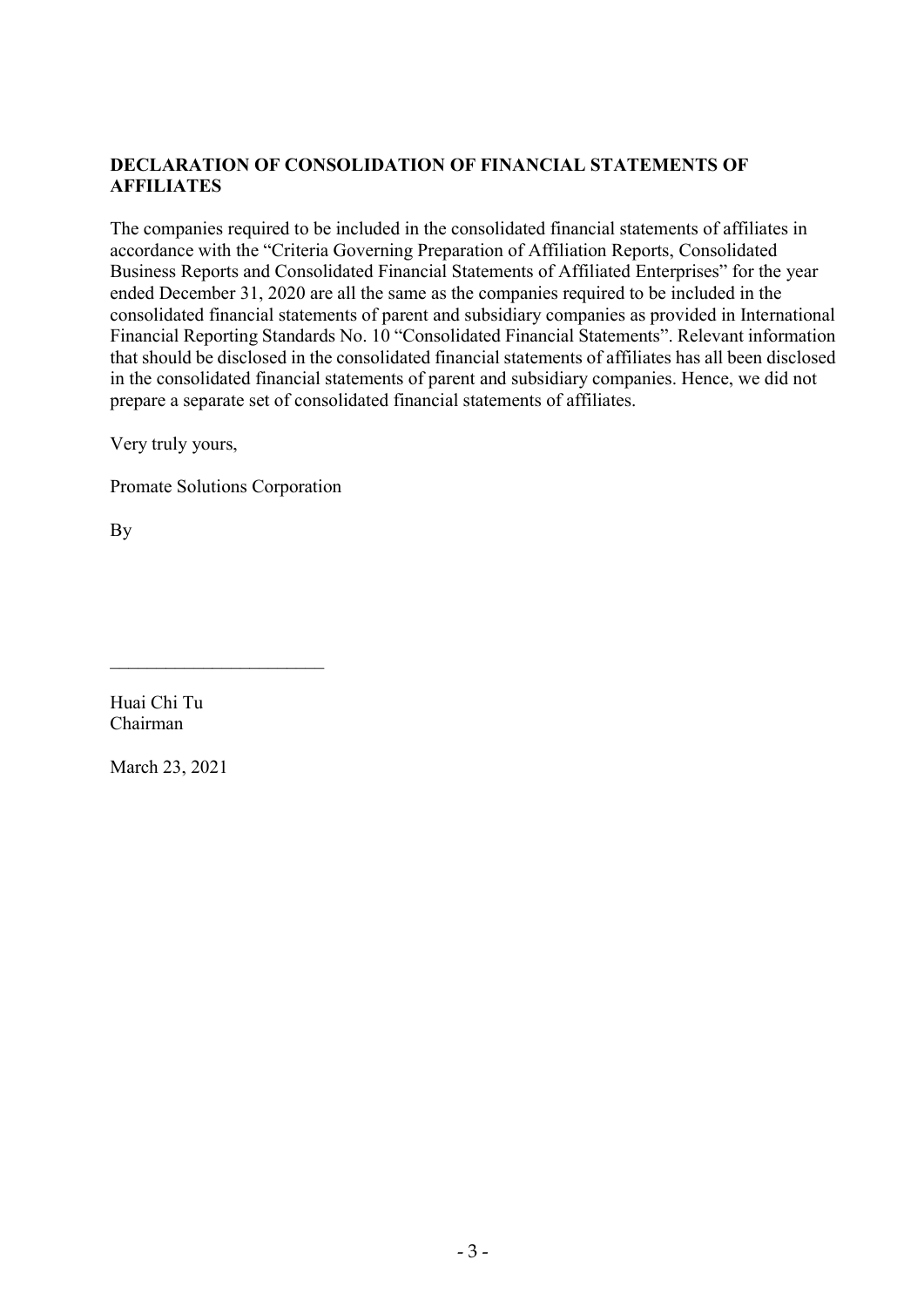# DECLARATION OF CONSOLIDATION OF FINANCIAL STATEMENTS OF **AFFILIATES**

The companies required to be included in the consolidated financial statements of affiliates in accordance with the "Criteria Governing Preparation of Affiliation Reports, Consolidated Business Reports and Consolidated Financial Statements of Affiliated Enterprises" for the year ended December 31, 2020 are all the same as the companies required to be included in the consolidated financial statements of parent and subsidiary companies as provided in International Financial Reporting Standards No. 10 "Consolidated Financial Statements". Relevant information that should be disclosed in the consolidated financial statements of affiliates has all been disclosed in the consolidated financial statements of parent and subsidiary companies. Hence, we did not prepare a separate set of consolidated financial statements of affiliates.

Very truly yours,

Promate Solutions Corporation

By

Huai Chi Tu Chairman

March 23, 2021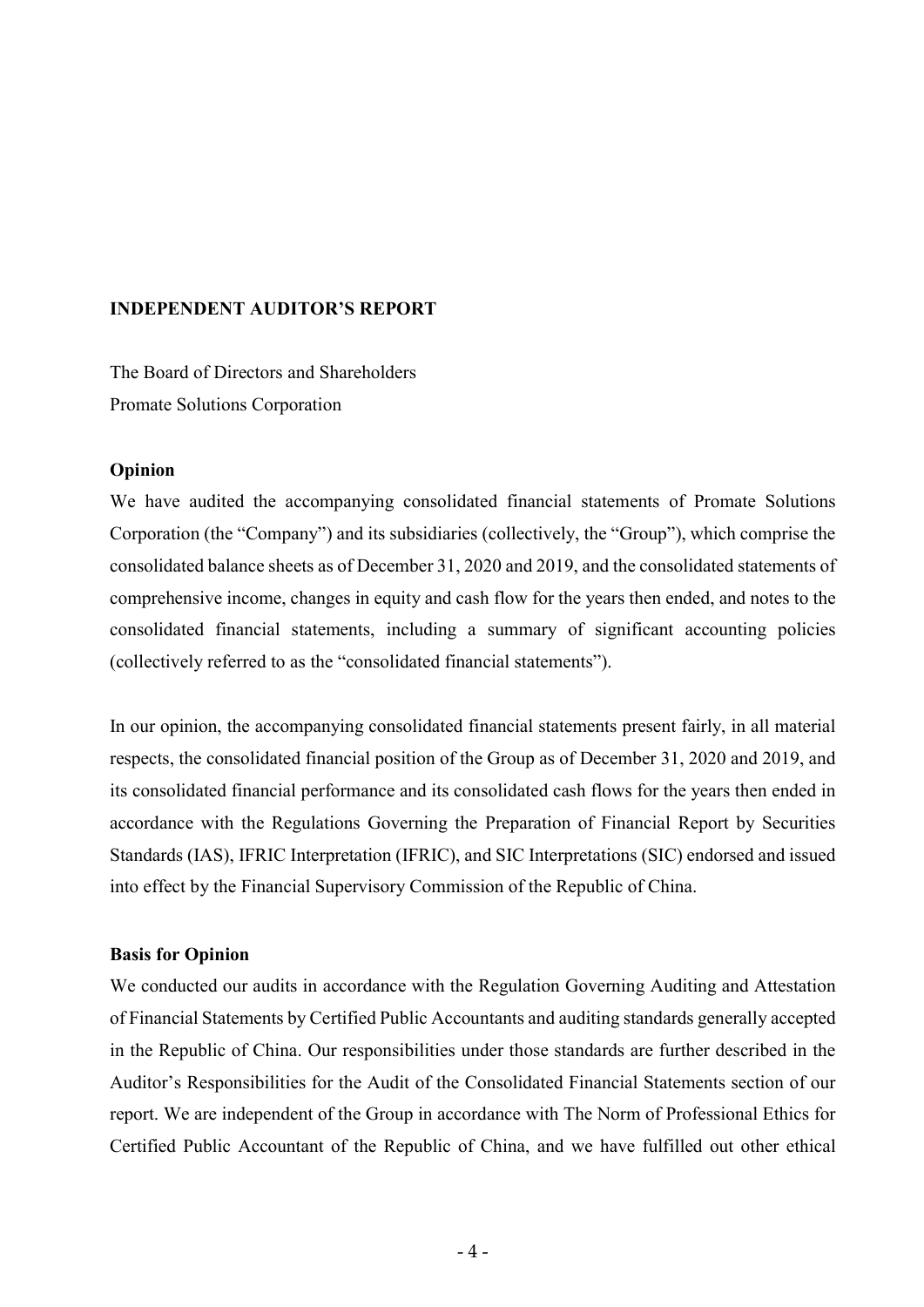#### INDEPENDENT AUDITOR'S REPORT

The Board of Directors and Shareholders Promate Solutions Corporation

#### **Opinion**

We have audited the accompanying consolidated financial statements of Promate Solutions Corporation (the "Company") and its subsidiaries (collectively, the "Group"), which comprise the consolidated balance sheets as of December 31, 2020 and 2019, and the consolidated statements of comprehensive income, changes in equity and cash flow for the years then ended, and notes to the consolidated financial statements, including a summary of significant accounting policies (collectively referred to as the "consolidated financial statements").

In our opinion, the accompanying consolidated financial statements present fairly, in all material respects, the consolidated financial position of the Group as of December 31, 2020 and 2019, and its consolidated financial performance and its consolidated cash flows for the years then ended in accordance with the Regulations Governing the Preparation of Financial Report by Securities Standards (IAS), IFRIC Interpretation (IFRIC), and SIC Interpretations (SIC) endorsed and issued into effect by the Financial Supervisory Commission of the Republic of China.

#### Basis for Opinion

We conducted our audits in accordance with the Regulation Governing Auditing and Attestation of Financial Statements by Certified Public Accountants and auditing standards generally accepted in the Republic of China. Our responsibilities under those standards are further described in the Auditor's Responsibilities for the Audit of the Consolidated Financial Statements section of our report. We are independent of the Group in accordance with The Norm of Professional Ethics for Certified Public Accountant of the Republic of China, and we have fulfilled out other ethical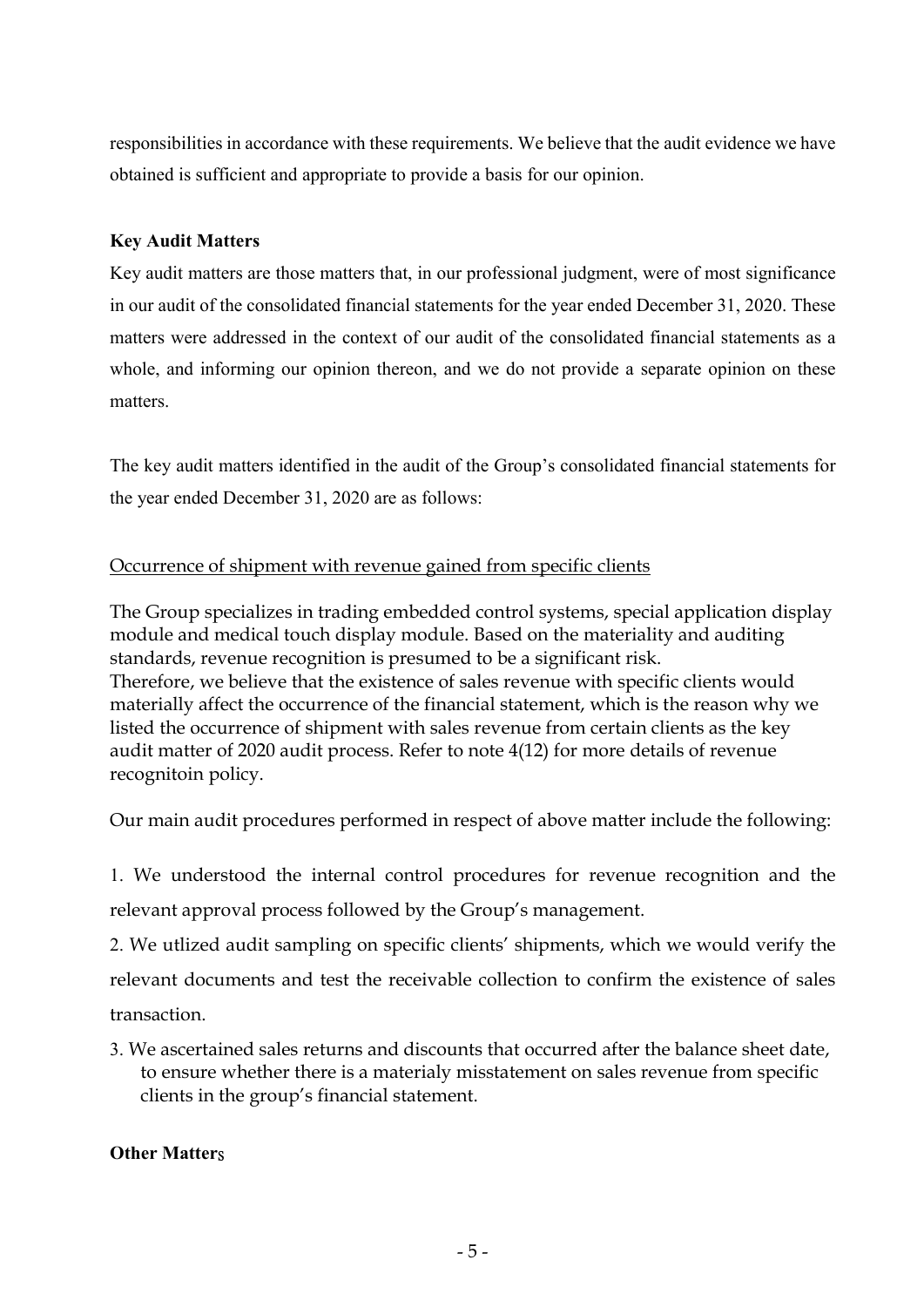responsibilities in accordance with these requirements. We believe that the audit evidence we have obtained is sufficient and appropriate to provide a basis for our opinion.

# Key Audit Matters

Key audit matters are those matters that, in our professional judgment, were of most significance in our audit of the consolidated financial statements for the year ended December 31, 2020. These matters were addressed in the context of our audit of the consolidated financial statements as a whole, and informing our opinion thereon, and we do not provide a separate opinion on these matters.

The key audit matters identified in the audit of the Group's consolidated financial statements for the year ended December 31, 2020 are as follows:

# Occurrence of shipment with revenue gained from specific clients

The Group specializes in trading embedded control systems, special application display module and medical touch display module. Based on the materiality and auditing standards, revenue recognition is presumed to be a significant risk. Therefore, we believe that the existence of sales revenue with specific clients would materially affect the occurrence of the financial statement, which is the reason why we listed the occurrence of shipment with sales revenue from certain clients as the key audit matter of 2020 audit process. Refer to note 4(12) for more details of revenue recognitoin policy.

Our main audit procedures performed in respect of above matter include the following:

1. We understood the internal control procedures for revenue recognition and the relevant approval process followed by the Group's management.

2. We utlized audit sampling on specific clients' shipments, which we would verify the relevant documents and test the receivable collection to confirm the existence of sales transaction.

3. We ascertained sales returns and discounts that occurred after the balance sheet date, to ensure whether there is a materialy misstatement on sales revenue from specific clients in the group's financial statement.

### Other Matters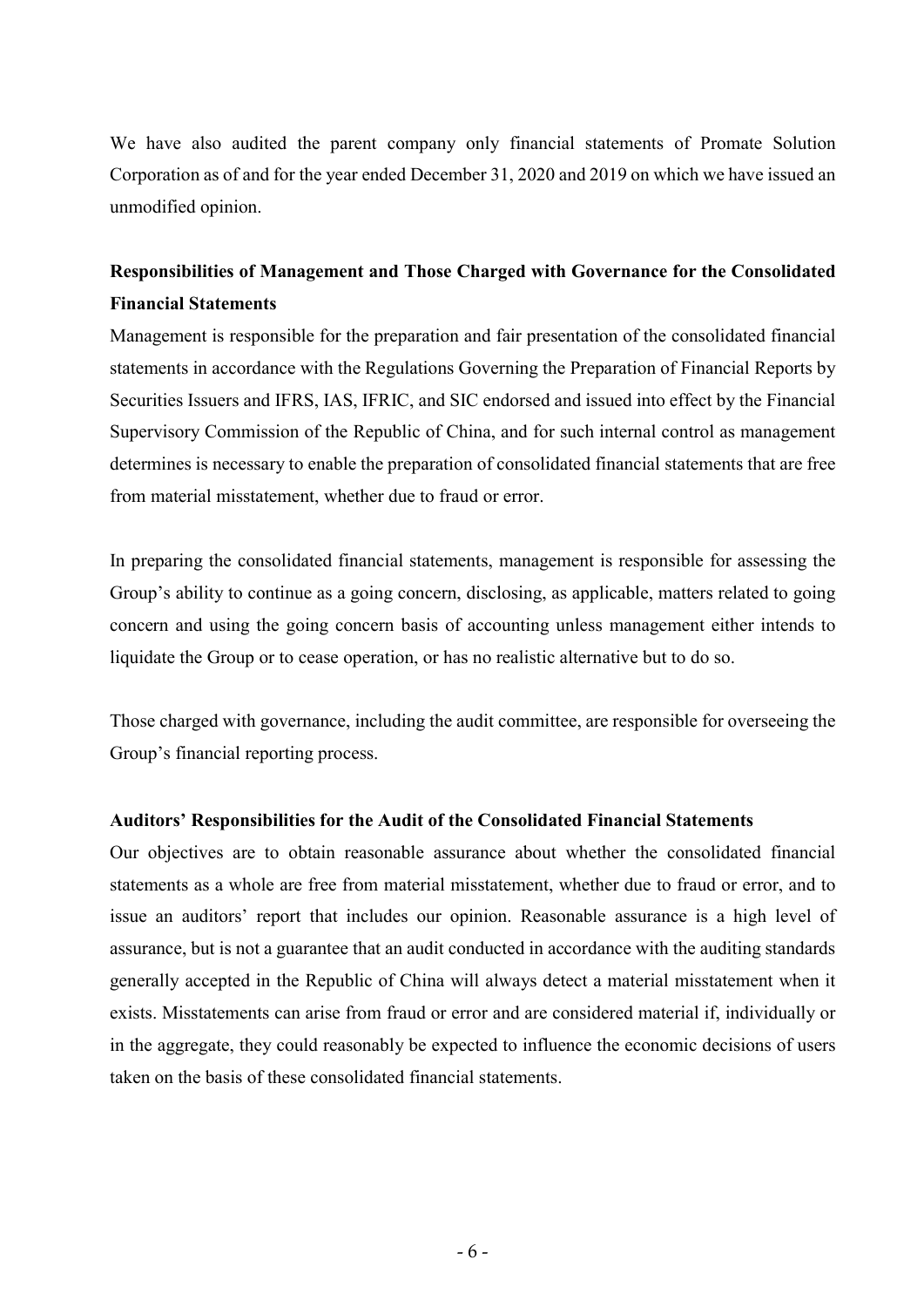We have also audited the parent company only financial statements of Promate Solution Corporation as of and for the year ended December 31, 2020 and 2019 on which we have issued an unmodified opinion.

# Responsibilities of Management and Those Charged with Governance for the Consolidated Financial Statements

Management is responsible for the preparation and fair presentation of the consolidated financial statements in accordance with the Regulations Governing the Preparation of Financial Reports by Securities Issuers and IFRS, IAS, IFRIC, and SIC endorsed and issued into effect by the Financial Supervisory Commission of the Republic of China, and for such internal control as management determines is necessary to enable the preparation of consolidated financial statements that are free from material misstatement, whether due to fraud or error.

In preparing the consolidated financial statements, management is responsible for assessing the Group's ability to continue as a going concern, disclosing, as applicable, matters related to going concern and using the going concern basis of accounting unless management either intends to liquidate the Group or to cease operation, or has no realistic alternative but to do so.

Those charged with governance, including the audit committee, are responsible for overseeing the Group's financial reporting process.

#### Auditors' Responsibilities for the Audit of the Consolidated Financial Statements

Our objectives are to obtain reasonable assurance about whether the consolidated financial statements as a whole are free from material misstatement, whether due to fraud or error, and to issue an auditors' report that includes our opinion. Reasonable assurance is a high level of assurance, but is not a guarantee that an audit conducted in accordance with the auditing standards generally accepted in the Republic of China will always detect a material misstatement when it exists. Misstatements can arise from fraud or error and are considered material if, individually or in the aggregate, they could reasonably be expected to influence the economic decisions of users taken on the basis of these consolidated financial statements.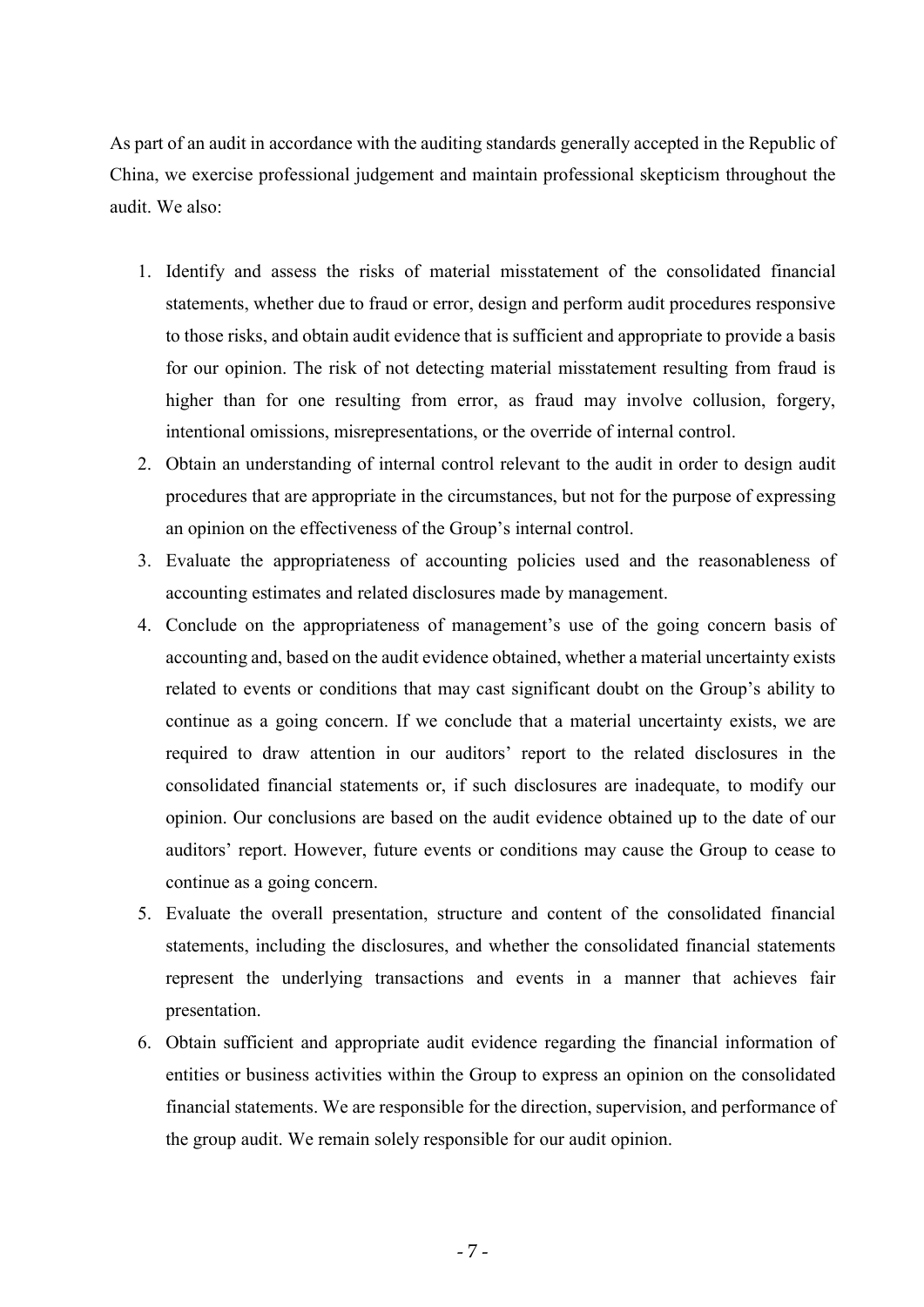As part of an audit in accordance with the auditing standards generally accepted in the Republic of China, we exercise professional judgement and maintain professional skepticism throughout the audit. We also:

- 1. Identify and assess the risks of material misstatement of the consolidated financial statements, whether due to fraud or error, design and perform audit procedures responsive to those risks, and obtain audit evidence that is sufficient and appropriate to provide a basis for our opinion. The risk of not detecting material misstatement resulting from fraud is higher than for one resulting from error, as fraud may involve collusion, forgery, intentional omissions, misrepresentations, or the override of internal control.
- 2. Obtain an understanding of internal control relevant to the audit in order to design audit procedures that are appropriate in the circumstances, but not for the purpose of expressing an opinion on the effectiveness of the Group's internal control.
- 3. Evaluate the appropriateness of accounting policies used and the reasonableness of accounting estimates and related disclosures made by management.
- 4. Conclude on the appropriateness of management's use of the going concern basis of accounting and, based on the audit evidence obtained, whether a material uncertainty exists related to events or conditions that may cast significant doubt on the Group's ability to continue as a going concern. If we conclude that a material uncertainty exists, we are required to draw attention in our auditors' report to the related disclosures in the consolidated financial statements or, if such disclosures are inadequate, to modify our opinion. Our conclusions are based on the audit evidence obtained up to the date of our auditors' report. However, future events or conditions may cause the Group to cease to continue as a going concern.
- 5. Evaluate the overall presentation, structure and content of the consolidated financial statements, including the disclosures, and whether the consolidated financial statements represent the underlying transactions and events in a manner that achieves fair presentation.
- 6. Obtain sufficient and appropriate audit evidence regarding the financial information of entities or business activities within the Group to express an opinion on the consolidated financial statements. We are responsible for the direction, supervision, and performance of the group audit. We remain solely responsible for our audit opinion.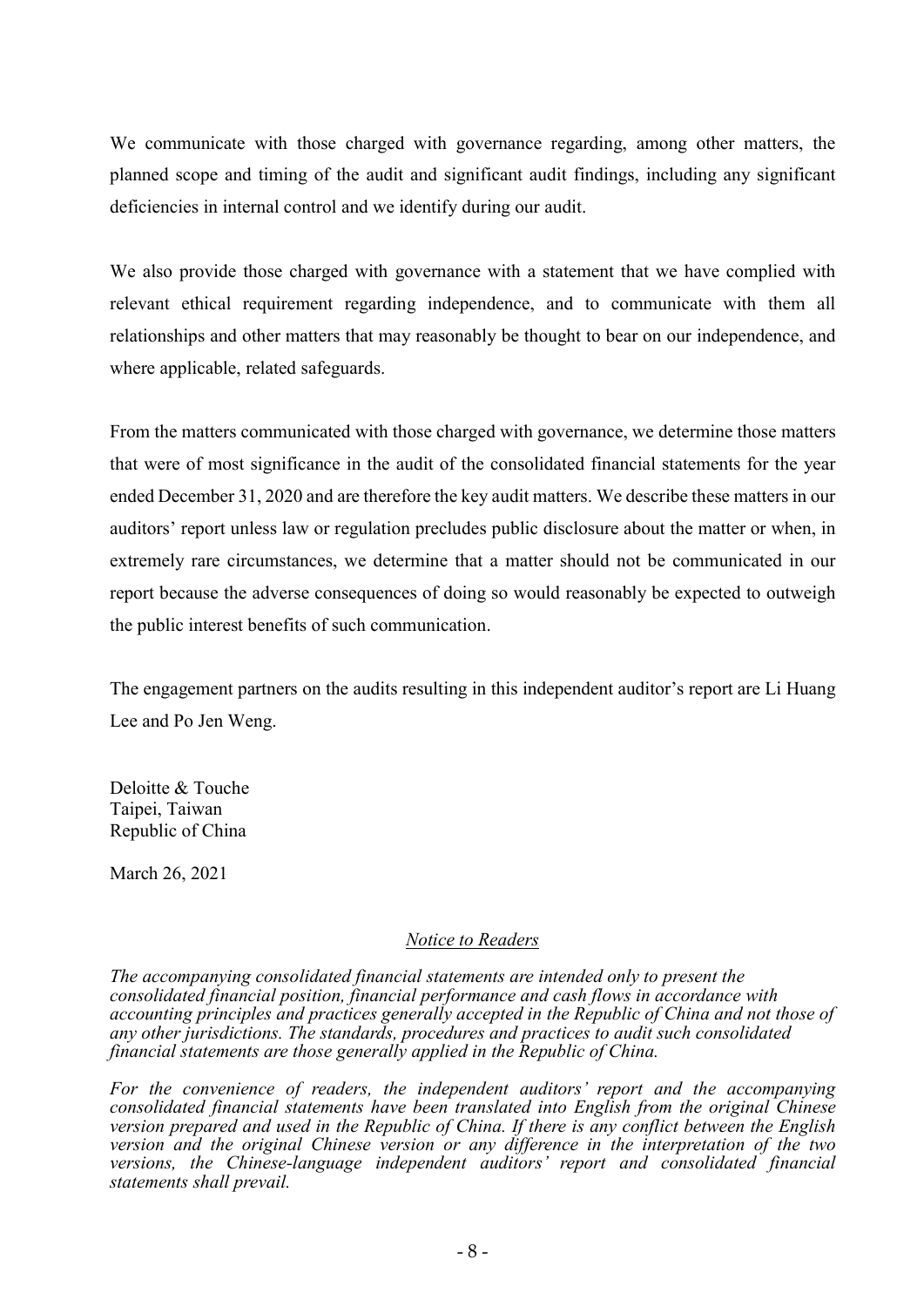We communicate with those charged with governance regarding, among other matters, the planned scope and timing of the audit and significant audit findings, including any significant deficiencies in internal control and we identify during our audit.

We also provide those charged with governance with a statement that we have complied with relevant ethical requirement regarding independence, and to communicate with them all relationships and other matters that may reasonably be thought to bear on our independence, and where applicable, related safeguards.

From the matters communicated with those charged with governance, we determine those matters that were of most significance in the audit of the consolidated financial statements for the year ended December 31, 2020 and are therefore the key audit matters. We describe these matters in our auditors' report unless law or regulation precludes public disclosure about the matter or when, in extremely rare circumstances, we determine that a matter should not be communicated in our report because the adverse consequences of doing so would reasonably be expected to outweigh the public interest benefits of such communication.

The engagement partners on the audits resulting in this independent auditor's report are Li Huang Lee and Po Jen Weng.

Deloitte & Touche Taipei, Taiwan Republic of China

March 26, 2021

#### Notice to Readers

The accompanying consolidated financial statements are intended only to present the consolidated financial position, financial performance and cash flows in accordance with accounting principles and practices generally accepted in the Republic of China and not those of any other jurisdictions. The standards, procedures and practices to audit such consolidated financial statements are those generally applied in the Republic of China.

For the convenience of readers, the independent auditors' report and the accompanying consolidated financial statements have been translated into English from the original Chinese version prepared and used in the Republic of China. If there is any conflict between the English version and the original Chinese version or any difference in the interpretation of the two versions, the Chinese-language independent auditors' report and consolidated financial statements shall prevail.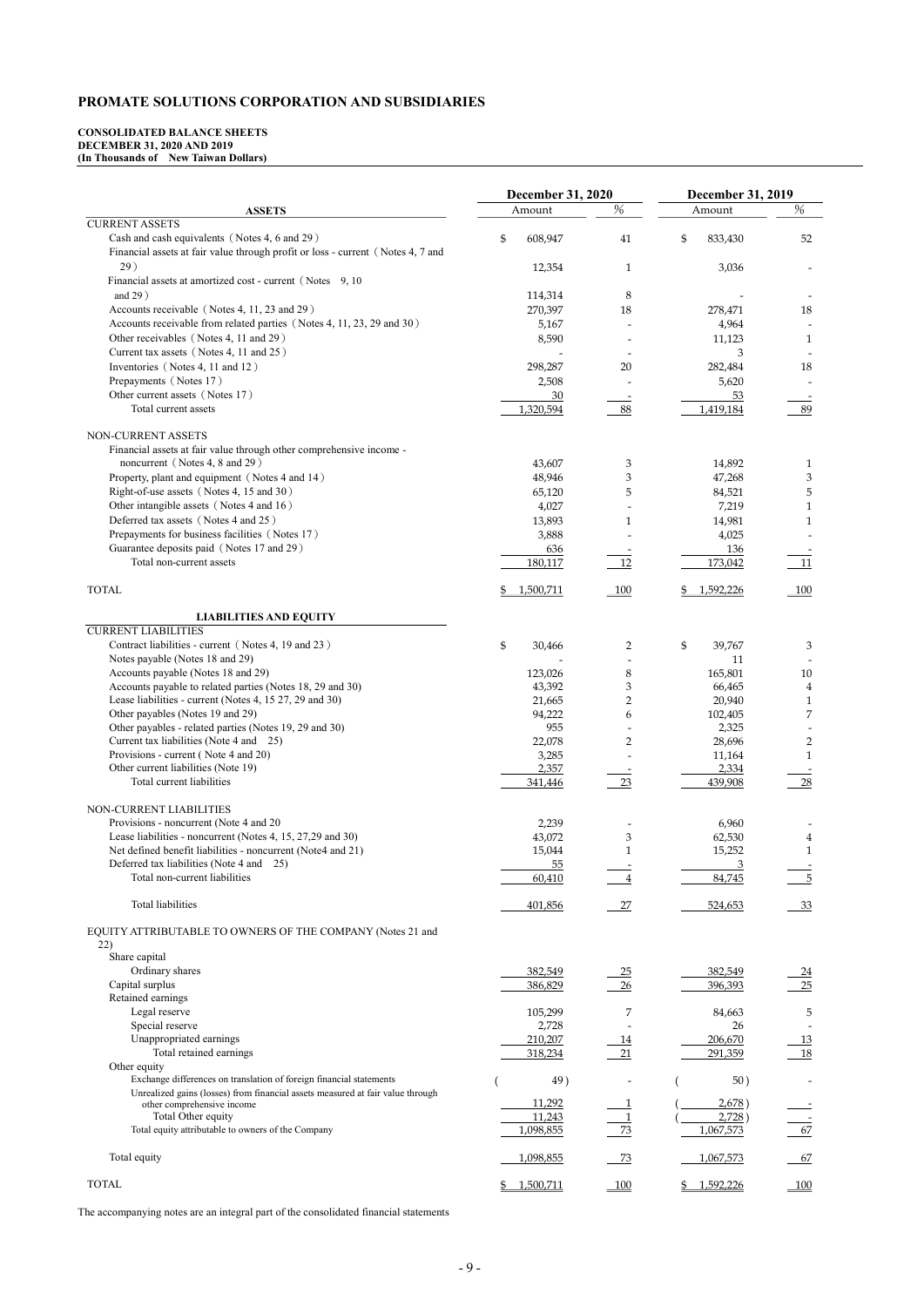# PROMATE SOLUTIONS CORPORATION AND SUBSIDIARIES

#### CONSOLIDATED BALANCE SHEETS DECEMBER 31, 2020 AND 2019 (In Thousands of New Taiwan Dollars)

|                                                                                                              | <b>December 31, 2020</b> |                          | <b>December 31, 2019</b> |                      |
|--------------------------------------------------------------------------------------------------------------|--------------------------|--------------------------|--------------------------|----------------------|
| <b>ASSETS</b>                                                                                                | Amount                   | %                        | Amount                   | %                    |
| <b>CURRENT ASSETS</b>                                                                                        |                          |                          |                          |                      |
| Cash and cash equivalents (Notes 4, 6 and 29)                                                                | \$<br>608,947            | 41                       | \$<br>833,430            | 52                   |
| Financial assets at fair value through profit or loss - current (Notes 4, 7 and<br>29)                       |                          |                          | 3,036                    |                      |
| Financial assets at amortized cost - current (Notes 9, 10)                                                   | 12,354                   | 1                        |                          |                      |
| and $29)$                                                                                                    | 114,314                  | 8                        |                          |                      |
| Accounts receivable (Notes 4, 11, 23 and 29)                                                                 | 270,397                  | 18                       | 278,471                  | 18                   |
| Accounts receivable from related parties (Notes 4, 11, 23, 29 and 30)                                        | 5,167                    |                          | 4,964                    |                      |
| Other receivables (Notes 4, 11 and 29)                                                                       | 8,590                    |                          | 11,123                   | $\mathbf{1}$         |
| Current tax assets (Notes 4, 11 and 25)                                                                      |                          |                          | 3                        |                      |
| Inventories (Notes 4, 11 and 12)                                                                             | 298,287                  | 20                       | 282,484                  | 18                   |
| Prepayments (Notes 17)                                                                                       | 2,508                    |                          | 5,620                    |                      |
| Other current assets (Notes 17)                                                                              | 30                       |                          | 53                       |                      |
| Total current assets                                                                                         | 1,320,594                | 88                       | 1,419,184                | 89                   |
| NON-CURRENT ASSETS                                                                                           |                          |                          |                          |                      |
| Financial assets at fair value through other comprehensive income -                                          |                          |                          |                          |                      |
| noncurrent (Notes 4, 8 and 29)                                                                               | 43,607                   | 3                        | 14,892                   | $\mathbf{1}$         |
| Property, plant and equipment (Notes 4 and 14)                                                               | 48,946                   | 3                        | 47,268                   | 3                    |
| Right-of-use assets (Notes 4, 15 and 30)                                                                     | 65,120                   | 5                        | 84,521                   | 5                    |
| Other intangible assets (Notes 4 and 16)                                                                     | 4,027                    |                          | 7,219                    |                      |
| Deferred tax assets (Notes 4 and 25)                                                                         | 13,893                   | 1                        | 14,981                   | 1                    |
| Prepayments for business facilities (Notes 17)                                                               | 3,888                    |                          | 4,025                    |                      |
| Guarantee deposits paid (Notes 17 and 29)                                                                    | 636                      |                          | 136                      |                      |
| Total non-current assets                                                                                     | 180,117                  | 12                       | 173,042                  | 11                   |
| <b>TOTAL</b>                                                                                                 |                          |                          |                          |                      |
|                                                                                                              | 1,500,711                | $-100$                   | 1,592,226                | 100                  |
| <b>LIABILITIES AND EQUITY</b>                                                                                |                          |                          |                          |                      |
| <b>CURRENT LIABILITIES</b>                                                                                   |                          |                          |                          |                      |
| Contract liabilities - current (Notes 4, 19 and 23)                                                          | \$<br>30,466             | 2                        | \$<br>39,767             | 3                    |
| Notes payable (Notes 18 and 29)                                                                              |                          |                          | 11                       |                      |
| Accounts payable (Notes 18 and 29)                                                                           | 123,026                  | 8                        | 165,801                  | $10\,$               |
| Accounts payable to related parties (Notes 18, 29 and 30)                                                    | 43,392                   | 3                        | 66,465                   | 4                    |
| Lease liabilities - current (Notes 4, 15 27, 29 and 30)                                                      | 21,665                   | 2                        | 20,940                   |                      |
| Other payables (Notes 19 and 29)                                                                             | 94,222                   | 6                        | 102,405                  | 7                    |
| Other payables - related parties (Notes 19, 29 and 30)<br>Current tax liabilities (Note 4 and 25)            | 955                      |                          | 2,325                    |                      |
| Provisions - current (Note 4 and 20)                                                                         | 22,078<br>3,285          | $\overline{2}$           | 28,696<br>11,164         | 2<br>1               |
| Other current liabilities (Note 19)                                                                          | 2,357                    |                          | 2,334                    |                      |
| Total current liabilities                                                                                    | 341,446                  | $23\,$                   | 439,908                  | 28                   |
|                                                                                                              |                          |                          |                          |                      |
| NON-CURRENT LIABILITIES                                                                                      |                          |                          |                          |                      |
| Provisions - noncurrent (Note 4 and 20)                                                                      | 2,239                    |                          | 6,960                    |                      |
| Lease liabilities - noncurrent (Notes 4, 15, 27,29 and 30)                                                   | 43,072                   | 3                        | 62,530                   |                      |
| Net defined benefit liabilities - noncurrent (Note4 and 21)                                                  | 15,044                   | 1                        | 15,252                   | 1                    |
| Deferred tax liabilities (Note 4 and 25)<br>Total non-current liabilities                                    | 55                       |                          | 3<br>84,745              | 5                    |
|                                                                                                              | 60,410                   |                          |                          |                      |
| Total liabilities                                                                                            | 401,856                  | $\frac{27}{2}$           | 524,653                  | 33                   |
|                                                                                                              |                          |                          |                          |                      |
| EQUITY ATTRIBUTABLE TO OWNERS OF THE COMPANY (Notes 21 and                                                   |                          |                          |                          |                      |
| 22)                                                                                                          |                          |                          |                          |                      |
| Share capital<br>Ordinary shares                                                                             | 382,549                  |                          | 382,549                  |                      |
| Capital surplus                                                                                              | 386,829                  | $\frac{25}{2}$<br>$26\,$ | 396,393                  | $\frac{24}{1}$<br>25 |
| Retained earnings                                                                                            |                          |                          |                          |                      |
| Legal reserve                                                                                                | 105,299                  | 7                        | 84,663                   | 5                    |
| Special reserve                                                                                              | 2,728                    |                          | 26                       |                      |
| Unappropriated earnings                                                                                      | 210,207                  | <u>14</u>                | 206,670                  | <u>13</u>            |
| Total retained earnings                                                                                      | 318,234                  | 21                       | 291,359                  | 18                   |
| Other equity                                                                                                 |                          |                          |                          |                      |
| Exchange differences on translation of foreign financial statements                                          | 49)                      |                          | 50)                      |                      |
| Unrealized gains (losses) from financial assets measured at fair value through<br>other comprehensive income | 11,292                   |                          | 2,678)                   |                      |
| Total Other equity                                                                                           | 11,243                   |                          | 2,728)                   |                      |
| Total equity attributable to owners of the Company                                                           | 1,098,855                | 73                       | 1,067,573                | 67                   |
|                                                                                                              |                          |                          |                          |                      |
| Total equity                                                                                                 | 1,098,855                | 73                       | 1,067,573                | 67                   |
|                                                                                                              |                          |                          |                          |                      |
| <b>TOTAL</b>                                                                                                 | \$1,500,711              | 100                      | \$1,592,226              | 100                  |

The accompanying notes are an integral part of the consolidated financial statements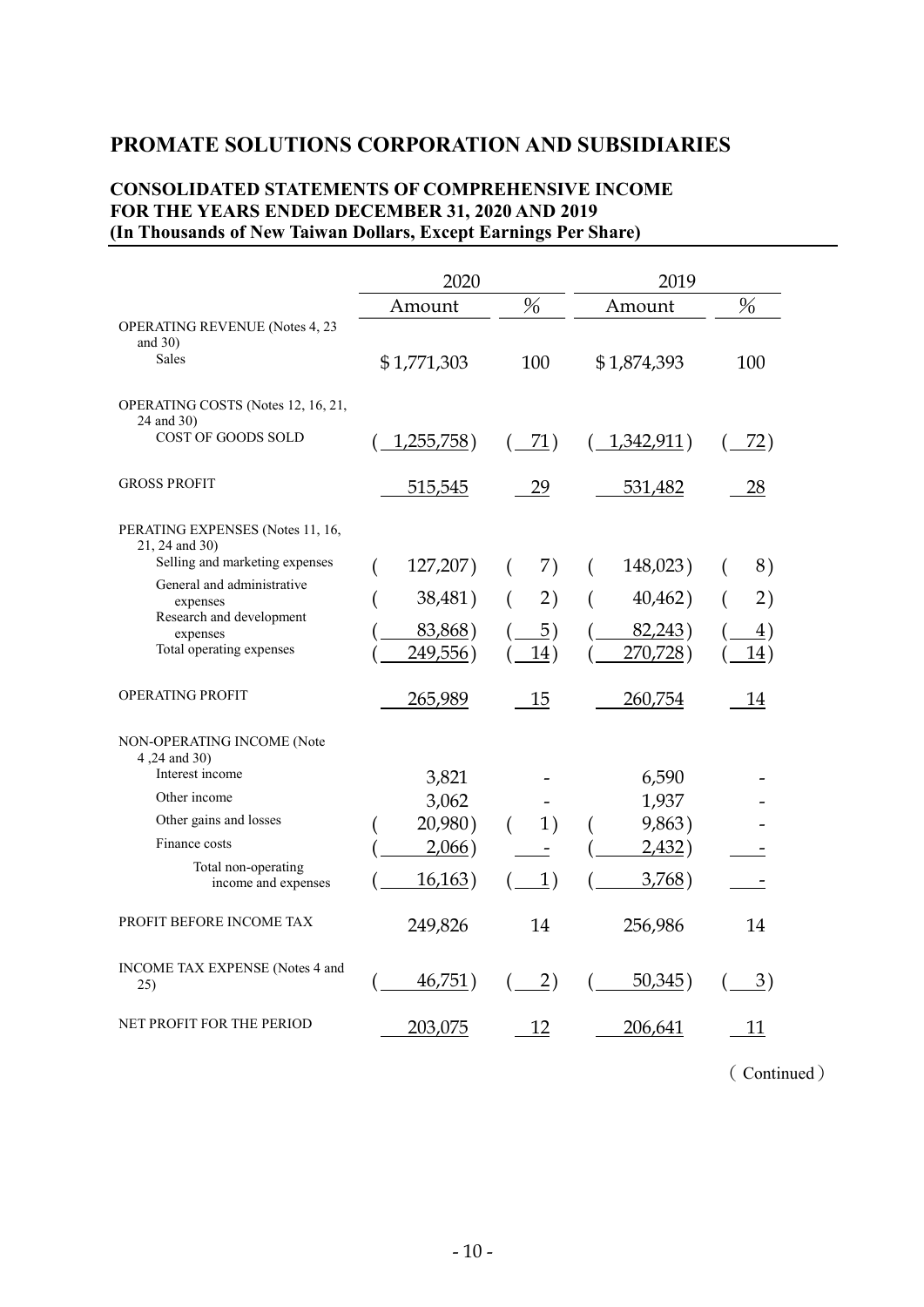# PROMATE SOLUTIONS CORPORATION AND SUBSIDIARIES

### CONSOLIDATED STATEMENTS OF COMPREHENSIVE INCOME FOR THE YEARS ENDED DECEMBER 31, 2020 AND 2019 (In Thousands of New Taiwan Dollars, Except Earnings Per Share)

|                                                                                                                                                                                                    | 2020                                           |                                 | 2019                                            |                                          |
|----------------------------------------------------------------------------------------------------------------------------------------------------------------------------------------------------|------------------------------------------------|---------------------------------|-------------------------------------------------|------------------------------------------|
|                                                                                                                                                                                                    | Amount                                         | $\frac{0}{0}$                   | Amount                                          | $\frac{0}{6}$                            |
| OPERATING REVENUE (Notes 4, 23<br>and $30$ )<br>Sales                                                                                                                                              | \$1,771,303                                    | 100                             | \$1,874,393                                     | 100                                      |
| OPERATING COSTS (Notes 12, 16, 21,<br>24 and 30)<br>COST OF GOODS SOLD                                                                                                                             | 1,255,758)                                     | 71)                             | 1,342,911)                                      | <u>72)</u>                               |
| <b>GROSS PROFIT</b>                                                                                                                                                                                | 515,545                                        | 29                              | 531,482                                         | 28                                       |
| PERATING EXPENSES (Notes 11, 16,<br>21, 24 and 30)<br>Selling and marketing expenses<br>General and administrative<br>expenses<br>Research and development<br>expenses<br>Total operating expenses | 127,207)<br>38,481)<br>83,868)<br>249,556)     | 7)<br>€<br>2)<br>(<br>5)<br>14) | 148,023)<br>(<br>40,462)<br>82,243)<br>270,728) | 8)<br>2)<br>$\triangleq$ )<br><u>14)</u> |
| <b>OPERATING PROFIT</b>                                                                                                                                                                            | 265,989                                        | 15                              | 260,754                                         | 14                                       |
| NON-OPERATING INCOME (Note<br>4,24 and 30)<br>Interest income<br>Other income<br>Other gains and losses<br>Finance costs<br>Total non-operating<br>income and expenses                             | 3,821<br>3,062<br>20,980)<br>2,066)<br>16,163) | 1)<br>(<br>1)                   | 6,590<br>1,937<br>9,863)<br>2,432)<br>3,768)    |                                          |
| PROFIT BEFORE INCOME TAX                                                                                                                                                                           | 249,826                                        | 14                              | 256,986                                         | 14                                       |
| INCOME TAX EXPENSE (Notes 4 and<br>25)                                                                                                                                                             | 46,751)                                        | $\overline{2})$                 | 50,345)                                         | $\frac{3}{2}$                            |
| NET PROFIT FOR THE PERIOD                                                                                                                                                                          | 203,075                                        | 12                              | 206,641                                         | 11                                       |

(Continued)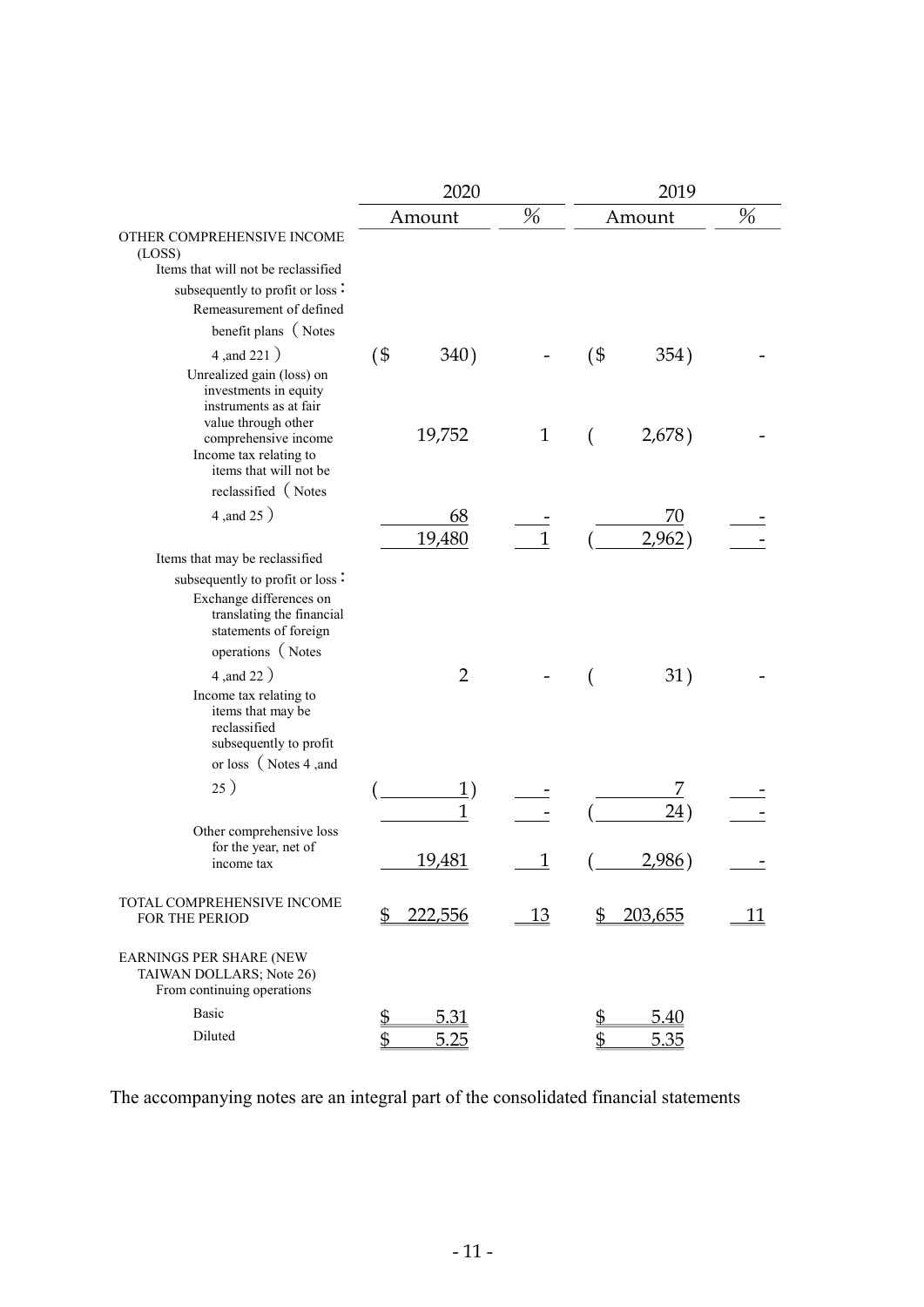|                                                                                                                | 2020                      |                |              |                         |                |    |
|----------------------------------------------------------------------------------------------------------------|---------------------------|----------------|--------------|-------------------------|----------------|----|
|                                                                                                                |                           | Amount         | %            |                         | Amount         | %  |
| OTHER COMPREHENSIVE INCOME<br>(LOSS)                                                                           |                           |                |              |                         |                |    |
| Items that will not be reclassified                                                                            |                           |                |              |                         |                |    |
| subsequently to profit or loss:                                                                                |                           |                |              |                         |                |    |
| Remeasurement of defined                                                                                       |                           |                |              |                         |                |    |
| benefit plans (Notes                                                                                           |                           |                |              |                         |                |    |
| 4, and 221)                                                                                                    | $($ \$                    | 340)           |              | $($ \$                  | 354)           |    |
| Unrealized gain (loss) on<br>investments in equity<br>instruments as at fair<br>value through other            |                           |                |              |                         |                |    |
| comprehensive income<br>Income tax relating to<br>items that will not be                                       |                           | 19,752         | $\mathbf{1}$ |                         | 2,678)         |    |
| reclassified (Notes                                                                                            |                           |                |              |                         |                |    |
| 4, and 25)                                                                                                     |                           | 68             |              |                         | 70             |    |
|                                                                                                                |                           | 19,480         | $\mathbf{1}$ |                         | 2,962          |    |
| Items that may be reclassified                                                                                 |                           |                |              |                         |                |    |
| subsequently to profit or loss:                                                                                |                           |                |              |                         |                |    |
| Exchange differences on<br>translating the financial<br>statements of foreign                                  |                           |                |              |                         |                |    |
| operations (Notes                                                                                              |                           |                |              |                         |                |    |
| 4, and 22)                                                                                                     |                           | $\overline{2}$ |              |                         | 31)            |    |
| Income tax relating to<br>items that may be<br>reclassified<br>subsequently to profit<br>or loss (Notes 4, and |                           |                |              |                         |                |    |
| 25)                                                                                                            |                           | 1)             |              |                         | 7              |    |
|                                                                                                                |                           |                |              |                         | 24)            |    |
| Other comprehensive loss<br>for the year, net of                                                               |                           | 19,481         | 1            |                         | 2,986)         |    |
| income tax                                                                                                     |                           |                |              |                         |                |    |
| TOTAL COMPREHENSIVE INCOME<br>FOR THE PERIOD                                                                   | \$                        | <u>222,556</u> | 13           | \$                      | <u>203,655</u> | 11 |
| EARNINGS PER SHARE (NEW<br>TAIWAN DOLLARS; Note 26)<br>From continuing operations                              |                           |                |              |                         |                |    |
| Basic                                                                                                          | $\overline{\mathfrak{D}}$ | <u>5.31</u>    |              | $\overline{\mathbb{P}}$ | <u>5.40</u>    |    |
| Diluted                                                                                                        | \$                        | 5.25           |              | \$                      | 5.35           |    |

The accompanying notes are an integral part of the consolidated financial statements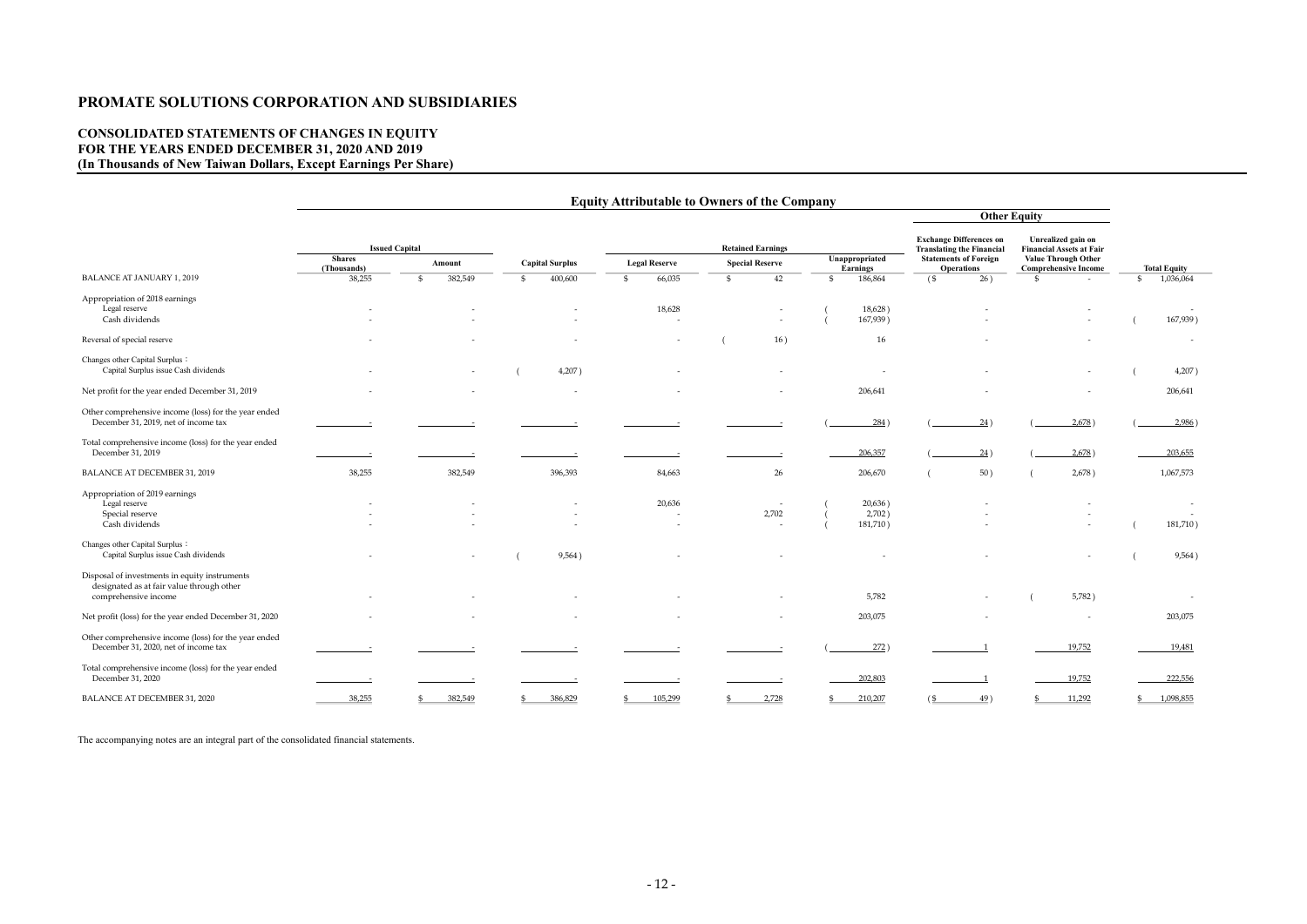# PROMATE SOLUTIONS CORPORATION AND SUBSIDIARIES

# CONSOLIDATED STATEMENTS OF CHANGES IN EQUITY FOR THE YEARS ENDED DECEMBER 31, 2020 AND 2019 (In Thousands of New Taiwan Dollars, Except Earnings Per Share)

|                                                                                                                    | <b>Equity Attributable to Owners of the Company</b> |                       |                         |                        |                                                               |                                   |                                                                    |                                                           |                           |
|--------------------------------------------------------------------------------------------------------------------|-----------------------------------------------------|-----------------------|-------------------------|------------------------|---------------------------------------------------------------|-----------------------------------|--------------------------------------------------------------------|-----------------------------------------------------------|---------------------------|
|                                                                                                                    |                                                     |                       |                         | <b>Other Equity</b>    |                                                               |                                   |                                                                    |                                                           |                           |
|                                                                                                                    |                                                     | <b>Issued Capital</b> |                         |                        | <b>Retained Earnings</b>                                      |                                   | <b>Exchange Differences on</b><br><b>Translating the Financial</b> | Unrealized gain on<br><b>Financial Assets at Fair</b>     |                           |
|                                                                                                                    | <b>Shares</b><br>(Thousands)                        | Amount                | <b>Capital Surplus</b>  | <b>Legal Reserve</b>   | <b>Special Reserve</b>                                        | Unappropriated<br><b>Earnings</b> | <b>Statements of Foreign</b><br><b>Operations</b>                  | <b>Value Through Other</b><br><b>Comprehensive Income</b> | <b>Total Equity</b>       |
| <b>BALANCE AT JANUARY 1, 2019</b>                                                                                  | 38,255                                              | 382,549<br>\$         | 400,600<br>$\mathbb{S}$ | 66,035<br>$\mathbb{S}$ | 42<br>$\mathfrak{S}$                                          | 186,864<br>$\mathbb{S}$           | 26)<br>$($ \$                                                      | $\mathfrak{S}$<br>$\sim$                                  | 1,036,064<br>$\mathbb{S}$ |
| Appropriation of 2018 earnings<br>Legal reserve<br>Cash dividends                                                  |                                                     |                       |                         | 18,628                 |                                                               | 18,628)<br>167,939)               |                                                                    |                                                           | 167,939)                  |
| Reversal of special reserve                                                                                        |                                                     |                       |                         |                        | 16)                                                           | 16                                |                                                                    |                                                           | $\overline{\phantom{a}}$  |
| Changes other Capital Surplus:<br>Capital Surplus issue Cash dividends                                             |                                                     |                       | 4,207)                  |                        |                                                               |                                   |                                                                    |                                                           | 4,207)                    |
| Net profit for the year ended December 31, 2019                                                                    |                                                     |                       |                         |                        |                                                               | 206,641                           |                                                                    |                                                           | 206,641                   |
| Other comprehensive income (loss) for the year ended<br>December 31, 2019, net of income tax                       |                                                     |                       |                         |                        |                                                               | 284                               | 24)                                                                | 2,678)                                                    | 2,986)                    |
| Total comprehensive income (loss) for the year ended<br>December 31, 2019                                          |                                                     |                       |                         |                        |                                                               | 206,357                           | 24)                                                                | 2,678)                                                    | 203,655                   |
| BALANCE AT DECEMBER 31, 2019                                                                                       | 38,255                                              | 382,549               | 396,393                 | 84,663                 | 26                                                            | 206,670                           | 50)                                                                | 2,678)                                                    | 1,067,573                 |
| Appropriation of 2019 earnings<br>Legal reserve<br>Special reserve<br>Cash dividends                               |                                                     |                       |                         | 20,636                 | $\overline{\phantom{a}}$<br>2,702<br>$\overline{\phantom{a}}$ | 20,636)<br>2,702)<br>181,710)     |                                                                    |                                                           | 181,710)                  |
| Changes other Capital Surplus:<br>Capital Surplus issue Cash dividends                                             |                                                     |                       | 9,564)                  |                        |                                                               |                                   |                                                                    |                                                           | 9,564)                    |
| Disposal of investments in equity instruments<br>designated as at fair value through other<br>comprehensive income |                                                     |                       |                         |                        |                                                               | 5,782                             |                                                                    | 5,782)                                                    |                           |
| Net profit (loss) for the year ended December 31, 2020                                                             |                                                     |                       |                         |                        |                                                               | 203,075                           |                                                                    |                                                           | 203,075                   |
| Other comprehensive income (loss) for the year ended<br>December 31, 2020, net of income tax                       |                                                     |                       |                         |                        |                                                               | 272)                              |                                                                    | 19,752                                                    | 19,481                    |
| Total comprehensive income (loss) for the year ended<br>December 31, 2020                                          |                                                     |                       |                         |                        |                                                               | 202,803                           |                                                                    | 19,752                                                    | 222,556                   |
| BALANCE AT DECEMBER 31, 2020                                                                                       | 38,255                                              | 382,549               | 386,829                 | 105,299                | 2,728                                                         | 210,207                           | 49)<br>$\frac{6}{2}$                                               | 11,292                                                    | $\frac{$}{2}$ 1,098,855   |

The accompanying notes are an integral part of the consolidated financial statements.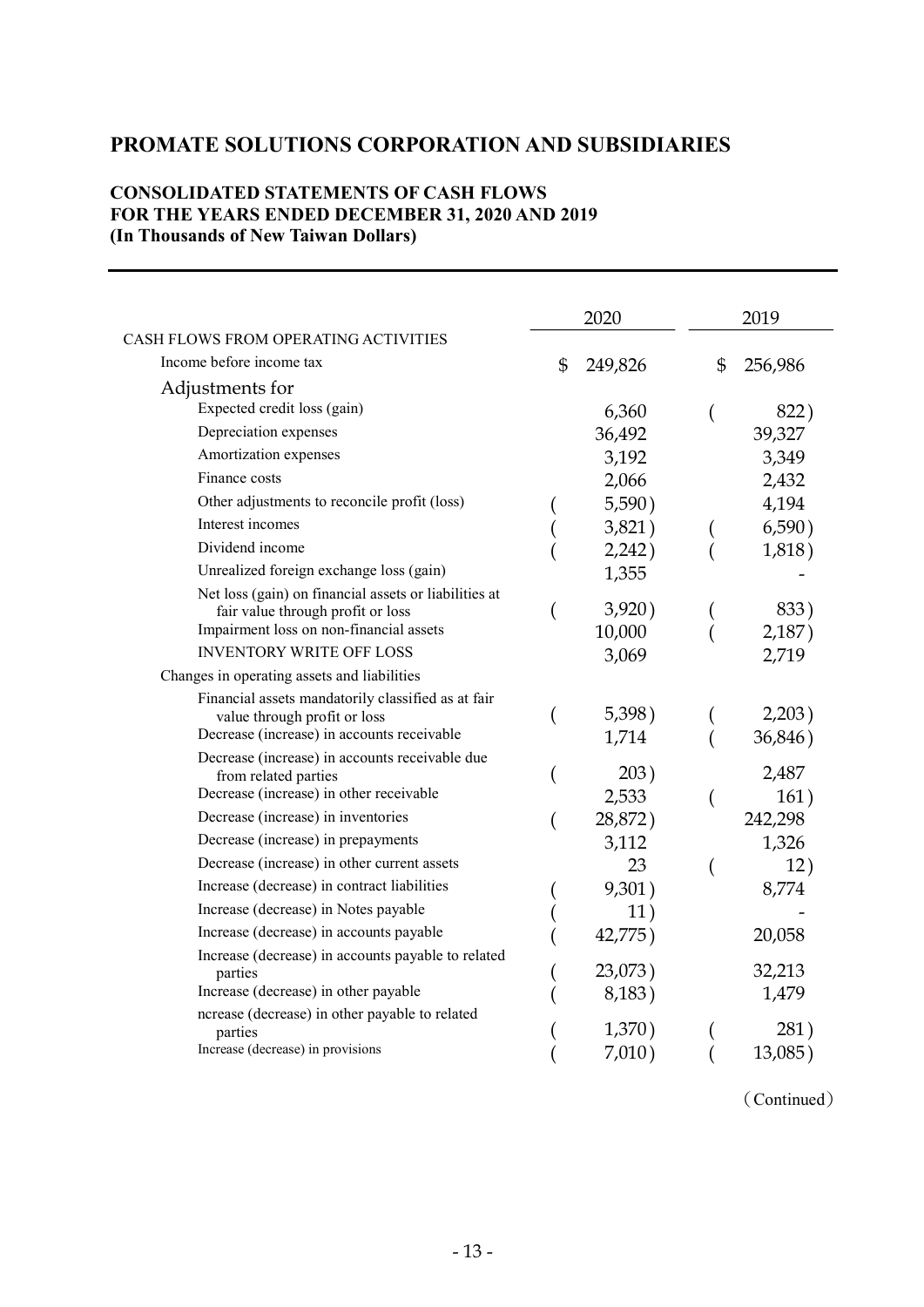# PROMATE SOLUTIONS CORPORATION AND SUBSIDIARIES

# CONSOLIDATED STATEMENTS OF CASH FLOWS FOR THE YEARS ENDED DECEMBER 31, 2020 AND 2019 (In Thousands of New Taiwan Dollars)

|                                                                              |                | 2020    | 2019          |
|------------------------------------------------------------------------------|----------------|---------|---------------|
| CASH FLOWS FROM OPERATING ACTIVITIES                                         |                |         |               |
| Income before income tax                                                     | $\mathfrak{S}$ | 249,826 | \$<br>256,986 |
| Adjustments for                                                              |                |         |               |
| Expected credit loss (gain)                                                  |                | 6,360   | 822)          |
| Depreciation expenses                                                        |                | 36,492  | 39,327        |
| Amortization expenses                                                        |                | 3,192   | 3,349         |
| Finance costs                                                                |                | 2,066   | 2,432         |
| Other adjustments to reconcile profit (loss)                                 |                | 5,590)  | 4,194         |
| Interest incomes                                                             |                | 3,821)  | 6,590)        |
| Dividend income                                                              |                | 2,242)  | 1,818)        |
| Unrealized foreign exchange loss (gain)                                      |                | 1,355   |               |
| Net loss (gain) on financial assets or liabilities at                        |                |         |               |
| fair value through profit or loss<br>Impairment loss on non-financial assets |                | 3,920)  | 833)          |
| <b>INVENTORY WRITE OFF LOSS</b>                                              |                | 10,000  | 2,187)        |
| Changes in operating assets and liabilities                                  |                | 3,069   | 2,719         |
| Financial assets mandatorily classified as at fair                           |                |         |               |
| value through profit or loss                                                 |                | 5,398)  | 2,203)        |
| Decrease (increase) in accounts receivable                                   |                | 1,714   | 36,846)       |
| Decrease (increase) in accounts receivable due                               |                |         |               |
| from related parties                                                         |                | 203)    | 2,487         |
| Decrease (increase) in other receivable                                      |                | 2,533   | 161)          |
| Decrease (increase) in inventories                                           |                | 28,872) | 242,298       |
| Decrease (increase) in prepayments                                           |                | 3,112   | 1,326         |
| Decrease (increase) in other current assets                                  |                | 23      | 12)           |
| Increase (decrease) in contract liabilities                                  |                | 9,301)  | 8,774         |
| Increase (decrease) in Notes payable                                         |                | 11)     |               |
| Increase (decrease) in accounts payable                                      |                | 42,775) | 20,058        |
| Increase (decrease) in accounts payable to related                           |                | 23,073) | 32,213        |
| parties<br>Increase (decrease) in other payable                              |                | 8,183)  | 1,479         |
| ncrease (decrease) in other payable to related                               |                |         |               |
| parties                                                                      |                | 1,370)  | 281)          |
| Increase (decrease) in provisions                                            |                | 7,010)  | $13,085$ )    |

(Continued)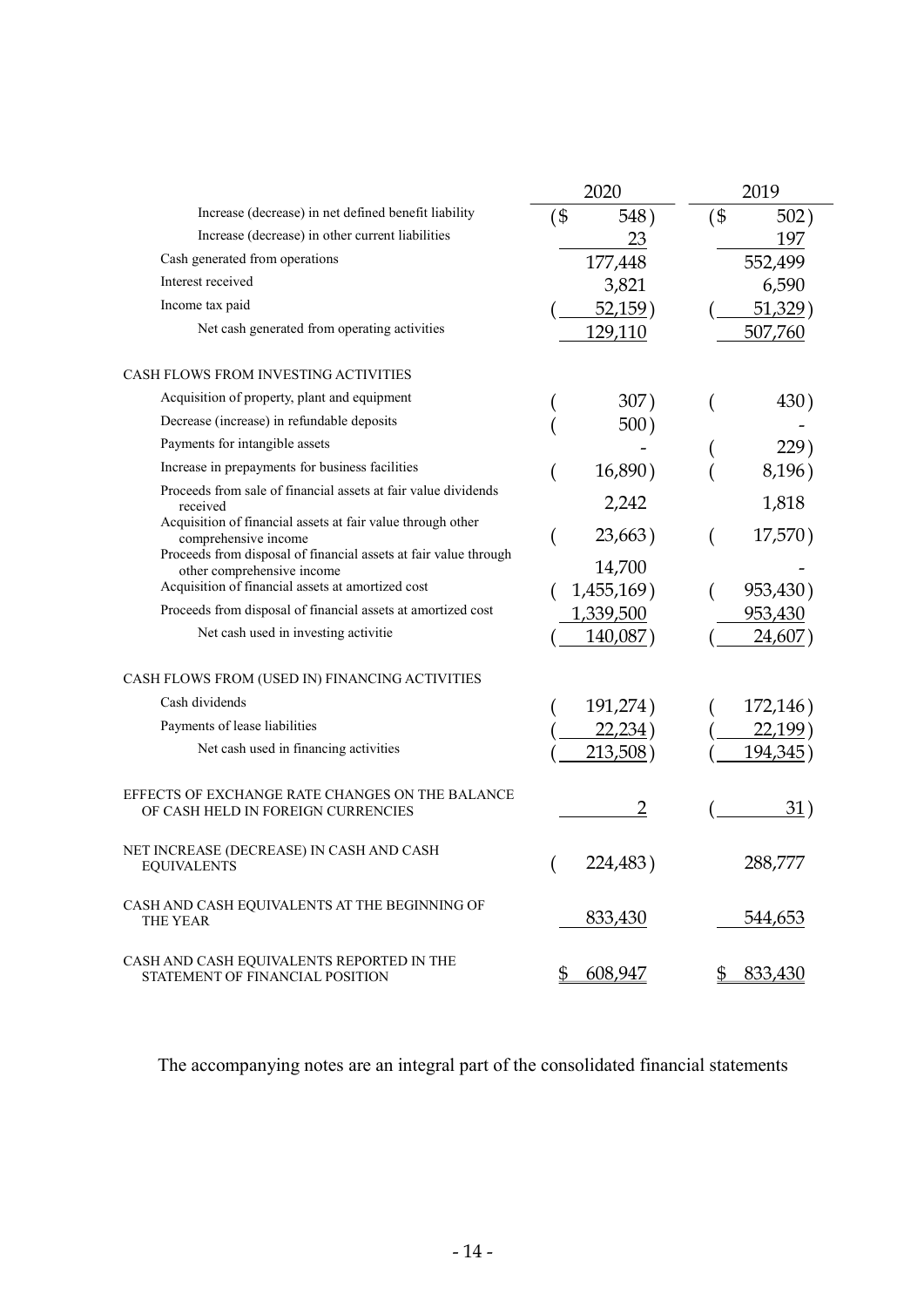|                                                                                                                                                         | 2020                 | 2019           |
|---------------------------------------------------------------------------------------------------------------------------------------------------------|----------------------|----------------|
| Increase (decrease) in net defined benefit liability                                                                                                    | (\$<br>548)          | $($ \$<br>502) |
| Increase (decrease) in other current liabilities                                                                                                        | 23                   | 197            |
| Cash generated from operations                                                                                                                          | 177,448              | 552,499        |
| Interest received                                                                                                                                       | 3,821                | 6,590          |
| Income tax paid                                                                                                                                         | 52,159)              | 51,329         |
| Net cash generated from operating activities                                                                                                            | 129,110              | 507,760        |
| <b>CASH FLOWS FROM INVESTING ACTIVITIES</b>                                                                                                             |                      |                |
| Acquisition of property, plant and equipment                                                                                                            | 307)                 | 430)           |
| Decrease (increase) in refundable deposits                                                                                                              | 500)                 |                |
| Payments for intangible assets                                                                                                                          |                      | 229)           |
| Increase in prepayments for business facilities                                                                                                         | 16,890)              | 8,196)         |
| Proceeds from sale of financial assets at fair value dividends<br>received                                                                              | 2,242                | 1,818          |
| Acquisition of financial assets at fair value through other<br>comprehensive income<br>Proceeds from disposal of financial assets at fair value through | 23,663)              | 17,570)        |
| other comprehensive income<br>Acquisition of financial assets at amortized cost                                                                         | 14,700<br>1,455,169) | 953,430)       |
| Proceeds from disposal of financial assets at amortized cost                                                                                            | 1,339,500            | 953,430        |
| Net cash used in investing activitie                                                                                                                    | 140,087)             | 24,607)        |
| CASH FLOWS FROM (USED IN) FINANCING ACTIVITIES                                                                                                          |                      |                |
| Cash dividends                                                                                                                                          | 191,274)             | 172,146)       |
| Payments of lease liabilities                                                                                                                           | 22,234)              | 22,199         |
| Net cash used in financing activities                                                                                                                   | 213,508)             | 194,345        |
| EFFECTS OF EXCHANGE RATE CHANGES ON THE BALANCE<br>OF CASH HELD IN FOREIGN CURRENCIES                                                                   | $\overline{2}$       | 31)            |
| NET INCREASE (DECREASE) IN CASH AND CASH<br><b>EQUIVALENTS</b>                                                                                          | 224,483)             | 288,777        |
| CASH AND CASH EQUIVALENTS AT THE BEGINNING OF<br>THE YEAR                                                                                               | 833,430              | 544,653        |
| CASH AND CASH EQUIVALENTS REPORTED IN THE<br>STATEMENT OF FINANCIAL POSITION                                                                            | 608,947<br>\$        | 833,430<br>\$  |

The accompanying notes are an integral part of the consolidated financial statements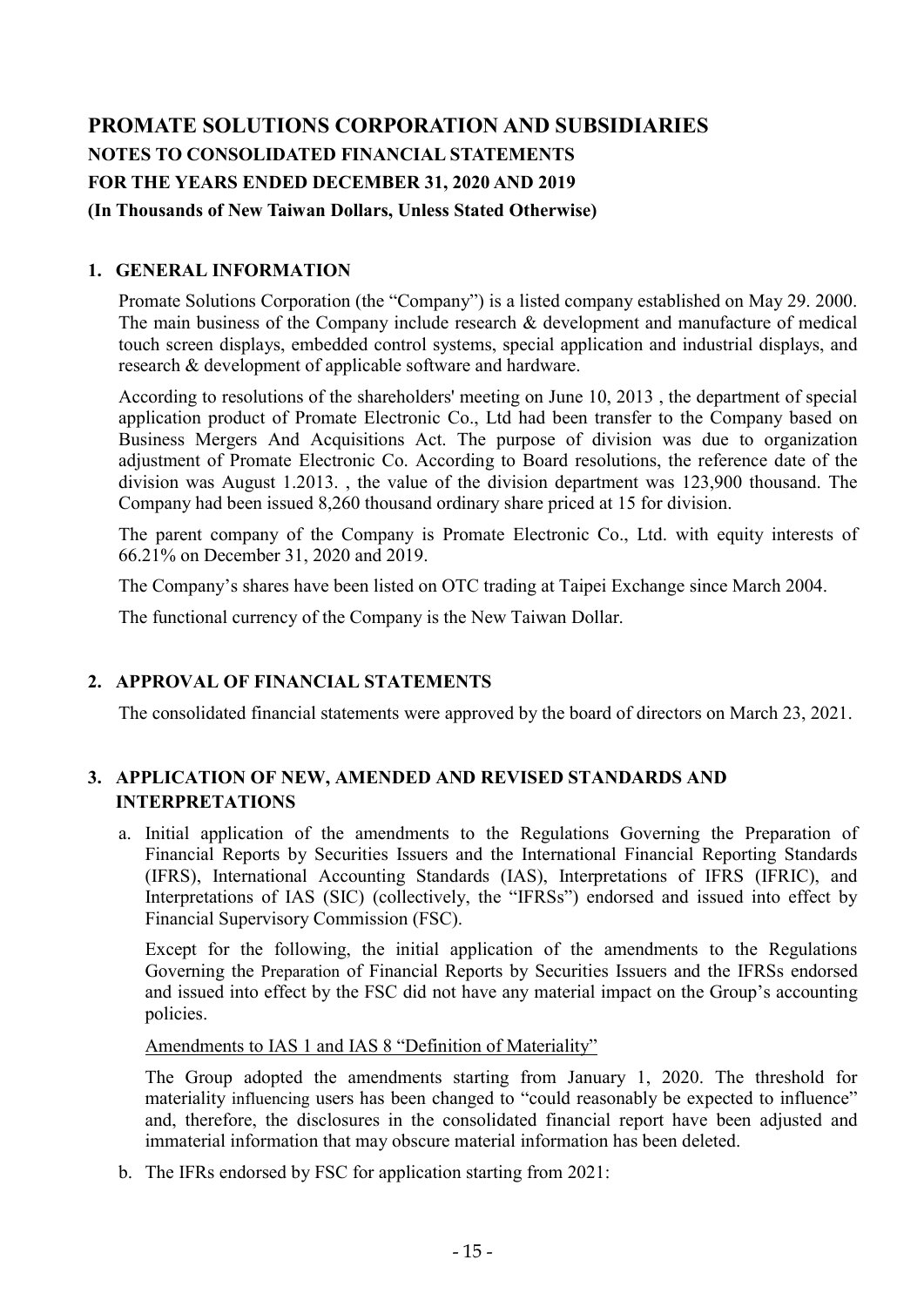# PROMATE SOLUTIONS CORPORATION AND SUBSIDIARIES NOTES TO CONSOLIDATED FINANCIAL STATEMENTS FOR THE YEARS ENDED DECEMBER 31, 2020 AND 2019

### (In Thousands of New Taiwan Dollars, Unless Stated Otherwise)

# 1. GENERAL INFORMATION

Promate Solutions Corporation (the "Company") is a listed company established on May 29. 2000. The main business of the Company include research & development and manufacture of medical touch screen displays, embedded control systems, special application and industrial displays, and research & development of applicable software and hardware.

According to resolutions of the shareholders' meeting on June 10, 2013 , the department of special application product of Promate Electronic Co., Ltd had been transfer to the Company based on Business Mergers And Acquisitions Act. The purpose of division was due to organization adjustment of Promate Electronic Co. According to Board resolutions, the reference date of the division was August 1.2013. , the value of the division department was 123,900 thousand. The Company had been issued 8,260 thousand ordinary share priced at 15 for division.

The parent company of the Company is Promate Electronic Co., Ltd. with equity interests of 66.21% on December 31, 2020 and 2019.

The Company's shares have been listed on OTC trading at Taipei Exchange since March 2004.

The functional currency of the Company is the New Taiwan Dollar.

### 2. APPROVAL OF FINANCIAL STATEMENTS

The consolidated financial statements were approved by the board of directors on March 23, 2021.

# 3. APPLICATION OF NEW, AMENDED AND REVISED STANDARDS AND INTERPRETATIONS

a. Initial application of the amendments to the Regulations Governing the Preparation of Financial Reports by Securities Issuers and the International Financial Reporting Standards (IFRS), International Accounting Standards (IAS), Interpretations of IFRS (IFRIC), and Interpretations of IAS (SIC) (collectively, the "IFRSs") endorsed and issued into effect by Financial Supervisory Commission (FSC).

Except for the following, the initial application of the amendments to the Regulations Governing the Preparation of Financial Reports by Securities Issuers and the IFRSs endorsed and issued into effect by the FSC did not have any material impact on the Group's accounting policies.

Amendments to IAS 1 and IAS 8 "Definition of Materiality"

The Group adopted the amendments starting from January 1, 2020. The threshold for materiality influencing users has been changed to "could reasonably be expected to influence" and, therefore, the disclosures in the consolidated financial report have been adjusted and immaterial information that may obscure material information has been deleted.

b. The IFRs endorsed by FSC for application starting from 2021: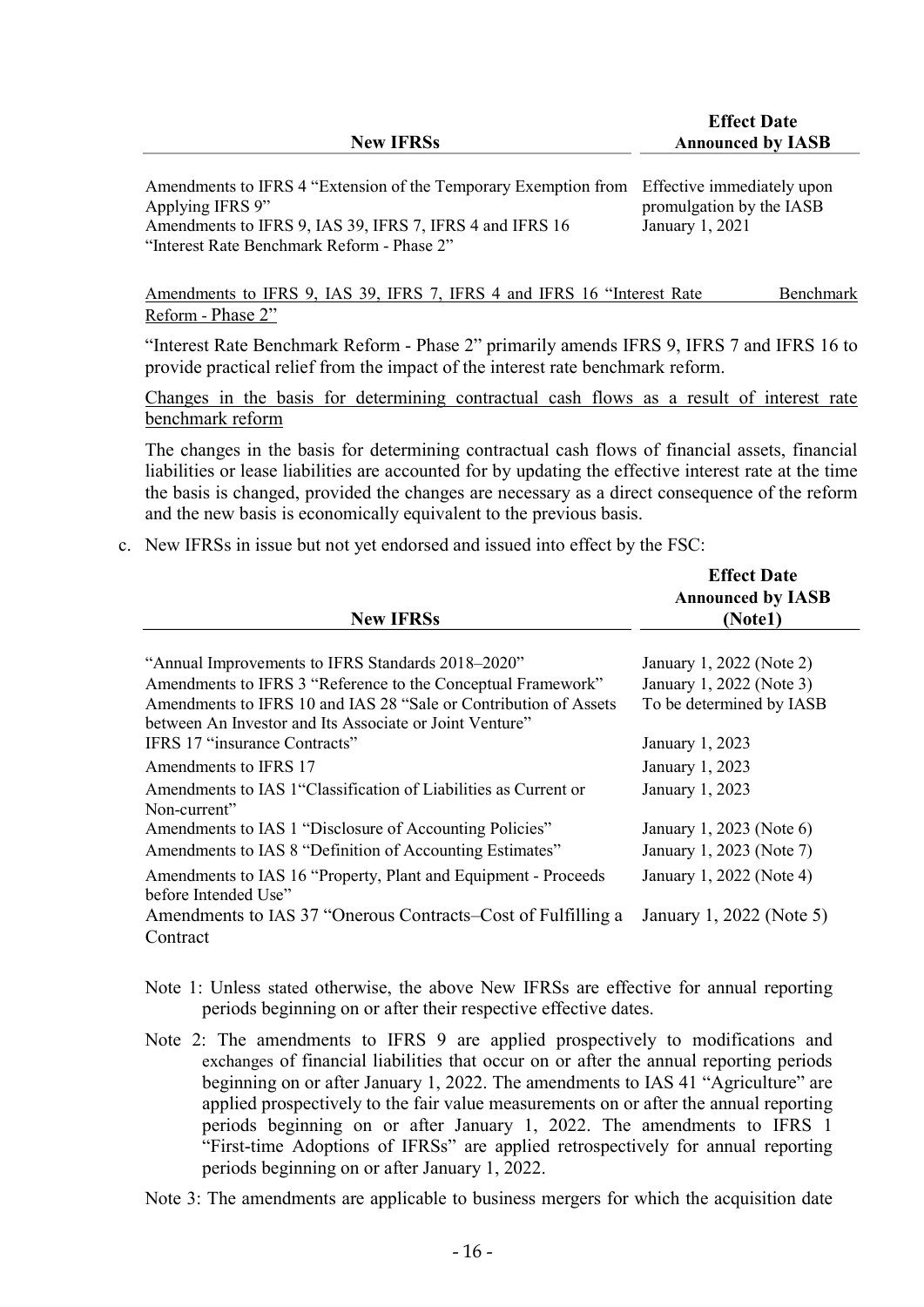| <b>New IFRSs</b>                                                                                                                                                                                                         | Liitti Dait<br><b>Announced by IASB</b>     |
|--------------------------------------------------------------------------------------------------------------------------------------------------------------------------------------------------------------------------|---------------------------------------------|
| Amendments to IFRS 4 "Extension of the Temporary Exemption from Effective immediately upon<br>Applying IFRS 9"<br>Amendments to IFRS 9, IAS 39, IFRS 7, IFRS 4 and IFRS 16<br>"Interest Rate Benchmark Reform - Phase 2" | promulgation by the IASB<br>January 1, 2021 |
| Amendments to IFRS 9, IAS 39, IFRS 7, IFRS 4 and IFRS 16 "Interest Rate                                                                                                                                                  | Benchmark                                   |

Effect Date

"Interest Rate Benchmark Reform - Phase 2" primarily amends IFRS 9, IFRS 7 and IFRS 16 to provide practical relief from the impact of the interest rate benchmark reform.

Changes in the basis for determining contractual cash flows as a result of interest rate benchmark reform

The changes in the basis for determining contractual cash flows of financial assets, financial liabilities or lease liabilities are accounted for by updating the effective interest rate at the time the basis is changed, provided the changes are necessary as a direct consequence of the reform and the new basis is economically equivalent to the previous basis.

c. New IFRSs in issue but not yet endorsed and issued into effect by the FSC:

Reform - Phase 2"

|                                                                  | <b>Effect Date</b>       |
|------------------------------------------------------------------|--------------------------|
|                                                                  | <b>Announced by IASB</b> |
| <b>New IFRSs</b>                                                 | (Notel)                  |
| "Annual Improvements to IFRS Standards 2018–2020"                | January 1, 2022 (Note 2) |
| Amendments to IFRS 3 "Reference to the Conceptual Framework"     | January 1, 2022 (Note 3) |
| Amendments to IFRS 10 and IAS 28 "Sale or Contribution of Assets | To be determined by IASB |
| between An Investor and Its Associate or Joint Venture"          |                          |
| <b>IFRS 17 "insurance Contracts"</b>                             | January 1, 2023          |
| Amendments to IFRS 17                                            | January 1, 2023          |
| Amendments to IAS 1 "Classification of Liabilities as Current or | January 1, 2023          |
| Non-current"                                                     |                          |
| Amendments to IAS 1 "Disclosure of Accounting Policies"          | January 1, 2023 (Note 6) |
| Amendments to IAS 8 "Definition of Accounting Estimates"         | January 1, 2023 (Note 7) |
| Amendments to IAS 16 "Property, Plant and Equipment - Proceeds   | January 1, 2022 (Note 4) |
| before Intended Use"                                             |                          |
| Amendments to IAS 37 "Onerous Contracts–Cost of Fulfilling a     | January 1, 2022 (Note 5) |
| Contract                                                         |                          |
|                                                                  |                          |

- Note 1: Unless stated otherwise, the above New IFRSs are effective for annual reporting periods beginning on or after their respective effective dates.
- Note 2: The amendments to IFRS 9 are applied prospectively to modifications and exchanges of financial liabilities that occur on or after the annual reporting periods beginning on or after January 1, 2022. The amendments to IAS 41 "Agriculture" are applied prospectively to the fair value measurements on or after the annual reporting periods beginning on or after January 1, 2022. The amendments to IFRS 1 "First-time Adoptions of IFRSs" are applied retrospectively for annual reporting periods beginning on or after January 1, 2022.
- Note 3: The amendments are applicable to business mergers for which the acquisition date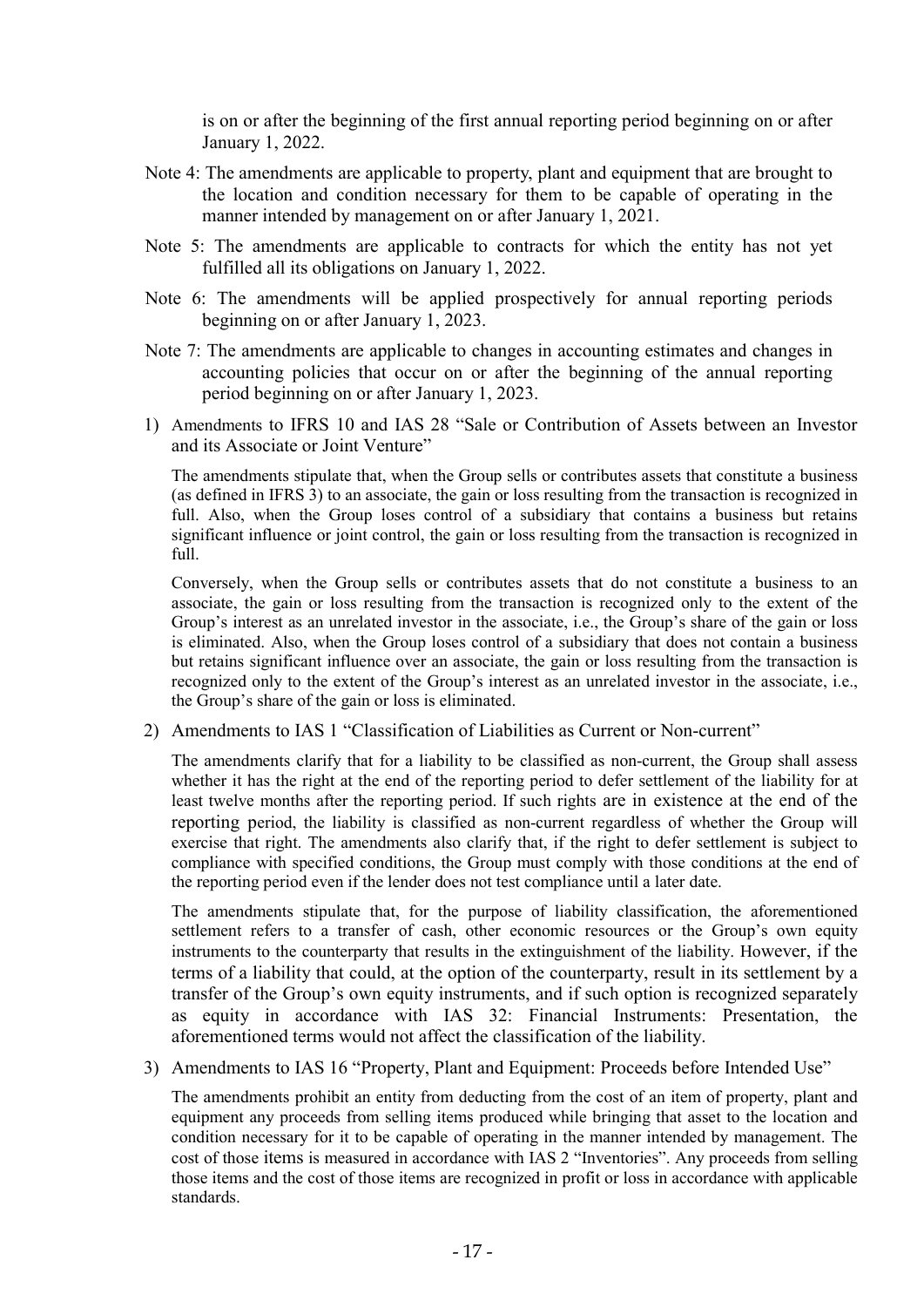is on or after the beginning of the first annual reporting period beginning on or after January 1, 2022.

- Note 4: The amendments are applicable to property, plant and equipment that are brought to the location and condition necessary for them to be capable of operating in the manner intended by management on or after January 1, 2021.
- Note 5: The amendments are applicable to contracts for which the entity has not yet fulfilled all its obligations on January 1, 2022.
- Note 6: The amendments will be applied prospectively for annual reporting periods beginning on or after January 1, 2023.
- Note 7: The amendments are applicable to changes in accounting estimates and changes in accounting policies that occur on or after the beginning of the annual reporting period beginning on or after January 1, 2023.
- 1) Amendments to IFRS 10 and IAS 28 "Sale or Contribution of Assets between an Investor and its Associate or Joint Venture"

The amendments stipulate that, when the Group sells or contributes assets that constitute a business (as defined in IFRS 3) to an associate, the gain or loss resulting from the transaction is recognized in full. Also, when the Group loses control of a subsidiary that contains a business but retains significant influence or joint control, the gain or loss resulting from the transaction is recognized in full.

Conversely, when the Group sells or contributes assets that do not constitute a business to an associate, the gain or loss resulting from the transaction is recognized only to the extent of the Group's interest as an unrelated investor in the associate, i.e., the Group's share of the gain or loss is eliminated. Also, when the Group loses control of a subsidiary that does not contain a business but retains significant influence over an associate, the gain or loss resulting from the transaction is recognized only to the extent of the Group's interest as an unrelated investor in the associate, i.e., the Group's share of the gain or loss is eliminated.

2) Amendments to IAS 1 "Classification of Liabilities as Current or Non-current"

The amendments clarify that for a liability to be classified as non-current, the Group shall assess whether it has the right at the end of the reporting period to defer settlement of the liability for at least twelve months after the reporting period. If such rights are in existence at the end of the reporting period, the liability is classified as non-current regardless of whether the Group will exercise that right. The amendments also clarify that, if the right to defer settlement is subject to compliance with specified conditions, the Group must comply with those conditions at the end of the reporting period even if the lender does not test compliance until a later date.

The amendments stipulate that, for the purpose of liability classification, the aforementioned settlement refers to a transfer of cash, other economic resources or the Group's own equity instruments to the counterparty that results in the extinguishment of the liability. However, if the terms of a liability that could, at the option of the counterparty, result in its settlement by a transfer of the Group's own equity instruments, and if such option is recognized separately as equity in accordance with IAS 32: Financial Instruments: Presentation, the aforementioned terms would not affect the classification of the liability.

#### 3) Amendments to IAS 16 "Property, Plant and Equipment: Proceeds before Intended Use"

The amendments prohibit an entity from deducting from the cost of an item of property, plant and equipment any proceeds from selling items produced while bringing that asset to the location and condition necessary for it to be capable of operating in the manner intended by management. The cost of those items is measured in accordance with IAS 2 "Inventories". Any proceeds from selling those items and the cost of those items are recognized in profit or loss in accordance with applicable standards.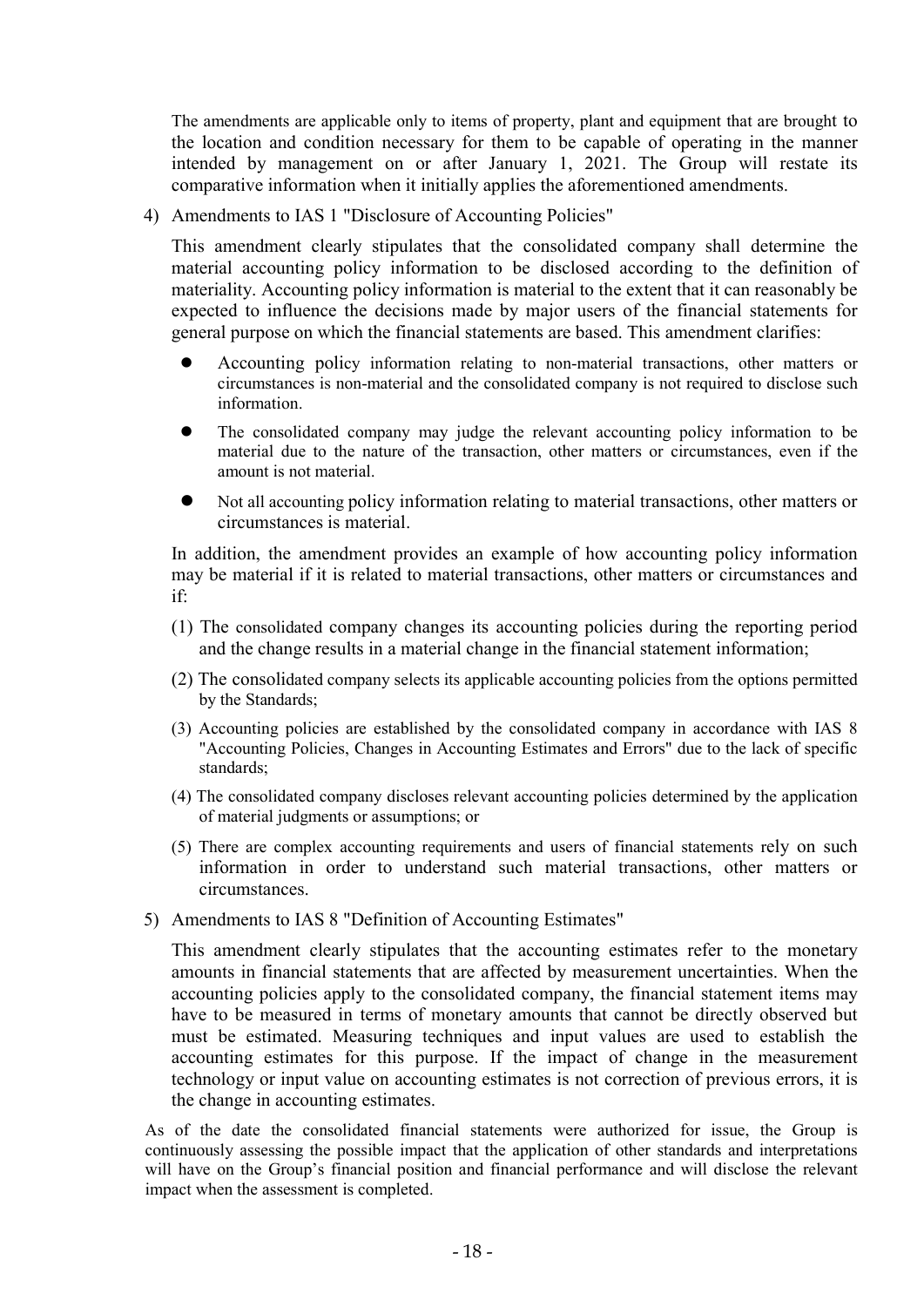The amendments are applicable only to items of property, plant and equipment that are brought to the location and condition necessary for them to be capable of operating in the manner intended by management on or after January 1, 2021. The Group will restate its comparative information when it initially applies the aforementioned amendments.

4) Amendments to IAS 1 "Disclosure of Accounting Policies"

This amendment clearly stipulates that the consolidated company shall determine the material accounting policy information to be disclosed according to the definition of materiality. Accounting policy information is material to the extent that it can reasonably be expected to influence the decisions made by major users of the financial statements for general purpose on which the financial statements are based. This amendment clarifies:

- Accounting policy information relating to non-material transactions, other matters or circumstances is non-material and the consolidated company is not required to disclose such information.
- The consolidated company may judge the relevant accounting policy information to be material due to the nature of the transaction, other matters or circumstances, even if the amount is not material.
- Not all accounting policy information relating to material transactions, other matters or circumstances is material.

In addition, the amendment provides an example of how accounting policy information may be material if it is related to material transactions, other matters or circumstances and if:

- (1) The consolidated company changes its accounting policies during the reporting period and the change results in a material change in the financial statement information;
- (2) The consolidated company selects its applicable accounting policies from the options permitted by the Standards;
- (3) Accounting policies are established by the consolidated company in accordance with IAS 8 "Accounting Policies, Changes in Accounting Estimates and Errors" due to the lack of specific standards;
- (4) The consolidated company discloses relevant accounting policies determined by the application of material judgments or assumptions; or
- (5) There are complex accounting requirements and users of financial statements rely on such information in order to understand such material transactions, other matters or circumstances.
- 5) Amendments to IAS 8 "Definition of Accounting Estimates"

This amendment clearly stipulates that the accounting estimates refer to the monetary amounts in financial statements that are affected by measurement uncertainties. When the accounting policies apply to the consolidated company, the financial statement items may have to be measured in terms of monetary amounts that cannot be directly observed but must be estimated. Measuring techniques and input values are used to establish the accounting estimates for this purpose. If the impact of change in the measurement technology or input value on accounting estimates is not correction of previous errors, it is the change in accounting estimates.

As of the date the consolidated financial statements were authorized for issue, the Group is continuously assessing the possible impact that the application of other standards and interpretations will have on the Group's financial position and financial performance and will disclose the relevant impact when the assessment is completed.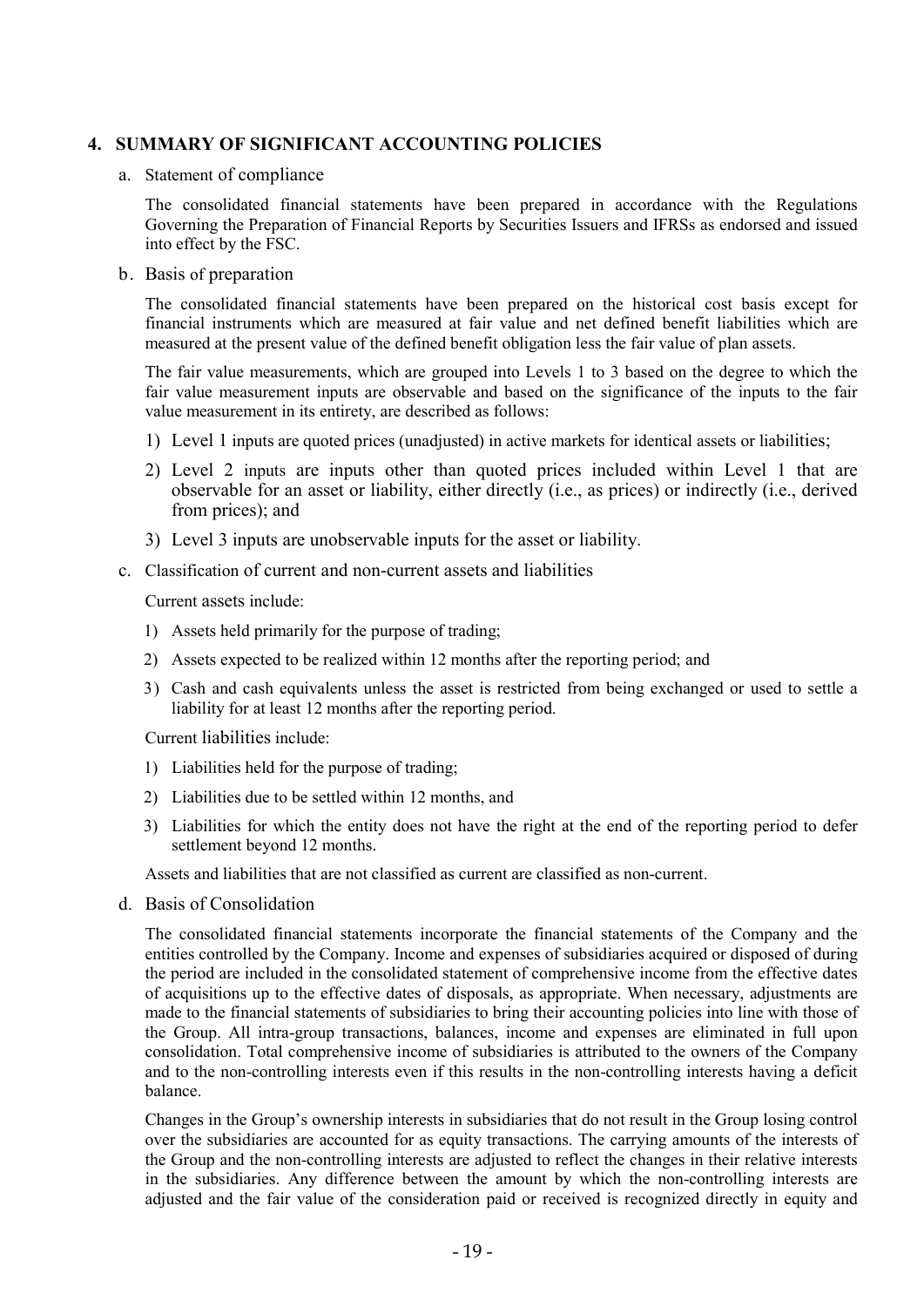### 4. SUMMARY OF SIGNIFICANT ACCOUNTING POLICIES

#### a. Statement of compliance

The consolidated financial statements have been prepared in accordance with the Regulations Governing the Preparation of Financial Reports by Securities Issuers and IFRSs as endorsed and issued into effect by the FSC.

#### b. Basis of preparation

The consolidated financial statements have been prepared on the historical cost basis except for financial instruments which are measured at fair value and net defined benefit liabilities which are measured at the present value of the defined benefit obligation less the fair value of plan assets.

The fair value measurements, which are grouped into Levels 1 to 3 based on the degree to which the fair value measurement inputs are observable and based on the significance of the inputs to the fair value measurement in its entirety, are described as follows:

- 1) Level 1 inputs are quoted prices (unadjusted) in active markets for identical assets or liabilities;
- 2) Level 2 inputs are inputs other than quoted prices included within Level 1 that are observable for an asset or liability, either directly (i.e., as prices) or indirectly (i.e., derived from prices); and
- 3) Level 3 inputs are unobservable inputs for the asset or liability.
- c. Classification of current and non-current assets and liabilities

Current assets include:

- 1) Assets held primarily for the purpose of trading;
- 2) Assets expected to be realized within 12 months after the reporting period; and
- 3) Cash and cash equivalents unless the asset is restricted from being exchanged or used to settle a liability for at least 12 months after the reporting period.

Current liabilities include:

- 1) Liabilities held for the purpose of trading;
- 2) Liabilities due to be settled within 12 months, and
- 3) Liabilities for which the entity does not have the right at the end of the reporting period to defer settlement beyond 12 months.

Assets and liabilities that are not classified as current are classified as non-current.

d. Basis of Consolidation

The consolidated financial statements incorporate the financial statements of the Company and the entities controlled by the Company. Income and expenses of subsidiaries acquired or disposed of during the period are included in the consolidated statement of comprehensive income from the effective dates of acquisitions up to the effective dates of disposals, as appropriate. When necessary, adjustments are made to the financial statements of subsidiaries to bring their accounting policies into line with those of the Group. All intra-group transactions, balances, income and expenses are eliminated in full upon consolidation. Total comprehensive income of subsidiaries is attributed to the owners of the Company and to the non-controlling interests even if this results in the non-controlling interests having a deficit balance.

Changes in the Group's ownership interests in subsidiaries that do not result in the Group losing control over the subsidiaries are accounted for as equity transactions. The carrying amounts of the interests of the Group and the non-controlling interests are adjusted to reflect the changes in their relative interests in the subsidiaries. Any difference between the amount by which the non-controlling interests are adjusted and the fair value of the consideration paid or received is recognized directly in equity and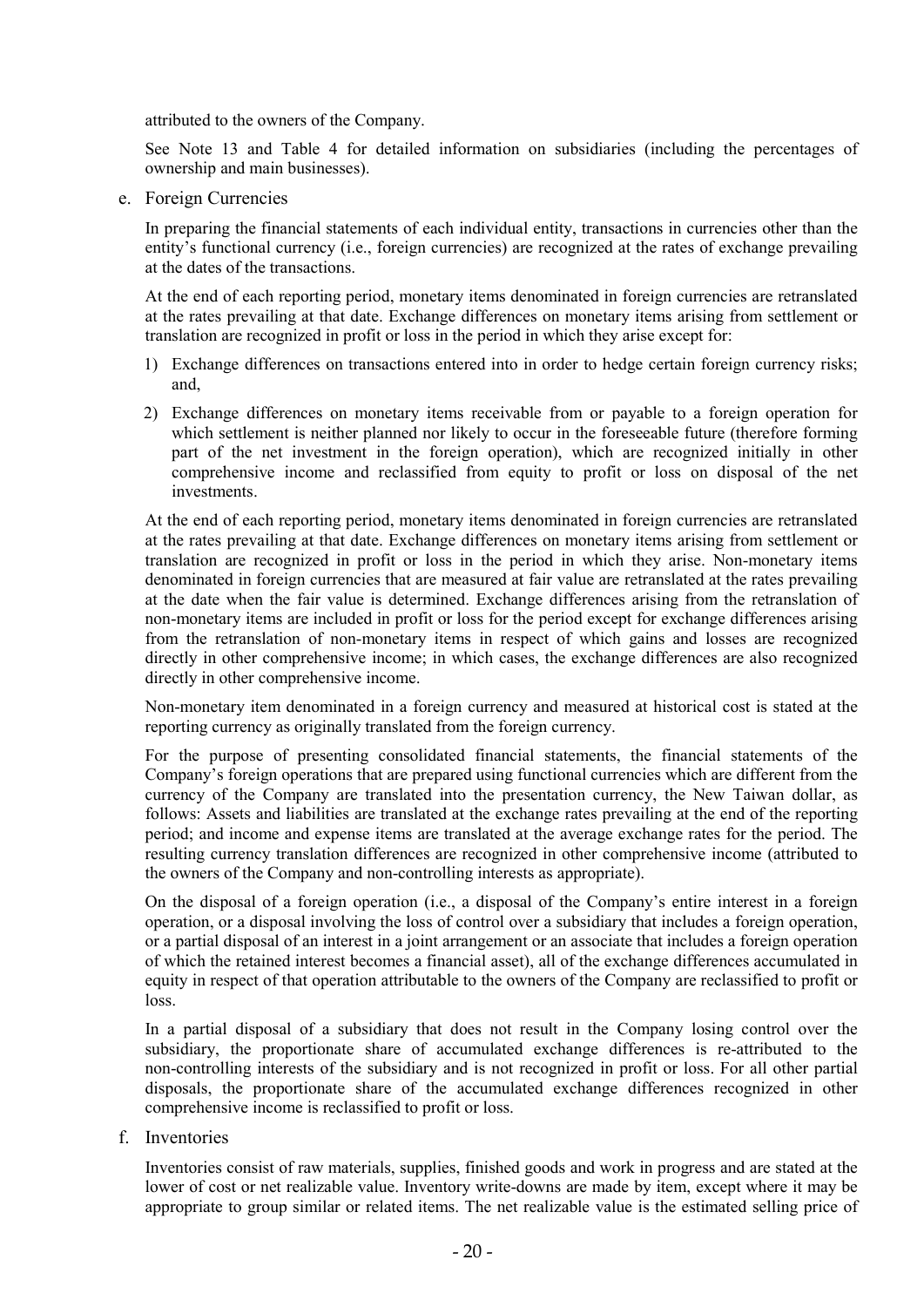attributed to the owners of the Company.

See Note 13 and Table 4 for detailed information on subsidiaries (including the percentages of ownership and main businesses).

e. Foreign Currencies

In preparing the financial statements of each individual entity, transactions in currencies other than the entity's functional currency (i.e., foreign currencies) are recognized at the rates of exchange prevailing at the dates of the transactions.

At the end of each reporting period, monetary items denominated in foreign currencies are retranslated at the rates prevailing at that date. Exchange differences on monetary items arising from settlement or translation are recognized in profit or loss in the period in which they arise except for:

- 1) Exchange differences on transactions entered into in order to hedge certain foreign currency risks; and,
- 2) Exchange differences on monetary items receivable from or payable to a foreign operation for which settlement is neither planned nor likely to occur in the foreseeable future (therefore forming part of the net investment in the foreign operation), which are recognized initially in other comprehensive income and reclassified from equity to profit or loss on disposal of the net investments.

At the end of each reporting period, monetary items denominated in foreign currencies are retranslated at the rates prevailing at that date. Exchange differences on monetary items arising from settlement or translation are recognized in profit or loss in the period in which they arise. Non-monetary items denominated in foreign currencies that are measured at fair value are retranslated at the rates prevailing at the date when the fair value is determined. Exchange differences arising from the retranslation of non-monetary items are included in profit or loss for the period except for exchange differences arising from the retranslation of non-monetary items in respect of which gains and losses are recognized directly in other comprehensive income; in which cases, the exchange differences are also recognized directly in other comprehensive income.

Non-monetary item denominated in a foreign currency and measured at historical cost is stated at the reporting currency as originally translated from the foreign currency.

For the purpose of presenting consolidated financial statements, the financial statements of the Company's foreign operations that are prepared using functional currencies which are different from the currency of the Company are translated into the presentation currency, the New Taiwan dollar, as follows: Assets and liabilities are translated at the exchange rates prevailing at the end of the reporting period; and income and expense items are translated at the average exchange rates for the period. The resulting currency translation differences are recognized in other comprehensive income (attributed to the owners of the Company and non-controlling interests as appropriate).

On the disposal of a foreign operation (i.e., a disposal of the Company's entire interest in a foreign operation, or a disposal involving the loss of control over a subsidiary that includes a foreign operation, or a partial disposal of an interest in a joint arrangement or an associate that includes a foreign operation of which the retained interest becomes a financial asset), all of the exchange differences accumulated in equity in respect of that operation attributable to the owners of the Company are reclassified to profit or loss.

In a partial disposal of a subsidiary that does not result in the Company losing control over the subsidiary, the proportionate share of accumulated exchange differences is re-attributed to the non-controlling interests of the subsidiary and is not recognized in profit or loss. For all other partial disposals, the proportionate share of the accumulated exchange differences recognized in other comprehensive income is reclassified to profit or loss.

f. Inventories

Inventories consist of raw materials, supplies, finished goods and work in progress and are stated at the lower of cost or net realizable value. Inventory write-downs are made by item, except where it may be appropriate to group similar or related items. The net realizable value is the estimated selling price of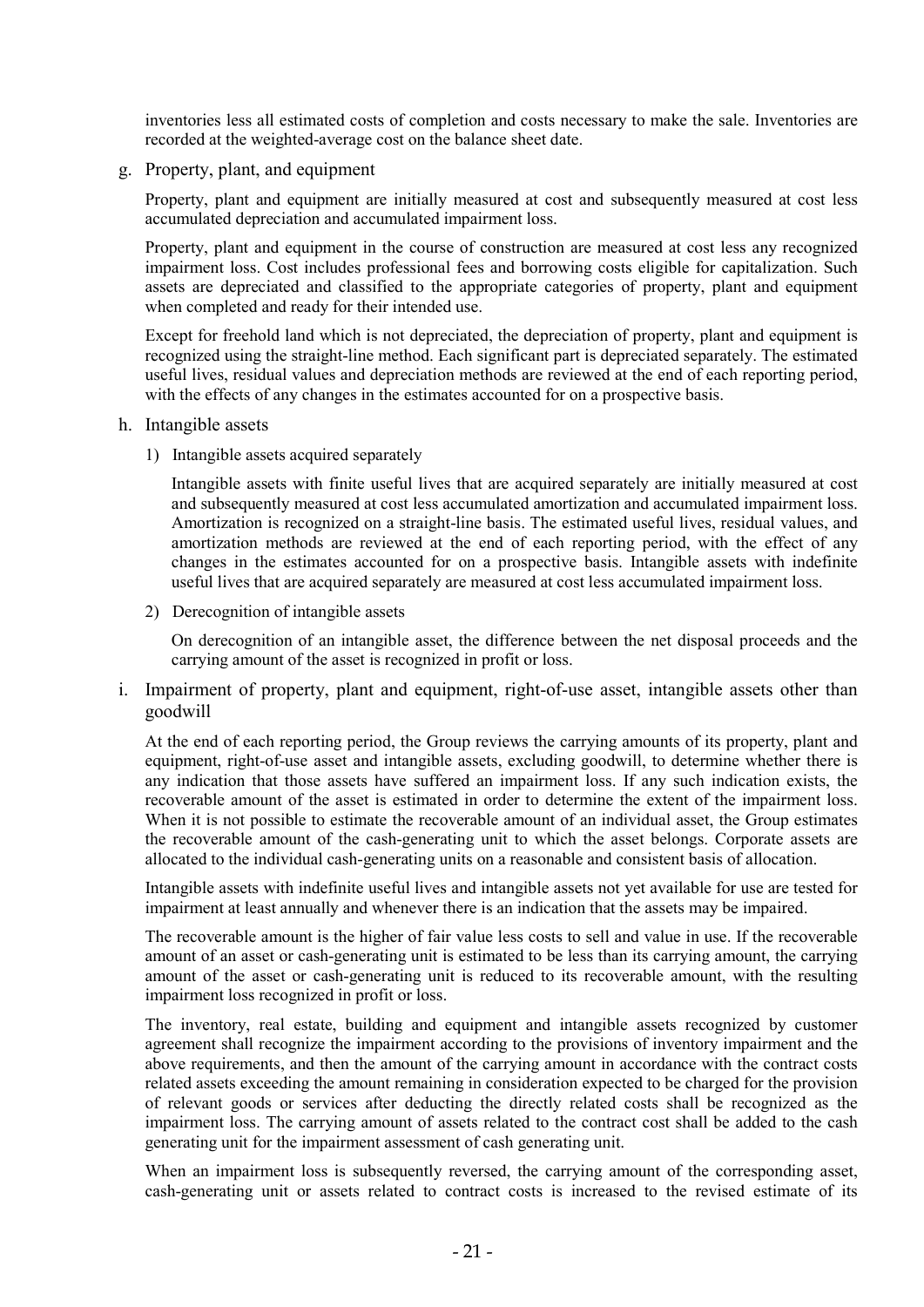inventories less all estimated costs of completion and costs necessary to make the sale. Inventories are recorded at the weighted-average cost on the balance sheet date.

g. Property, plant, and equipment

Property, plant and equipment are initially measured at cost and subsequently measured at cost less accumulated depreciation and accumulated impairment loss.

Property, plant and equipment in the course of construction are measured at cost less any recognized impairment loss. Cost includes professional fees and borrowing costs eligible for capitalization. Such assets are depreciated and classified to the appropriate categories of property, plant and equipment when completed and ready for their intended use.

Except for freehold land which is not depreciated, the depreciation of property, plant and equipment is recognized using the straight-line method. Each significant part is depreciated separately. The estimated useful lives, residual values and depreciation methods are reviewed at the end of each reporting period, with the effects of any changes in the estimates accounted for on a prospective basis.

- h. Intangible assets
	- 1) Intangible assets acquired separately

Intangible assets with finite useful lives that are acquired separately are initially measured at cost and subsequently measured at cost less accumulated amortization and accumulated impairment loss. Amortization is recognized on a straight-line basis. The estimated useful lives, residual values, and amortization methods are reviewed at the end of each reporting period, with the effect of any changes in the estimates accounted for on a prospective basis. Intangible assets with indefinite useful lives that are acquired separately are measured at cost less accumulated impairment loss.

2) Derecognition of intangible assets

On derecognition of an intangible asset, the difference between the net disposal proceeds and the carrying amount of the asset is recognized in profit or loss.

i. Impairment of property, plant and equipment, right-of-use asset, intangible assets other than goodwill

At the end of each reporting period, the Group reviews the carrying amounts of its property, plant and equipment, right-of-use asset and intangible assets, excluding goodwill, to determine whether there is any indication that those assets have suffered an impairment loss. If any such indication exists, the recoverable amount of the asset is estimated in order to determine the extent of the impairment loss. When it is not possible to estimate the recoverable amount of an individual asset, the Group estimates the recoverable amount of the cash-generating unit to which the asset belongs. Corporate assets are allocated to the individual cash-generating units on a reasonable and consistent basis of allocation.

Intangible assets with indefinite useful lives and intangible assets not yet available for use are tested for impairment at least annually and whenever there is an indication that the assets may be impaired.

The recoverable amount is the higher of fair value less costs to sell and value in use. If the recoverable amount of an asset or cash-generating unit is estimated to be less than its carrying amount, the carrying amount of the asset or cash-generating unit is reduced to its recoverable amount, with the resulting impairment loss recognized in profit or loss.

The inventory, real estate, building and equipment and intangible assets recognized by customer agreement shall recognize the impairment according to the provisions of inventory impairment and the above requirements, and then the amount of the carrying amount in accordance with the contract costs related assets exceeding the amount remaining in consideration expected to be charged for the provision of relevant goods or services after deducting the directly related costs shall be recognized as the impairment loss. The carrying amount of assets related to the contract cost shall be added to the cash generating unit for the impairment assessment of cash generating unit.

When an impairment loss is subsequently reversed, the carrying amount of the corresponding asset, cash-generating unit or assets related to contract costs is increased to the revised estimate of its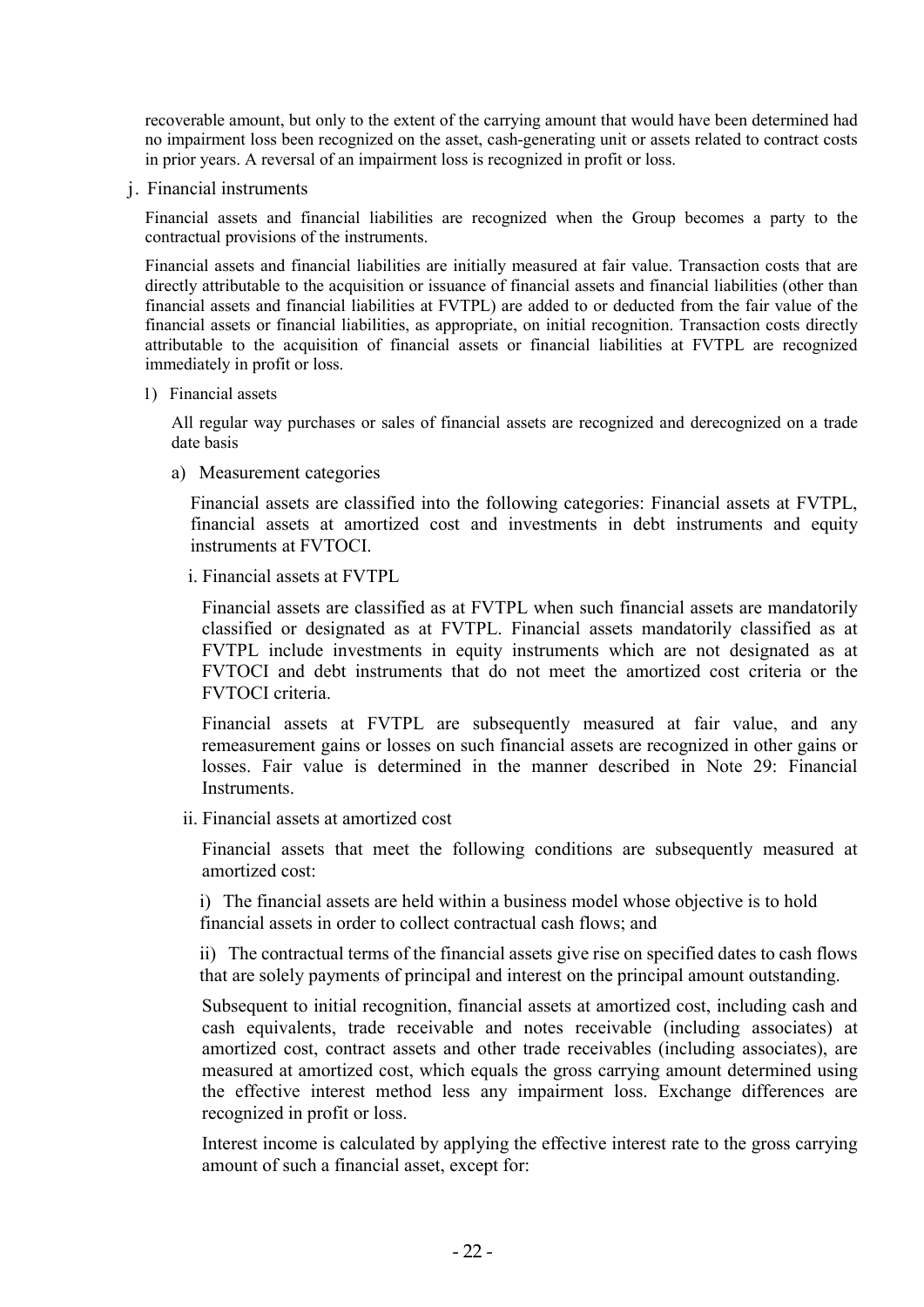recoverable amount, but only to the extent of the carrying amount that would have been determined had no impairment loss been recognized on the asset, cash-generating unit or assets related to contract costs in prior years. A reversal of an impairment loss is recognized in profit or loss.

j. Financial instruments

Financial assets and financial liabilities are recognized when the Group becomes a party to the contractual provisions of the instruments.

Financial assets and financial liabilities are initially measured at fair value. Transaction costs that are directly attributable to the acquisition or issuance of financial assets and financial liabilities (other than financial assets and financial liabilities at FVTPL) are added to or deducted from the fair value of the financial assets or financial liabilities, as appropriate, on initial recognition. Transaction costs directly attributable to the acquisition of financial assets or financial liabilities at FVTPL are recognized immediately in profit or loss.

1) Financial assets

All regular way purchases or sales of financial assets are recognized and derecognized on a trade date basis

a) Measurement categories

Financial assets are classified into the following categories: Financial assets at FVTPL, financial assets at amortized cost and investments in debt instruments and equity instruments at FVTOCI.

i. Financial assets at FVTPL

Financial assets are classified as at FVTPL when such financial assets are mandatorily classified or designated as at FVTPL. Financial assets mandatorily classified as at FVTPL include investments in equity instruments which are not designated as at FVTOCI and debt instruments that do not meet the amortized cost criteria or the FVTOCI criteria.

Financial assets at FVTPL are subsequently measured at fair value, and any remeasurement gains or losses on such financial assets are recognized in other gains or losses. Fair value is determined in the manner described in Note 29: Financial **Instruments** 

ii. Financial assets at amortized cost

Financial assets that meet the following conditions are subsequently measured at amortized cost:

i) The financial assets are held within a business model whose objective is to hold financial assets in order to collect contractual cash flows; and

ii) The contractual terms of the financial assets give rise on specified dates to cash flows that are solely payments of principal and interest on the principal amount outstanding.

Subsequent to initial recognition, financial assets at amortized cost, including cash and cash equivalents, trade receivable and notes receivable (including associates) at amortized cost, contract assets and other trade receivables (including associates), are measured at amortized cost, which equals the gross carrying amount determined using the effective interest method less any impairment loss. Exchange differences are recognized in profit or loss.

Interest income is calculated by applying the effective interest rate to the gross carrying amount of such a financial asset, except for: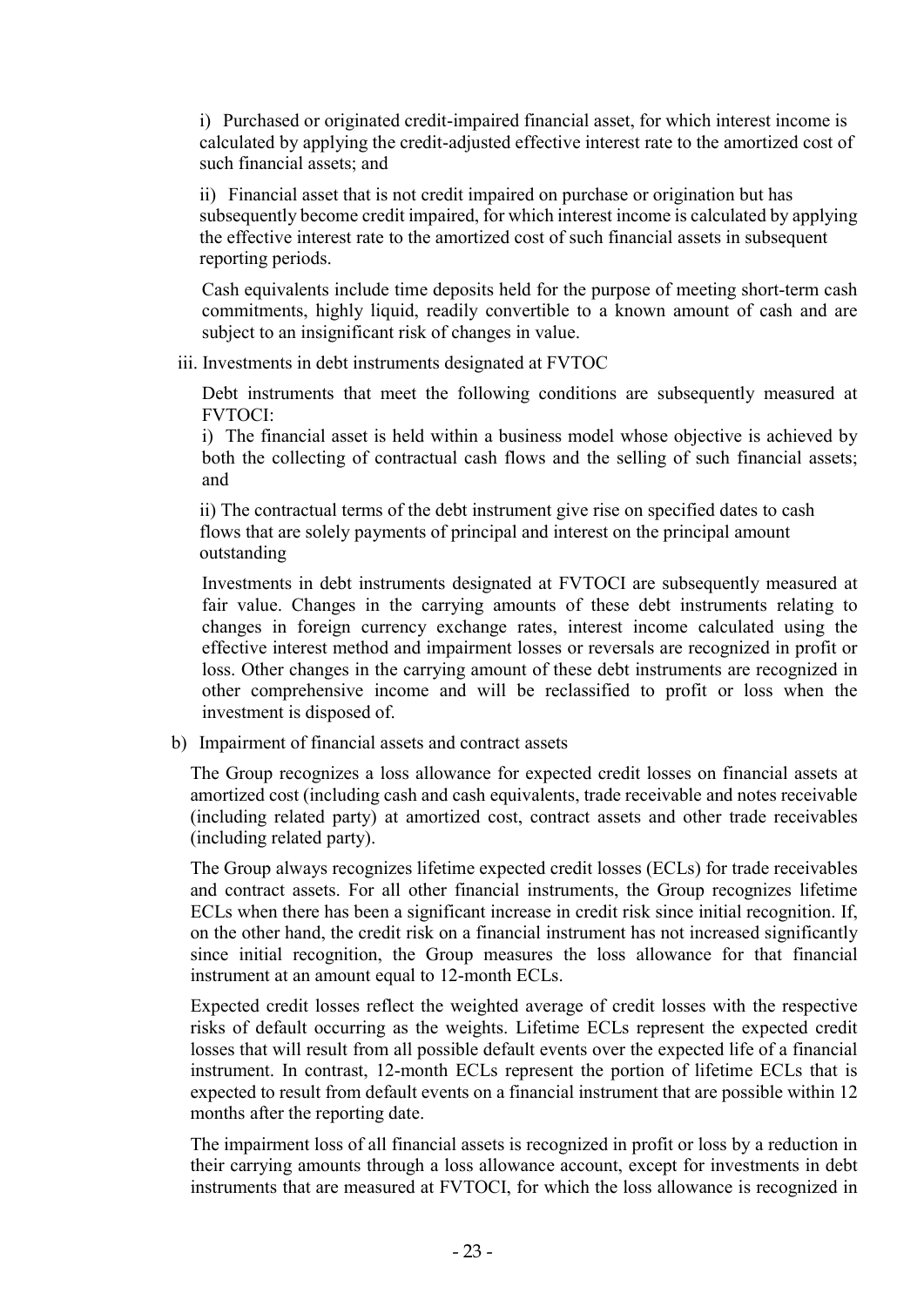i) Purchased or originated credit-impaired financial asset, for which interest income is calculated by applying the credit-adjusted effective interest rate to the amortized cost of such financial assets; and

ii) Financial asset that is not credit impaired on purchase or origination but has subsequently become credit impaired, for which interest income is calculated by applying the effective interest rate to the amortized cost of such financial assets in subsequent reporting periods.

Cash equivalents include time deposits held for the purpose of meeting short-term cash commitments, highly liquid, readily convertible to a known amount of cash and are subject to an insignificant risk of changes in value.

iii. Investments in debt instruments designated at FVTOC

Debt instruments that meet the following conditions are subsequently measured at FVTOCI:

i) The financial asset is held within a business model whose objective is achieved by both the collecting of contractual cash flows and the selling of such financial assets; and

ii) The contractual terms of the debt instrument give rise on specified dates to cash flows that are solely payments of principal and interest on the principal amount outstanding

Investments in debt instruments designated at FVTOCI are subsequently measured at fair value. Changes in the carrying amounts of these debt instruments relating to changes in foreign currency exchange rates, interest income calculated using the effective interest method and impairment losses or reversals are recognized in profit or loss. Other changes in the carrying amount of these debt instruments are recognized in other comprehensive income and will be reclassified to profit or loss when the investment is disposed of.

b) Impairment of financial assets and contract assets

The Group recognizes a loss allowance for expected credit losses on financial assets at amortized cost (including cash and cash equivalents, trade receivable and notes receivable (including related party) at amortized cost, contract assets and other trade receivables (including related party).

The Group always recognizes lifetime expected credit losses (ECLs) for trade receivables and contract assets. For all other financial instruments, the Group recognizes lifetime ECLs when there has been a significant increase in credit risk since initial recognition. If, on the other hand, the credit risk on a financial instrument has not increased significantly since initial recognition, the Group measures the loss allowance for that financial instrument at an amount equal to 12-month ECLs.

Expected credit losses reflect the weighted average of credit losses with the respective risks of default occurring as the weights. Lifetime ECLs represent the expected credit losses that will result from all possible default events over the expected life of a financial instrument. In contrast, 12-month ECLs represent the portion of lifetime ECLs that is expected to result from default events on a financial instrument that are possible within 12 months after the reporting date.

The impairment loss of all financial assets is recognized in profit or loss by a reduction in their carrying amounts through a loss allowance account, except for investments in debt instruments that are measured at FVTOCI, for which the loss allowance is recognized in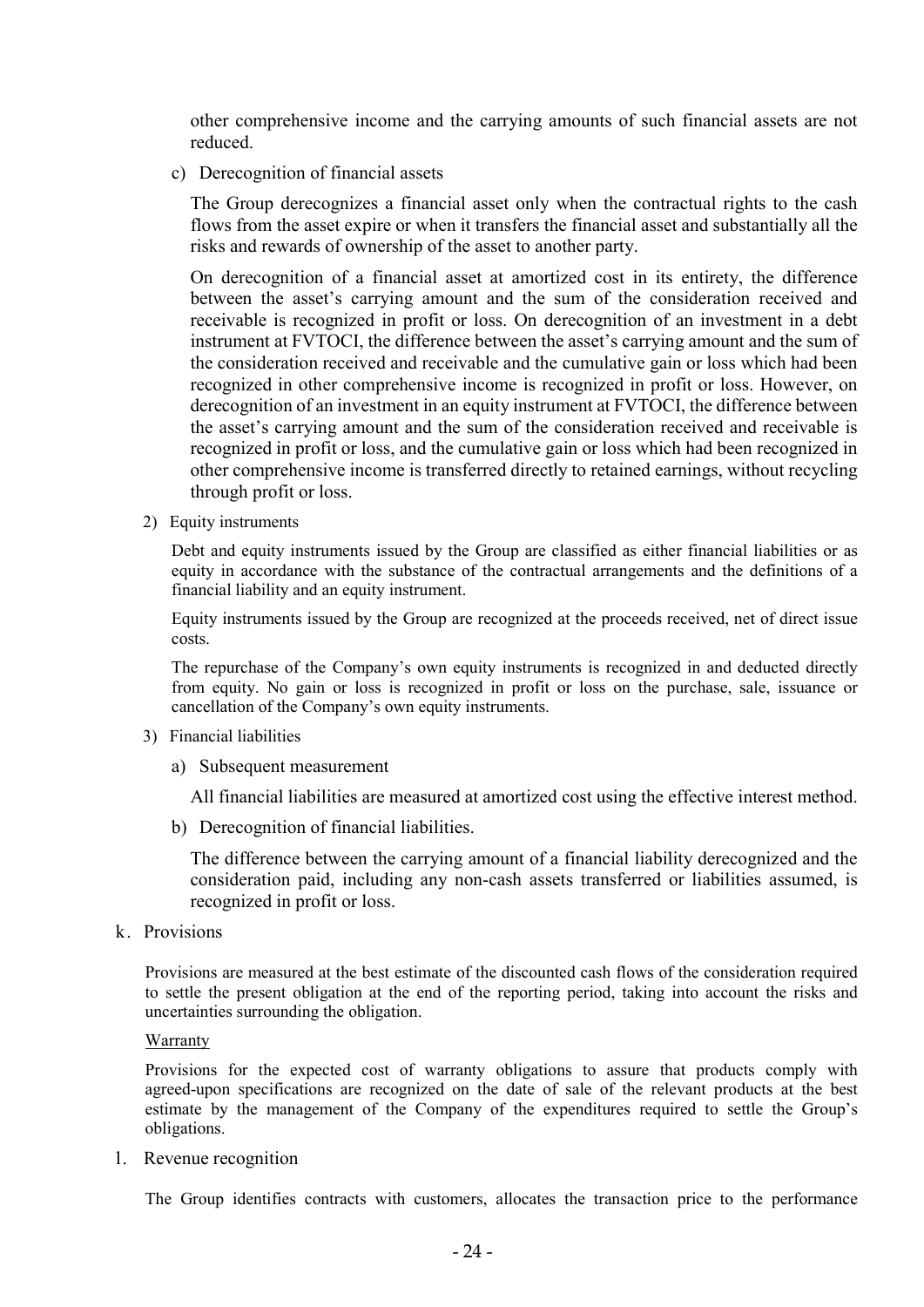other comprehensive income and the carrying amounts of such financial assets are not reduced.

c) Derecognition of financial assets

The Group derecognizes a financial asset only when the contractual rights to the cash flows from the asset expire or when it transfers the financial asset and substantially all the risks and rewards of ownership of the asset to another party.

On derecognition of a financial asset at amortized cost in its entirety, the difference between the asset's carrying amount and the sum of the consideration received and receivable is recognized in profit or loss. On derecognition of an investment in a debt instrument at FVTOCI, the difference between the asset's carrying amount and the sum of the consideration received and receivable and the cumulative gain or loss which had been recognized in other comprehensive income is recognized in profit or loss. However, on derecognition of an investment in an equity instrument at FVTOCI, the difference between the asset's carrying amount and the sum of the consideration received and receivable is recognized in profit or loss, and the cumulative gain or loss which had been recognized in other comprehensive income is transferred directly to retained earnings, without recycling through profit or loss.

2) Equity instruments

Debt and equity instruments issued by the Group are classified as either financial liabilities or as equity in accordance with the substance of the contractual arrangements and the definitions of a financial liability and an equity instrument.

Equity instruments issued by the Group are recognized at the proceeds received, net of direct issue costs.

The repurchase of the Company's own equity instruments is recognized in and deducted directly from equity. No gain or loss is recognized in profit or loss on the purchase, sale, issuance or cancellation of the Company's own equity instruments.

- 3) Financial liabilities
	- a) Subsequent measurement

All financial liabilities are measured at amortized cost using the effective interest method.

b) Derecognition of financial liabilities.

The difference between the carrying amount of a financial liability derecognized and the consideration paid, including any non-cash assets transferred or liabilities assumed, is recognized in profit or loss.

k. Provisions

Provisions are measured at the best estimate of the discounted cash flows of the consideration required to settle the present obligation at the end of the reporting period, taking into account the risks and uncertainties surrounding the obligation.

**Warranty** 

Provisions for the expected cost of warranty obligations to assure that products comply with agreed-upon specifications are recognized on the date of sale of the relevant products at the best estimate by the management of the Company of the expenditures required to settle the Group's obligations.

l. Revenue recognition

The Group identifies contracts with customers, allocates the transaction price to the performance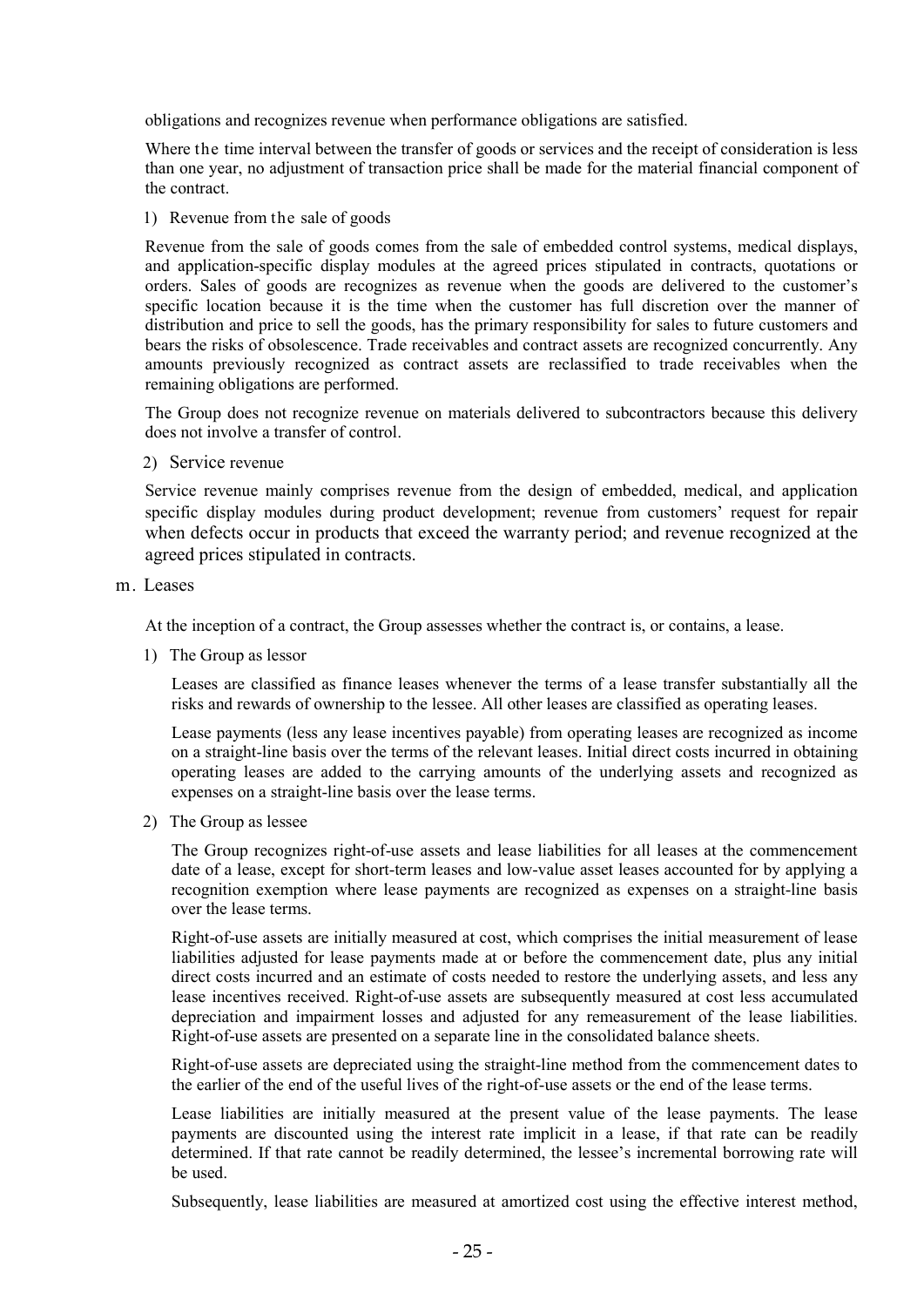obligations and recognizes revenue when performance obligations are satisfied.

Where the time interval between the transfer of goods or services and the receipt of consideration is less than one year, no adjustment of transaction price shall be made for the material financial component of the contract.

1) Revenue from the sale of goods

Revenue from the sale of goods comes from the sale of embedded control systems, medical displays, and application-specific display modules at the agreed prices stipulated in contracts, quotations or orders. Sales of goods are recognizes as revenue when the goods are delivered to the customer's specific location because it is the time when the customer has full discretion over the manner of distribution and price to sell the goods, has the primary responsibility for sales to future customers and bears the risks of obsolescence. Trade receivables and contract assets are recognized concurrently. Any amounts previously recognized as contract assets are reclassified to trade receivables when the remaining obligations are performed.

The Group does not recognize revenue on materials delivered to subcontractors because this delivery does not involve a transfer of control.

2) Service revenue

Service revenue mainly comprises revenue from the design of embedded, medical, and application specific display modules during product development; revenue from customers' request for repair when defects occur in products that exceed the warranty period; and revenue recognized at the agreed prices stipulated in contracts.

m. Leases

At the inception of a contract, the Group assesses whether the contract is, or contains, a lease.

1) The Group as lessor

Leases are classified as finance leases whenever the terms of a lease transfer substantially all the risks and rewards of ownership to the lessee. All other leases are classified as operating leases.

Lease payments (less any lease incentives payable) from operating leases are recognized as income on a straight-line basis over the terms of the relevant leases. Initial direct costs incurred in obtaining operating leases are added to the carrying amounts of the underlying assets and recognized as expenses on a straight-line basis over the lease terms.

2) The Group as lessee

The Group recognizes right-of-use assets and lease liabilities for all leases at the commencement date of a lease, except for short-term leases and low-value asset leases accounted for by applying a recognition exemption where lease payments are recognized as expenses on a straight-line basis over the lease terms.

Right-of-use assets are initially measured at cost, which comprises the initial measurement of lease liabilities adjusted for lease payments made at or before the commencement date, plus any initial direct costs incurred and an estimate of costs needed to restore the underlying assets, and less any lease incentives received. Right-of-use assets are subsequently measured at cost less accumulated depreciation and impairment losses and adjusted for any remeasurement of the lease liabilities. Right-of-use assets are presented on a separate line in the consolidated balance sheets.

Right-of-use assets are depreciated using the straight-line method from the commencement dates to the earlier of the end of the useful lives of the right-of-use assets or the end of the lease terms.

Lease liabilities are initially measured at the present value of the lease payments. The lease payments are discounted using the interest rate implicit in a lease, if that rate can be readily determined. If that rate cannot be readily determined, the lessee's incremental borrowing rate will be used.

Subsequently, lease liabilities are measured at amortized cost using the effective interest method,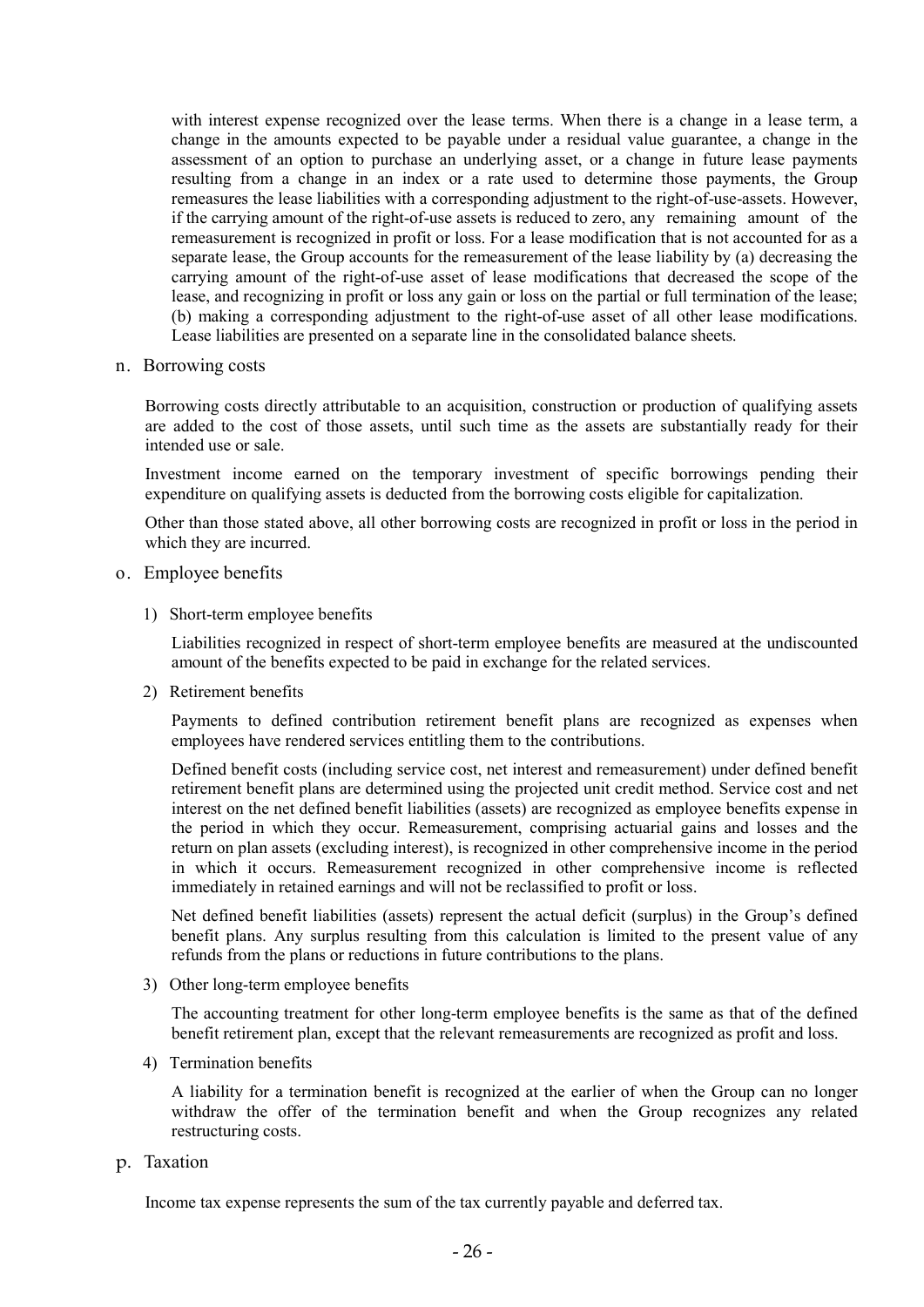with interest expense recognized over the lease terms. When there is a change in a lease term, a change in the amounts expected to be payable under a residual value guarantee, a change in the assessment of an option to purchase an underlying asset, or a change in future lease payments resulting from a change in an index or a rate used to determine those payments, the Group remeasures the lease liabilities with a corresponding adjustment to the right-of-use-assets. However, if the carrying amount of the right-of-use assets is reduced to zero, any remaining amount of the remeasurement is recognized in profit or loss. For a lease modification that is not accounted for as a separate lease, the Group accounts for the remeasurement of the lease liability by (a) decreasing the carrying amount of the right-of-use asset of lease modifications that decreased the scope of the lease, and recognizing in profit or loss any gain or loss on the partial or full termination of the lease; (b) making a corresponding adjustment to the right-of-use asset of all other lease modifications. Lease liabilities are presented on a separate line in the consolidated balance sheets.

n. Borrowing costs

Borrowing costs directly attributable to an acquisition, construction or production of qualifying assets are added to the cost of those assets, until such time as the assets are substantially ready for their intended use or sale.

Investment income earned on the temporary investment of specific borrowings pending their expenditure on qualifying assets is deducted from the borrowing costs eligible for capitalization.

Other than those stated above, all other borrowing costs are recognized in profit or loss in the period in which they are incurred.

- o. Employee benefits
	- 1) Short-term employee benefits

Liabilities recognized in respect of short-term employee benefits are measured at the undiscounted amount of the benefits expected to be paid in exchange for the related services.

2) Retirement benefits

Payments to defined contribution retirement benefit plans are recognized as expenses when employees have rendered services entitling them to the contributions.

Defined benefit costs (including service cost, net interest and remeasurement) under defined benefit retirement benefit plans are determined using the projected unit credit method. Service cost and net interest on the net defined benefit liabilities (assets) are recognized as employee benefits expense in the period in which they occur. Remeasurement, comprising actuarial gains and losses and the return on plan assets (excluding interest), is recognized in other comprehensive income in the period in which it occurs. Remeasurement recognized in other comprehensive income is reflected immediately in retained earnings and will not be reclassified to profit or loss.

Net defined benefit liabilities (assets) represent the actual deficit (surplus) in the Group's defined benefit plans. Any surplus resulting from this calculation is limited to the present value of any refunds from the plans or reductions in future contributions to the plans.

3) Other long-term employee benefits

The accounting treatment for other long-term employee benefits is the same as that of the defined benefit retirement plan, except that the relevant remeasurements are recognized as profit and loss.

4) Termination benefits

A liability for a termination benefit is recognized at the earlier of when the Group can no longer withdraw the offer of the termination benefit and when the Group recognizes any related restructuring costs.

p. Taxation

Income tax expense represents the sum of the tax currently payable and deferred tax.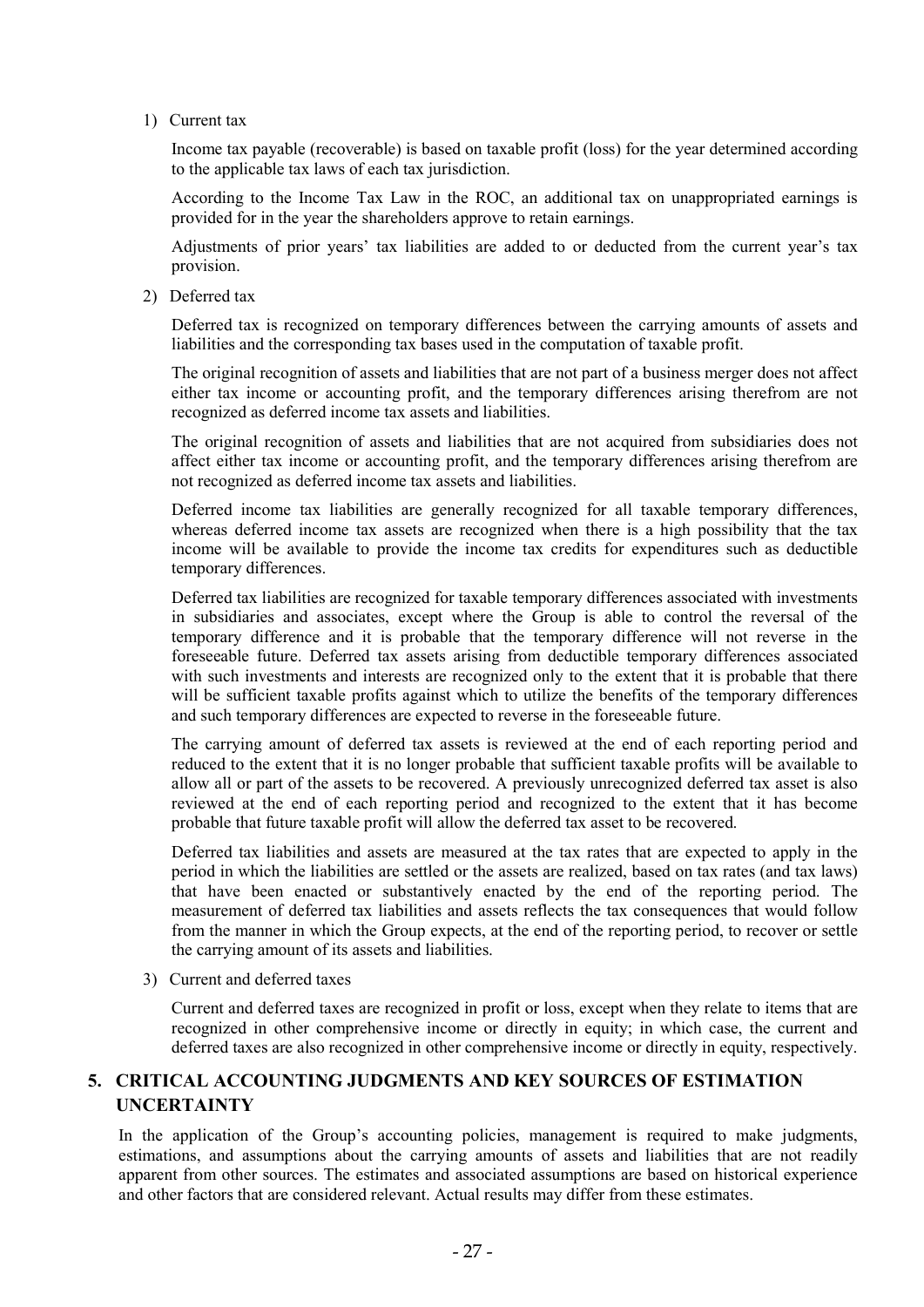1) Current tax

Income tax payable (recoverable) is based on taxable profit (loss) for the year determined according to the applicable tax laws of each tax jurisdiction.

According to the Income Tax Law in the ROC, an additional tax on unappropriated earnings is provided for in the year the shareholders approve to retain earnings.

Adjustments of prior years' tax liabilities are added to or deducted from the current year's tax provision.

2) Deferred tax

Deferred tax is recognized on temporary differences between the carrying amounts of assets and liabilities and the corresponding tax bases used in the computation of taxable profit.

The original recognition of assets and liabilities that are not part of a business merger does not affect either tax income or accounting profit, and the temporary differences arising therefrom are not recognized as deferred income tax assets and liabilities.

The original recognition of assets and liabilities that are not acquired from subsidiaries does not affect either tax income or accounting profit, and the temporary differences arising therefrom are not recognized as deferred income tax assets and liabilities.

Deferred income tax liabilities are generally recognized for all taxable temporary differences, whereas deferred income tax assets are recognized when there is a high possibility that the tax income will be available to provide the income tax credits for expenditures such as deductible temporary differences.

Deferred tax liabilities are recognized for taxable temporary differences associated with investments in subsidiaries and associates, except where the Group is able to control the reversal of the temporary difference and it is probable that the temporary difference will not reverse in the foreseeable future. Deferred tax assets arising from deductible temporary differences associated with such investments and interests are recognized only to the extent that it is probable that there will be sufficient taxable profits against which to utilize the benefits of the temporary differences and such temporary differences are expected to reverse in the foreseeable future.

The carrying amount of deferred tax assets is reviewed at the end of each reporting period and reduced to the extent that it is no longer probable that sufficient taxable profits will be available to allow all or part of the assets to be recovered. A previously unrecognized deferred tax asset is also reviewed at the end of each reporting period and recognized to the extent that it has become probable that future taxable profit will allow the deferred tax asset to be recovered.

Deferred tax liabilities and assets are measured at the tax rates that are expected to apply in the period in which the liabilities are settled or the assets are realized, based on tax rates (and tax laws) that have been enacted or substantively enacted by the end of the reporting period. The measurement of deferred tax liabilities and assets reflects the tax consequences that would follow from the manner in which the Group expects, at the end of the reporting period, to recover or settle the carrying amount of its assets and liabilities.

3) Current and deferred taxes

Current and deferred taxes are recognized in profit or loss, except when they relate to items that are recognized in other comprehensive income or directly in equity; in which case, the current and deferred taxes are also recognized in other comprehensive income or directly in equity, respectively.

# 5. CRITICAL ACCOUNTING JUDGMENTS AND KEY SOURCES OF ESTIMATION UNCERTAINTY

In the application of the Group's accounting policies, management is required to make judgments, estimations, and assumptions about the carrying amounts of assets and liabilities that are not readily apparent from other sources. The estimates and associated assumptions are based on historical experience and other factors that are considered relevant. Actual results may differ from these estimates.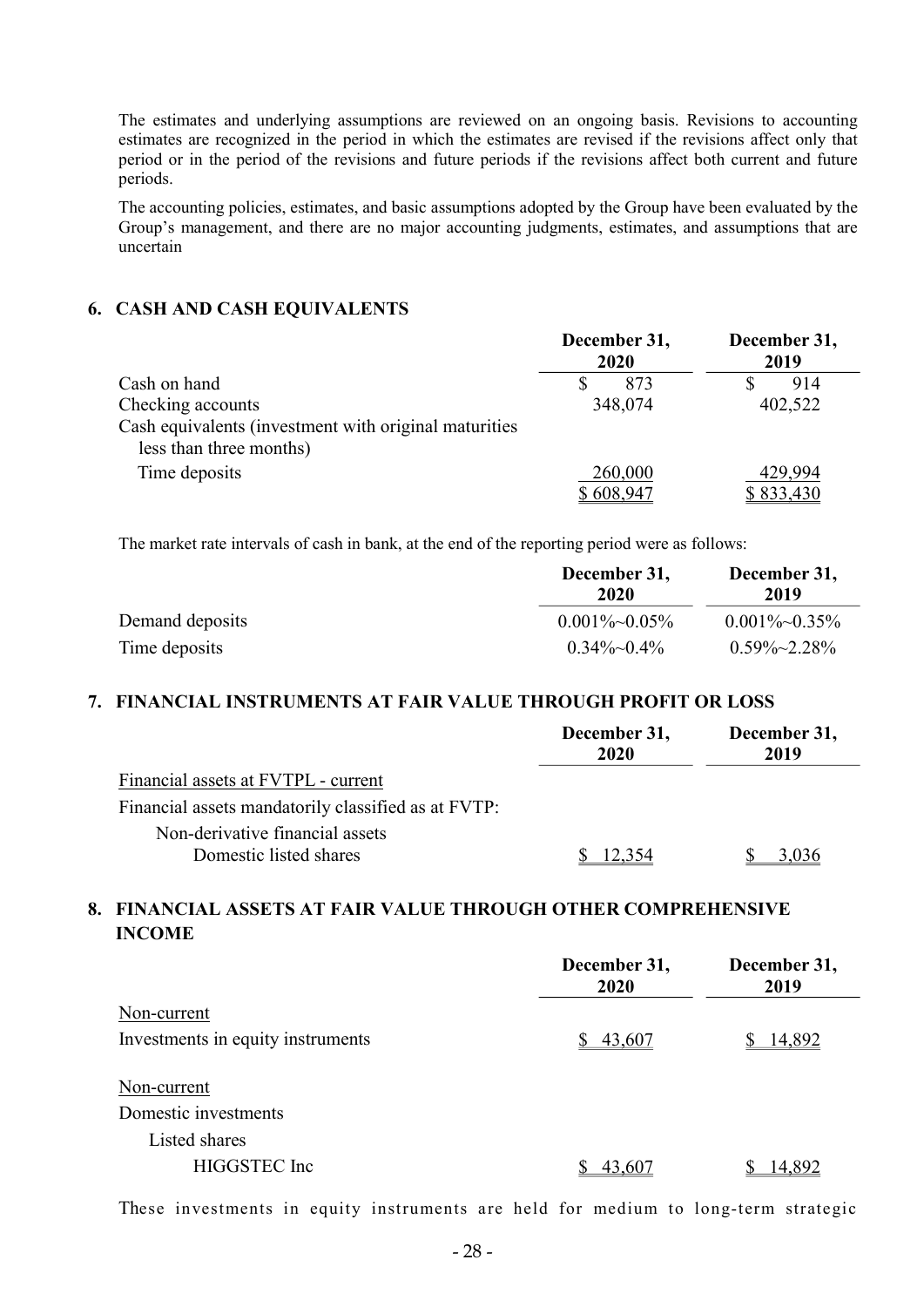The estimates and underlying assumptions are reviewed on an ongoing basis. Revisions to accounting estimates are recognized in the period in which the estimates are revised if the revisions affect only that period or in the period of the revisions and future periods if the revisions affect both current and future periods.

The accounting policies, estimates, and basic assumptions adopted by the Group have been evaluated by the Group's management, and there are no major accounting judgments, estimates, and assumptions that are uncertain

#### 6. CASH AND CASH EQUIVALENTS

|                                                                                  | December 31,<br>2020 | December 31,<br>2019 |
|----------------------------------------------------------------------------------|----------------------|----------------------|
| Cash on hand                                                                     | 873                  | 914                  |
| Checking accounts                                                                | 348,074              | 402,522              |
| Cash equivalents (investment with original maturities<br>less than three months) |                      |                      |
| Time deposits                                                                    | 260,000              | 429,994              |
|                                                                                  | \$608,947            | \$833,430            |

The market rate intervals of cash in bank, at the end of the reporting period were as follows:

|                 | December 31,<br>2020 | December 31,<br>2019 |  |
|-----------------|----------------------|----------------------|--|
| Demand deposits | $0.001\%$ $0.05\%$   | $0.001\%~0.35\%$     |  |
| Time deposits   | $0.34\%$ $\sim$ 0.4% | $0.59\% \sim 2.28\%$ |  |

#### 7. FINANCIAL INSTRUMENTS AT FAIR VALUE THROUGH PROFIT OR LOSS

|                                                           | December 31,<br>2020 | December 31,<br>2019 |
|-----------------------------------------------------------|----------------------|----------------------|
| Financial assets at FVTPL - current                       |                      |                      |
| Financial assets mandatorily classified as at FVTP:       |                      |                      |
| Non-derivative financial assets<br>Domestic listed shares | 12.354               | 3.036                |

# 8. FINANCIAL ASSETS AT FAIR VALUE THROUGH OTHER COMPREHENSIVE INCOME

|                                   | December 31,<br>2020 | December 31,<br>2019 |
|-----------------------------------|----------------------|----------------------|
| Non-current                       |                      |                      |
| Investments in equity instruments | \$43,607             | 14,892               |
| Non-current                       |                      |                      |
| Domestic investments              |                      |                      |
| Listed shares                     |                      |                      |
| HIGGSTEC Inc                      | 43,607               | 14,892               |

These investments in equity instruments are held for medium to long-term strategic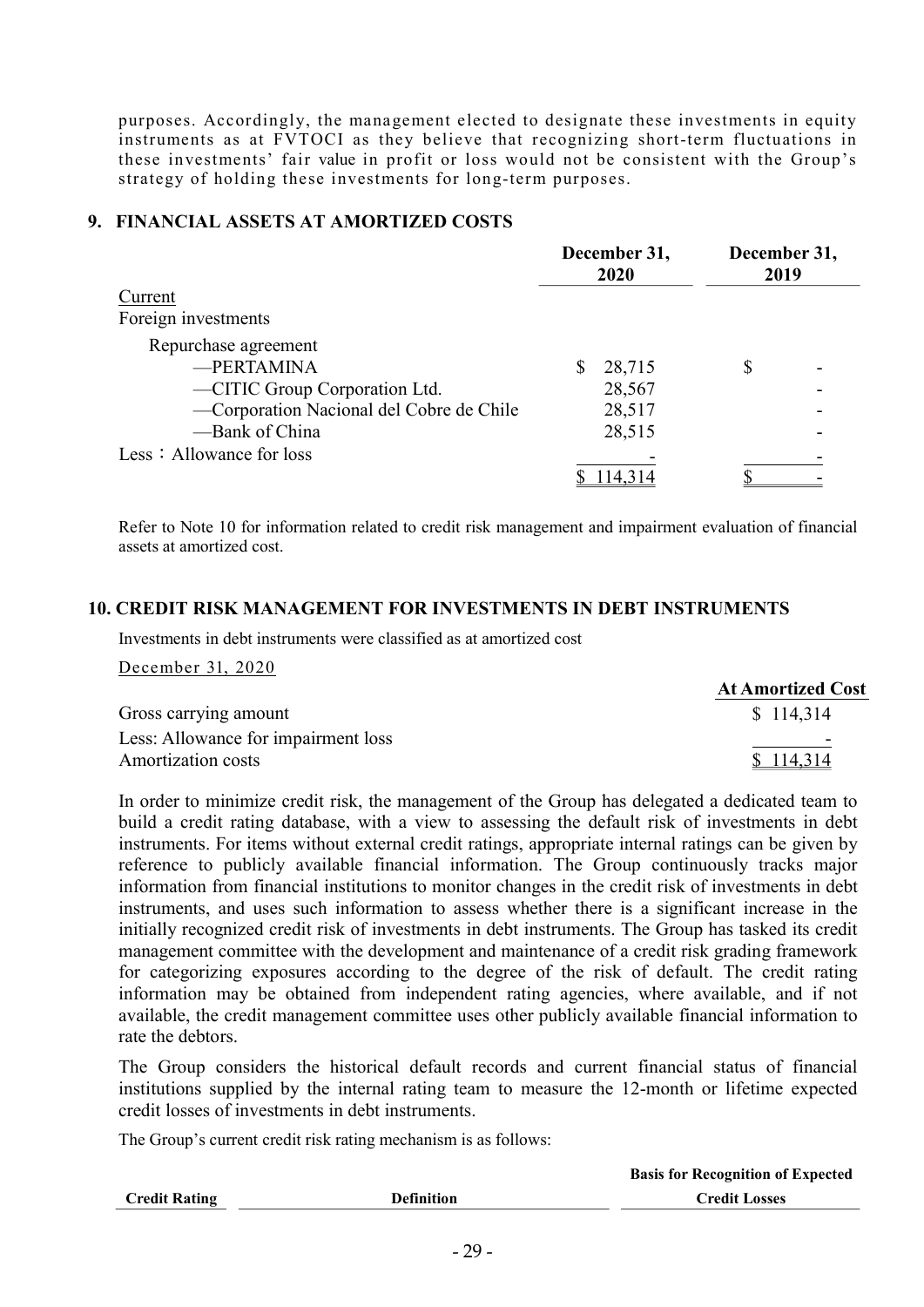purposes. Accordingly, the management elected to designate these investments in equity instruments as at FVTOCI as they believe that recognizing short-term fluctuations in these investments' fair value in profit or loss would not be consistent with the Group's strategy of holding these investments for long-term purposes.

### 9. FINANCIAL ASSETS AT AMORTIZED COSTS

|                                          |          | December 31,<br>2020 | December 31,<br>2019 |  |
|------------------------------------------|----------|----------------------|----------------------|--|
| Current                                  |          |                      |                      |  |
| Foreign investments                      |          |                      |                      |  |
| Repurchase agreement                     |          |                      |                      |  |
| -PERTAMINA                               | <b>S</b> | 28,715               |                      |  |
| -CITIC Group Corporation Ltd.            |          | 28,567               |                      |  |
| -Corporation Nacional del Cobre de Chile |          | 28,517               |                      |  |
| -Bank of China                           |          | 28,515               |                      |  |
| Less: Allowance for loss                 |          |                      |                      |  |
|                                          |          | 114,314              |                      |  |

Refer to Note 10 for information related to credit risk management and impairment evaluation of financial assets at amortized cost.

### 10. CREDIT RISK MANAGEMENT FOR INVESTMENTS IN DEBT INSTRUMENTS

Investments in debt instruments were classified as at amortized cost

December 31, 2020

|                                     | <b>At Amortized Cost</b> |
|-------------------------------------|--------------------------|
| Gross carrying amount               | \$114,314                |
| Less: Allowance for impairment loss |                          |
| Amortization costs                  | \$114,314                |

In order to minimize credit risk, the management of the Group has delegated a dedicated team to build a credit rating database, with a view to assessing the default risk of investments in debt instruments. For items without external credit ratings, appropriate internal ratings can be given by reference to publicly available financial information. The Group continuously tracks major information from financial institutions to monitor changes in the credit risk of investments in debt instruments, and uses such information to assess whether there is a significant increase in the initially recognized credit risk of investments in debt instruments. The Group has tasked its credit management committee with the development and maintenance of a credit risk grading framework for categorizing exposures according to the degree of the risk of default. The credit rating information may be obtained from independent rating agencies, where available, and if not available, the credit management committee uses other publicly available financial information to rate the debtors.

The Group considers the historical default records and current financial status of financial institutions supplied by the internal rating team to measure the 12-month or lifetime expected credit losses of investments in debt instruments.

The Group's current credit risk rating mechanism is as follows:

|                      |                   | <b>Basis for Recognition of Expected</b> |
|----------------------|-------------------|------------------------------------------|
| <b>Credit Rating</b> | <b>Definition</b> | <b>Credit Losses</b>                     |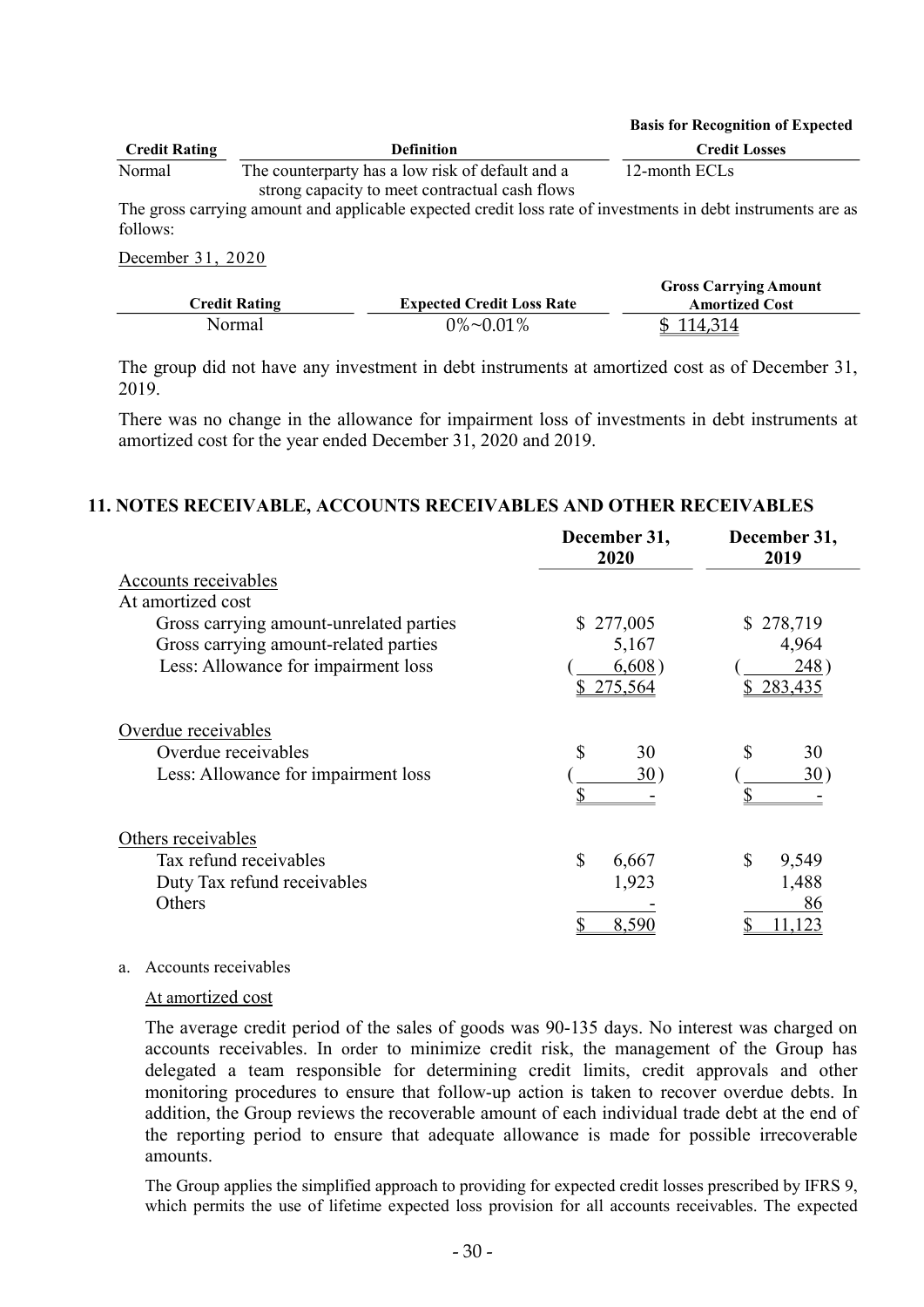#### Basis for Recognition of Expected

| <b>Credit Rating</b> | <b>Definition</b>                                | <b>Credit Losses</b> |
|----------------------|--------------------------------------------------|----------------------|
| Normal               | The counterparty has a low risk of default and a | 12-month ECLs        |
|                      | strong capacity to meet contractual cash flows   |                      |

The gross carrying amount and applicable expected credit loss rate of investments in debt instruments are as follows:

December 31, 2020

|                      |                                  | <b>Gross Carrying Amount</b> |
|----------------------|----------------------------------|------------------------------|
| <b>Credit Rating</b> | <b>Expected Credit Loss Rate</b> | <b>Amortized Cost</b>        |
| Normal               | $0\%$ ~0.01%                     | \$114,314                    |

The group did not have any investment in debt instruments at amortized cost as of December 31, 2019.

There was no change in the allowance for impairment loss of investments in debt instruments at amortized cost for the year ended December 31, 2020 and 2019.

#### 11. NOTES RECEIVABLE, ACCOUNTS RECEIVABLES AND OTHER RECEIVABLES

|                                         | December 31,<br>2020 | December 31,<br>2019       |
|-----------------------------------------|----------------------|----------------------------|
| Accounts receivables                    |                      |                            |
| At amortized cost                       |                      |                            |
| Gross carrying amount-unrelated parties | 277,005<br>S.        | \$278,719                  |
| Gross carrying amount-related parties   | 5,167                | 4,964                      |
| Less: Allowance for impairment loss     | 6,608)<br>\$275,564  | $248^{\circ}$<br>\$283,435 |
| Overdue receivables                     |                      |                            |
| Overdue receivables                     | \$<br>30             | 30                         |
| Less: Allowance for impairment loss     | 30)<br>\$            | 30)                        |
| Others receivables                      |                      |                            |
| Tax refund receivables                  | \$<br>6,667          | \$<br>9,549                |
| Duty Tax refund receivables             | 1,923                | 1,488                      |
| Others                                  |                      | 86                         |
|                                         | 8,590                | 11.123                     |

#### a. Accounts receivables

#### At amortized cost

The average credit period of the sales of goods was 90-135 days. No interest was charged on accounts receivables. In order to minimize credit risk, the management of the Group has delegated a team responsible for determining credit limits, credit approvals and other monitoring procedures to ensure that follow-up action is taken to recover overdue debts. In addition, the Group reviews the recoverable amount of each individual trade debt at the end of the reporting period to ensure that adequate allowance is made for possible irrecoverable amounts.

The Group applies the simplified approach to providing for expected credit losses prescribed by IFRS 9, which permits the use of lifetime expected loss provision for all accounts receivables. The expected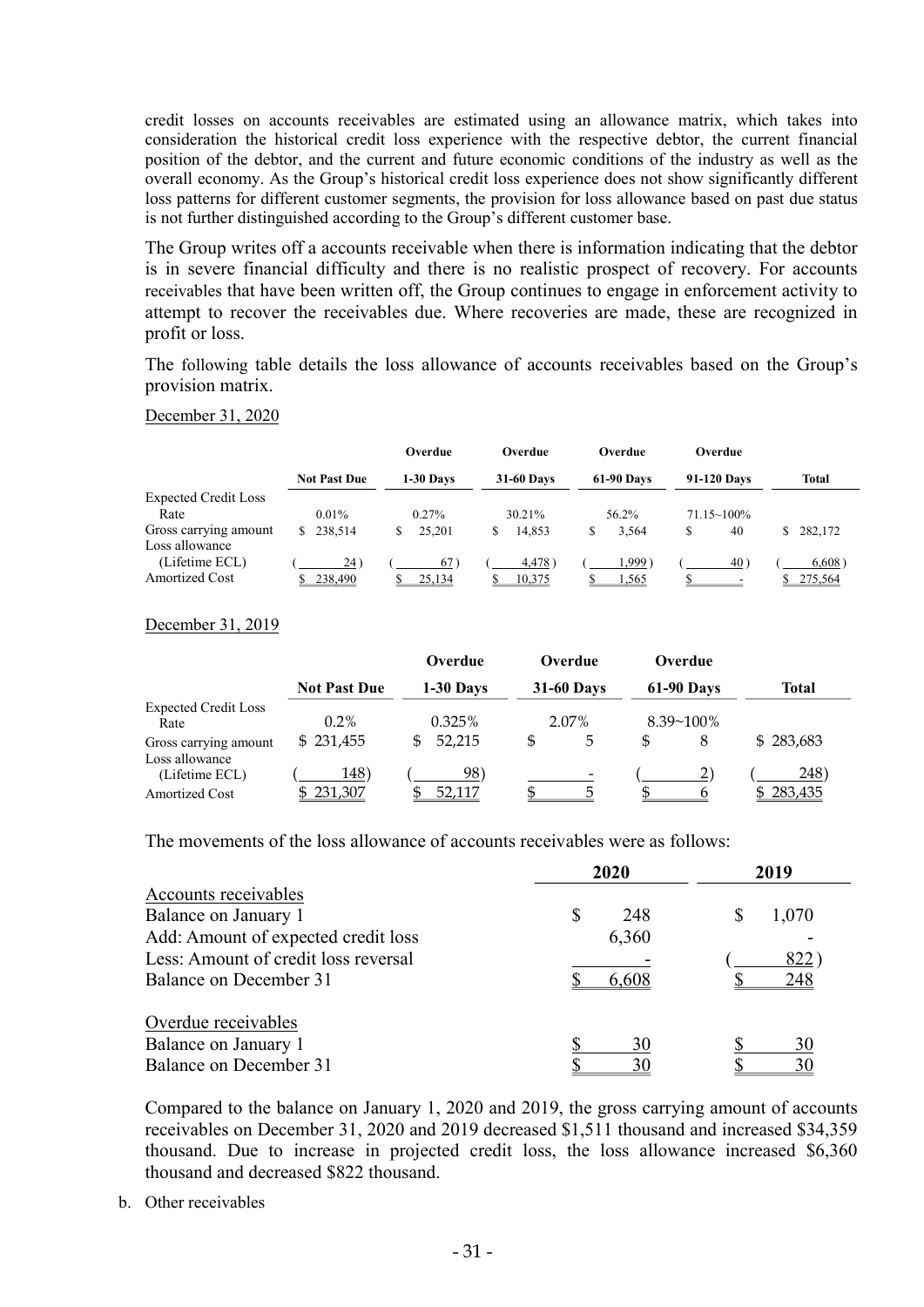credit losses on accounts receivables are estimated using an allowance matrix, which takes into consideration the historical credit loss experience with the respective debtor, the current financial position of the debtor, and the current and future economic conditions of the industry as well as the overall economy. As the Group's historical credit loss experience does not show significantly different loss patterns for different customer segments, the provision for loss allowance based on past due status is not further distinguished according to the Group's different customer base.

The Group writes off a accounts receivable when there is information indicating that the debtor is in severe financial difficulty and there is no realistic prospect of recovery. For accounts receivables that have been written off, the Group continues to engage in enforcement activity to attempt to recover the receivables due. Where recoveries are made, these are recognized in profit or loss.

The following table details the loss allowance of accounts receivables based on the Group's provision matrix.

#### December 31, 2020

|                             |                     | Overdue         | Overdue           | <b>Overdue</b>    | <b>Overdue</b>       |         |
|-----------------------------|---------------------|-----------------|-------------------|-------------------|----------------------|---------|
|                             | <b>Not Past Due</b> | 1-30 Davs       | <b>31-60 Days</b> | <b>61-90 Days</b> | 91-120 Davs          | Total   |
| <b>Expected Credit Loss</b> |                     |                 |                   |                   |                      |         |
| Rate                        | $0.01\%$            | $0.27\%$        | 30.21%            | 56.2%             | $71.15 \times 100\%$ |         |
| Gross carrying amount       | \$238,514           | 25,201          | 14.853<br>S       | 3.564             | 40                   | 282,172 |
| Loss allowance              |                     |                 |                   |                   |                      |         |
| (Lifetime ECL)              | 24)                 | 67 <sup>°</sup> | 4,478             | ∶999.،            | $40^{\circ}$         | 6,608)  |
| Amortized Cost              | 238,490             | 25,134          | 10,375            | 1,565             |                      | 275,564 |

#### December 31, 2019

|                                         |                     | Overdue      | Overdue           | Overdue           |              |
|-----------------------------------------|---------------------|--------------|-------------------|-------------------|--------------|
|                                         | <b>Not Past Due</b> | 1-30 Days    | <b>31-60 Days</b> | <b>61-90 Days</b> | <b>Total</b> |
| <b>Expected Credit Loss</b><br>Rate     | $0.2\%$             | 0.325%       | 2.07%             | $8.39 - 100\%$    |              |
| Gross carrying amount<br>Loss allowance | \$231,455           | 52,215<br>\$ | \$.<br>5          | \$.<br>8          | \$283,683    |
| (Lifetime ECL)                          | 148)                | 98)          | $\,$              |                   | 248)         |
| Amortized Cost                          | \$231,307           | 52.117       |                   |                   | 283,435      |

The movements of the loss allowance of accounts receivables were as follows:

|                                      | 2020     | 2019  |
|--------------------------------------|----------|-------|
| Accounts receivables                 |          |       |
| Balance on January 1                 | 248<br>S | 1,070 |
| Add: Amount of expected credit loss  | 6,360    |       |
| Less: Amount of credit loss reversal |          | 822   |
| Balance on December 31               | 6,608    | 248   |
| Overdue receivables                  |          |       |
| Balance on January 1                 | 30       | 30    |
| Balance on December 31               | 30       | 30    |

Compared to the balance on January 1, 2020 and 2019, the gross carrying amount of accounts receivables on December 31, 2020 and 2019 decreased \$1,511 thousand and increased \$34,359 thousand. Due to increase in projected credit loss, the loss allowance increased \$6,360 thousand and decreased \$822 thousand.

b. Other receivables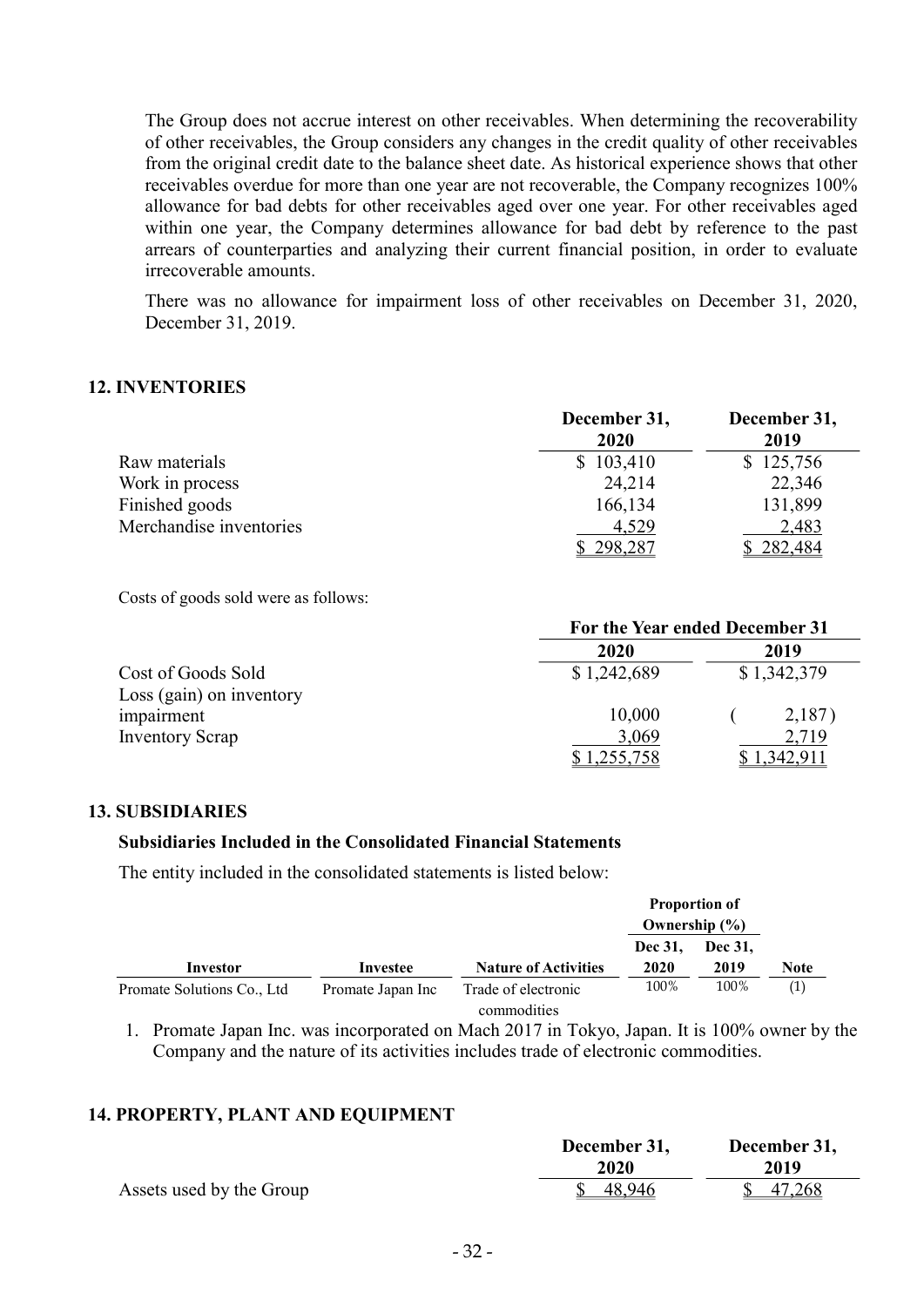The Group does not accrue interest on other receivables. When determining the recoverability of other receivables, the Group considers any changes in the credit quality of other receivables from the original credit date to the balance sheet date. As historical experience shows that other receivables overdue for more than one year are not recoverable, the Company recognizes 100% allowance for bad debts for other receivables aged over one year. For other receivables aged within one year, the Company determines allowance for bad debt by reference to the past arrears of counterparties and analyzing their current financial position, in order to evaluate irrecoverable amounts.

There was no allowance for impairment loss of other receivables on December 31, 2020, December 31, 2019.

### 12. INVENTORIES

|                         | December 31,<br>2020 | December 31,<br>2019 |
|-------------------------|----------------------|----------------------|
| Raw materials           | \$103,410            | \$125,756            |
| Work in process         | 24,214               | 22,346               |
| Finished goods          | 166,134              | 131,899              |
| Merchandise inventories | 4,529                | 2,483                |
|                         | 298,287              | \$282,484            |

Costs of goods sold were as follows:

|                          | For the Year ended December 31 |             |  |
|--------------------------|--------------------------------|-------------|--|
|                          | 2020                           | 2019        |  |
| Cost of Goods Sold       | \$1,242,689                    | \$1,342,379 |  |
| Loss (gain) on inventory |                                |             |  |
| impairment               | 10,000                         | 2,187)      |  |
| <b>Inventory Scrap</b>   | 3,069                          | 2,719       |  |
|                          | <u>,255,758</u>                | .342.91     |  |

#### 13. SUBSIDIARIES

#### Subsidiaries Included in the Consolidated Financial Statements

The entity included in the consolidated statements is listed below:

|                            |                   |                                    |                   | <b>Proportion of</b> |      |
|----------------------------|-------------------|------------------------------------|-------------------|----------------------|------|
|                            |                   |                                    | Ownership $(\% )$ |                      |      |
|                            |                   |                                    | Dec 31,           | Dec 31,              |      |
| Investor                   | Investee          | <b>Nature of Activities</b>        | 2020              | 2019                 | Note |
| Promate Solutions Co., Ltd | Promate Japan Inc | Trade of electronic<br>commodities | 100%              | 100%                 | (1)  |

1. Promate Japan Inc. was incorporated on Mach 2017 in Tokyo, Japan. It is 100% owner by the Company and the nature of its activities includes trade of electronic commodities.

### 14. PROPERTY, PLANT AND EQUIPMENT

|                          | December 31,<br>2020 | December 31, |
|--------------------------|----------------------|--------------|
|                          |                      | 2019         |
| Assets used by the Group | 48,946               | 47,268       |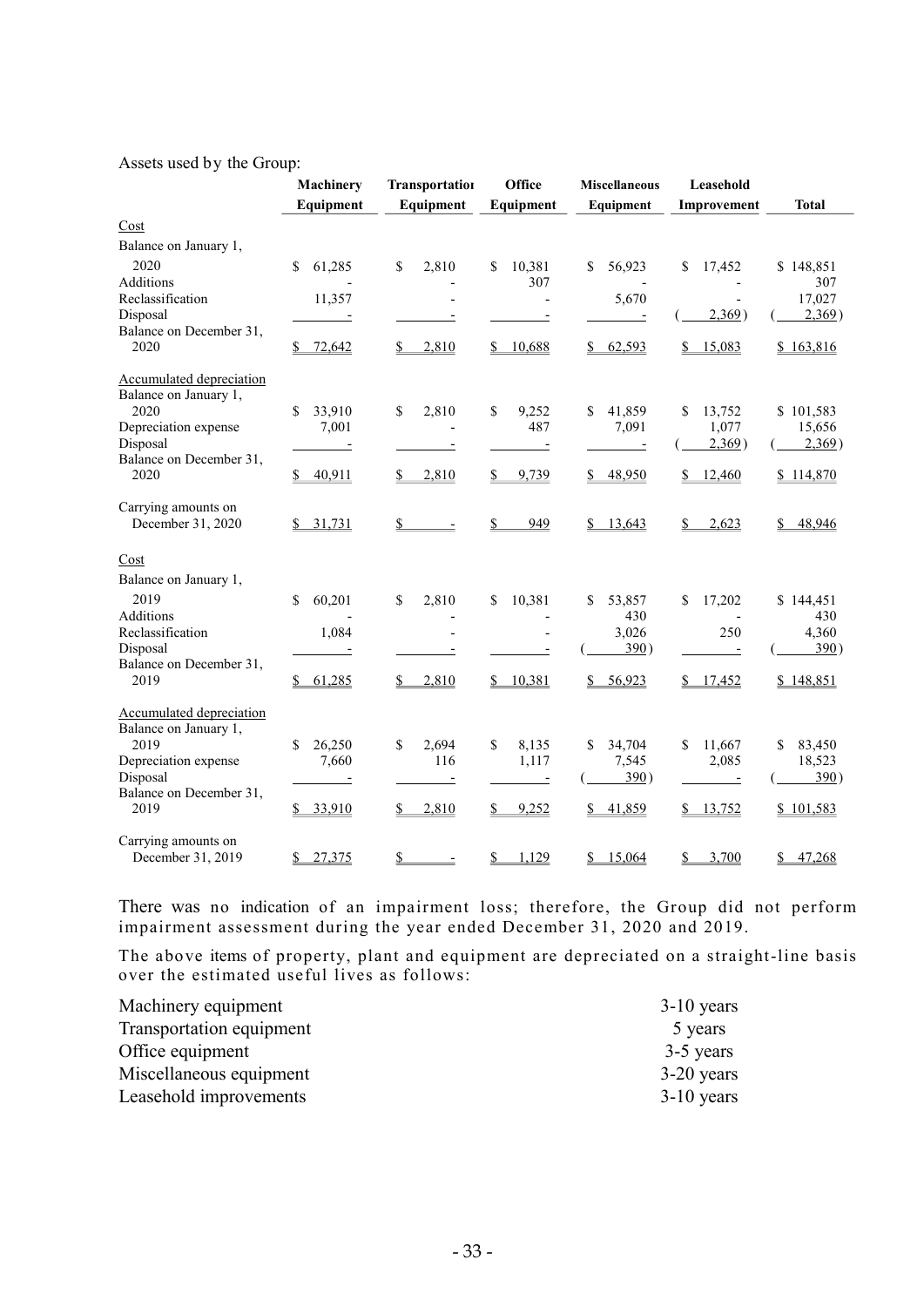#### Assets used by the Group:

|                                 | Machinery                | <b>Transportation</b>                   | Office                   | <b>Miscellaneous</b>     | Leasehold                |                   |
|---------------------------------|--------------------------|-----------------------------------------|--------------------------|--------------------------|--------------------------|-------------------|
|                                 | Equipment                | Equipment                               | Equipment                | Equipment                | Improvement              | <b>Total</b>      |
| Cost                            |                          |                                         |                          |                          |                          |                   |
| Balance on January 1,           |                          |                                         |                          |                          |                          |                   |
| 2020                            | 61,285<br>\$             | \$<br>2,810                             | \$<br>10,381             | 56,923<br>\$             | \$<br>17,452             | \$148,851         |
| Additions                       |                          |                                         | 307                      |                          | $\overline{\phantom{a}}$ | 307               |
| Reclassification                | 11,357                   |                                         |                          | 5,670                    |                          | 17,027            |
| Disposal                        |                          |                                         |                          | $\overline{\phantom{a}}$ | 2,369)                   | 2,369)            |
| Balance on December 31,<br>2020 | \$72,642                 | 2,810                                   | \$10,688                 | \$62,593                 | 15,083                   | \$163,816         |
| Accumulated depreciation        |                          |                                         |                          |                          |                          |                   |
| Balance on January 1,           |                          |                                         |                          |                          |                          |                   |
| 2020                            | \$<br>33,910             | \$<br>2,810                             | \$<br>9,252              | 41,859<br>S.             | \$<br>13,752             | \$101,583         |
| Depreciation expense            | 7,001                    |                                         | 487                      | 7,091                    | 1,077                    | 15,656            |
| Disposal                        | Ξ                        |                                         |                          | $\equiv$                 | 2,369)                   | 2,369)            |
| Balance on December 31,         |                          |                                         |                          |                          |                          |                   |
| 2020                            | \$<br>40,911             | 2,810                                   | \$<br>9,739              | 48,950<br>\$             | 12,460<br>\$             | \$114,870         |
| Carrying amounts on             |                          |                                         |                          |                          |                          |                   |
| December 31, 2020               | \$31,731                 | $\mathbf{s}$<br>$\overline{a}$          | \$<br>949                | \$13,643                 | 2,623<br>S.              | \$48,946          |
| Cost                            |                          |                                         |                          |                          |                          |                   |
| Balance on January 1,           |                          |                                         |                          |                          |                          |                   |
| 2019                            | \$<br>60,201             | 2,810<br>\$                             | \$<br>10,381             | 53,857<br>\$             | \$<br>17,202             | \$144,451         |
| Additions                       |                          |                                         |                          | 430                      |                          | 430               |
| Reclassification                | 1,084                    | $\overline{\phantom{a}}$                |                          | 3,026                    | 250                      | 4,360             |
| Disposal                        |                          |                                         |                          | <u>390)</u>              |                          | 390)              |
| Balance on December 31,         |                          |                                         |                          |                          |                          |                   |
| 2019                            | \$<br>61,285             | \$<br>2,810                             | \$<br>10,381             | \$<br>56,923             | 17,452<br>\$             | \$148,851         |
| <b>Accumulated depreciation</b> |                          |                                         |                          |                          |                          |                   |
| Balance on January 1,           |                          |                                         |                          |                          |                          |                   |
| 2019                            | 26,250<br>\$             | \$<br>2,694                             | \$<br>8,135              | 34,704<br>\$             | \$<br>11,667             | \$<br>83,450      |
| Depreciation expense            | 7,660                    | 116                                     | 1,117                    | 7,545                    | 2,085                    | 18,523            |
| Disposal                        | $\overline{\phantom{a}}$ | $\equiv$                                | $\overline{\phantom{a}}$ | 390)                     | $\overline{\phantom{a}}$ | 390)              |
| Balance on December 31,         |                          |                                         |                          |                          |                          |                   |
| 2019                            | \$33,910                 | \$<br>2,810                             | \$<br>9,252              | $\mathbb{S}^-$<br>41,859 | \$<br><u>13,752</u>      | \$101,583         |
| Carrying amounts on             |                          |                                         |                          |                          |                          |                   |
| December 31, 2019               | \$27,375                 | $\mathbf{\underline{\mathcal{S}}}$<br>Ŀ | \$<br>1,129              | \$<br>15,064             | \$<br>3,700              | $S_{-}$<br>47,268 |

There was no indication of an impairment loss; therefore, the Group did not perform impairment assessment during the year ended December 31, 2020 and 2019.

The above items of property, plant and equipment are depreciated on a straight-line basis over the estimated useful lives as follows:

| Machinery equipment      | $3-10$ years |
|--------------------------|--------------|
| Transportation equipment | 5 years      |
| Office equipment         | 3-5 years    |
| Miscellaneous equipment  | $3-20$ years |
| Leasehold improvements   | $3-10$ years |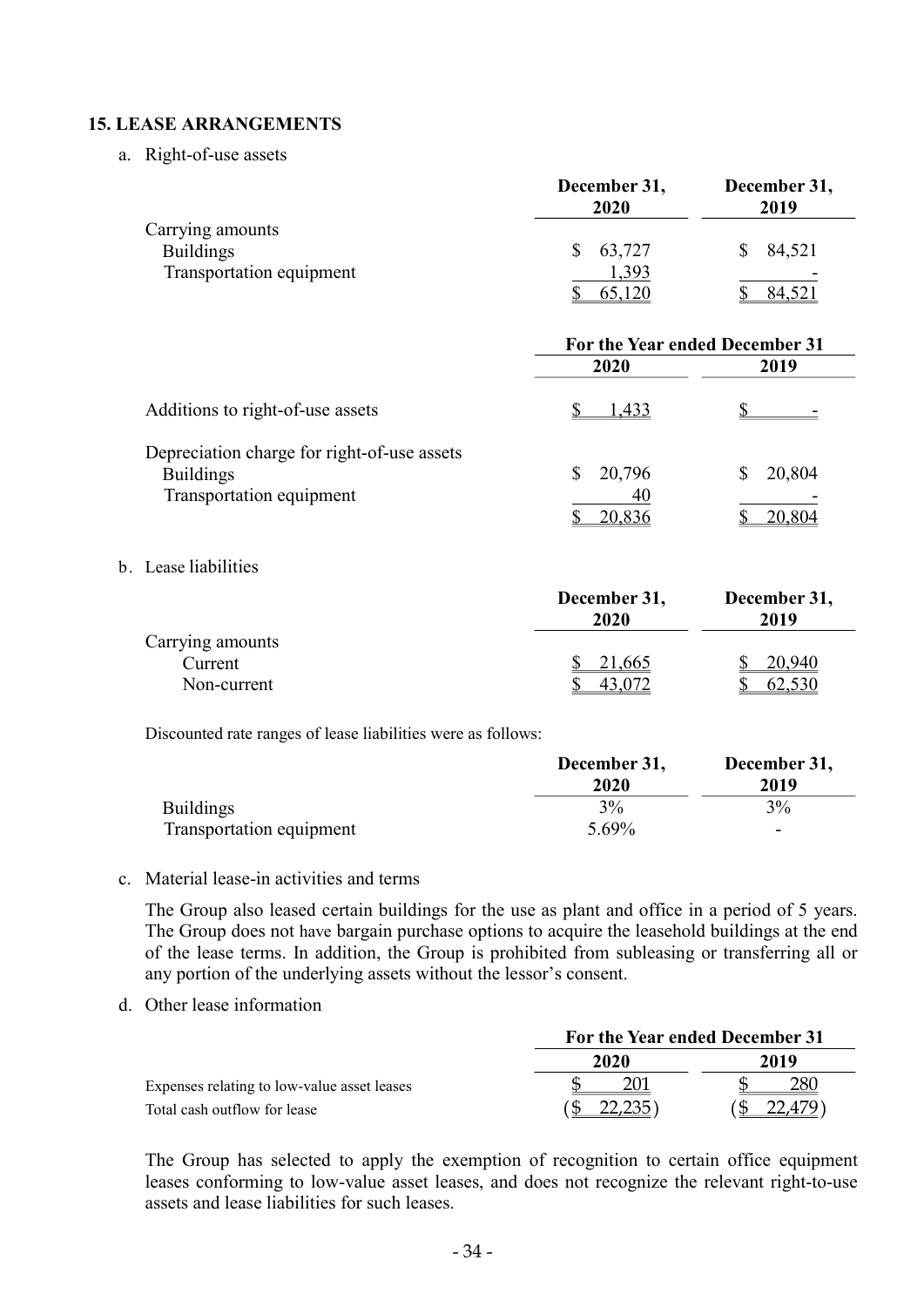### 15. LEASE ARRANGEMENTS

a. Right-of-use assets

|                          | December 31,<br>2020 | December 31,<br>2019 |
|--------------------------|----------------------|----------------------|
| Carrying amounts         |                      |                      |
| <b>Buildings</b>         | 63,727               | 84,521               |
| Transportation equipment | .393                 | -                    |
|                          |                      | 84,521               |

|                                                                                             | For the Year ended December 31 |        |
|---------------------------------------------------------------------------------------------|--------------------------------|--------|
|                                                                                             | 2020                           | 2019   |
| Additions to right-of-use assets                                                            | 1.433                          |        |
| Depreciation charge for right-of-use assets<br><b>Buildings</b><br>Transportation equipment | 20,796<br>40                   | 20,804 |
|                                                                                             | 20,836                         | 20,804 |

#### b. Lease liabilities

|                  | December 31,<br>2020 | December 31,<br>2019 |
|------------------|----------------------|----------------------|
| Carrying amounts |                      |                      |
| Current          | 21,665               | 20,940               |
| Non-current      |                      | 62,530               |

Discounted rate ranges of lease liabilities were as follows:

|                          | December 31, | December 31, |
|--------------------------|--------------|--------------|
|                          | 2020         | 2019         |
| <b>Buildings</b>         | 3%           | 3%           |
| Transportation equipment | 5.69%        | -            |

#### c. Material lease-in activities and terms

The Group also leased certain buildings for the use as plant and office in a period of 5 years. The Group does not have bargain purchase options to acquire the leasehold buildings at the end of the lease terms. In addition, the Group is prohibited from subleasing or transferring all or any portion of the underlying assets without the lessor's consent.

d. Other lease information

|                                             | For the Year ended December 31 |      |  |
|---------------------------------------------|--------------------------------|------|--|
|                                             | 2020                           | 2019 |  |
| Expenses relating to low-value asset leases |                                |      |  |
| Total cash outflow for lease                | 22.235                         |      |  |

The Group has selected to apply the exemption of recognition to certain office equipment leases conforming to low-value asset leases, and does not recognize the relevant right-to-use assets and lease liabilities for such leases.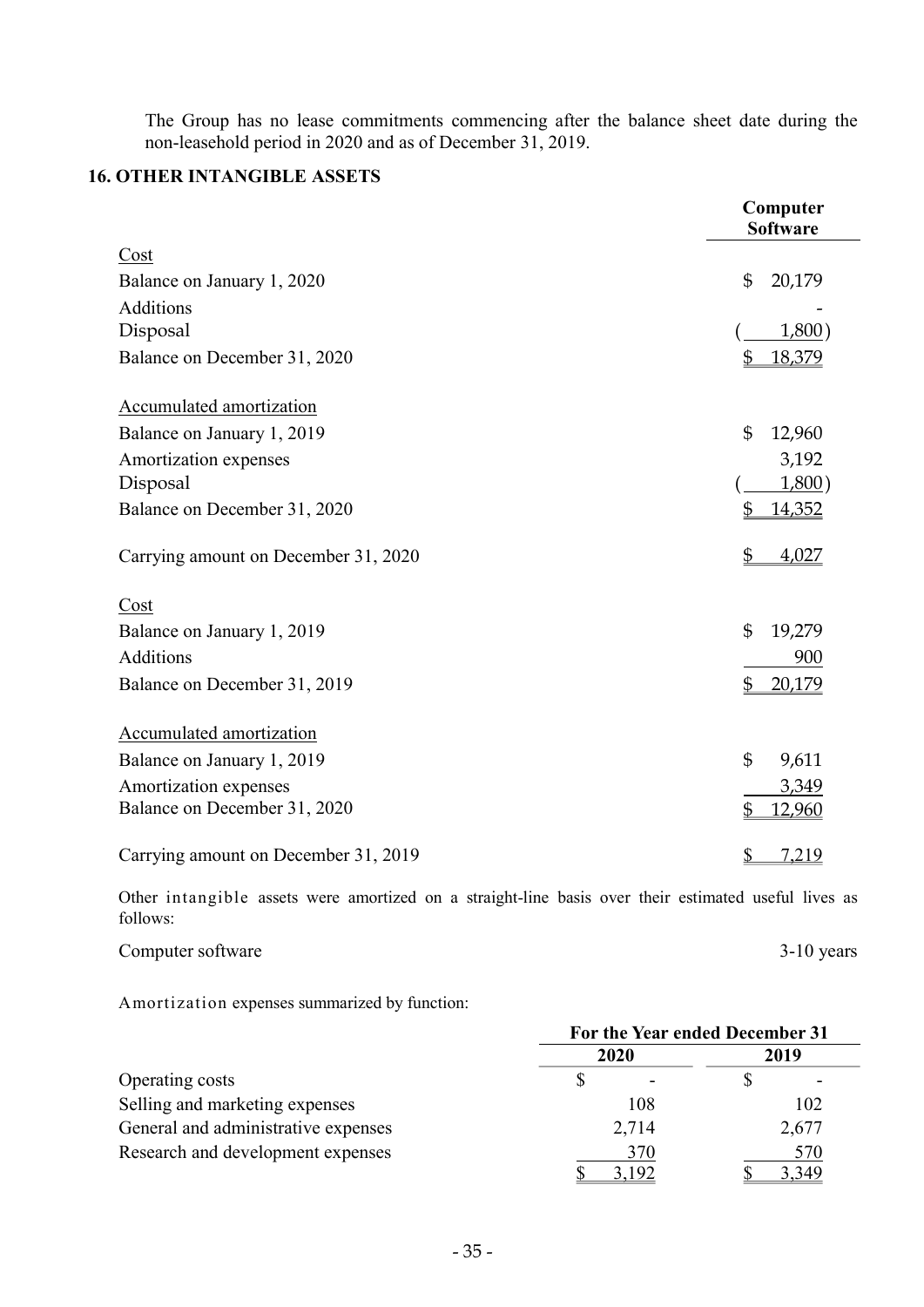The Group has no lease commitments commencing after the balance sheet date during the non-leasehold period in 2020 and as of December 31, 2019.

### 16. OTHER INTANGIBLE ASSETS

|                                      | Computer<br><b>Software</b> |
|--------------------------------------|-----------------------------|
| Cost                                 |                             |
| Balance on January 1, 2020           | $\mathfrak{S}$<br>20,179    |
| <b>Additions</b>                     |                             |
| Disposal                             | 1,800                       |
| Balance on December 31, 2020         | 18,379<br>\$                |
| Accumulated amortization             |                             |
| Balance on January 1, 2019           | $\mathfrak{S}$<br>12,960    |
| Amortization expenses                | 3,192                       |
| Disposal                             | 1,800)                      |
| Balance on December 31, 2020         | 14,352<br>\$                |
| Carrying amount on December 31, 2020 | \$<br>4,027                 |
| Cost                                 |                             |
| Balance on January 1, 2019           | $\mathfrak{S}$<br>19,279    |
| Additions                            | 900                         |
| Balance on December 31, 2019         | \$<br>20,179                |
| Accumulated amortization             |                             |
| Balance on January 1, 2019           | $\mathfrak{S}$<br>9,611     |
| Amortization expenses                | 3,349                       |
| Balance on December 31, 2020         | \$<br>12,960                |
| Carrying amount on December 31, 2019 | \$<br><u>7,219</u>          |

Other intangible assets were amortized on a straight-line basis over their estimated useful lives as follows:

Computer software 3-10 years 3-10 years

Amortization expenses summarized by function:

|                                     | For the Year ended December 31 |       |  |
|-------------------------------------|--------------------------------|-------|--|
|                                     | 2020                           | 2019  |  |
| Operating costs                     |                                |       |  |
| Selling and marketing expenses      | 108                            | 102   |  |
| General and administrative expenses | 2,714                          | 2,677 |  |
| Research and development expenses   | 370                            | 570   |  |
|                                     | 3,192                          | 3,349 |  |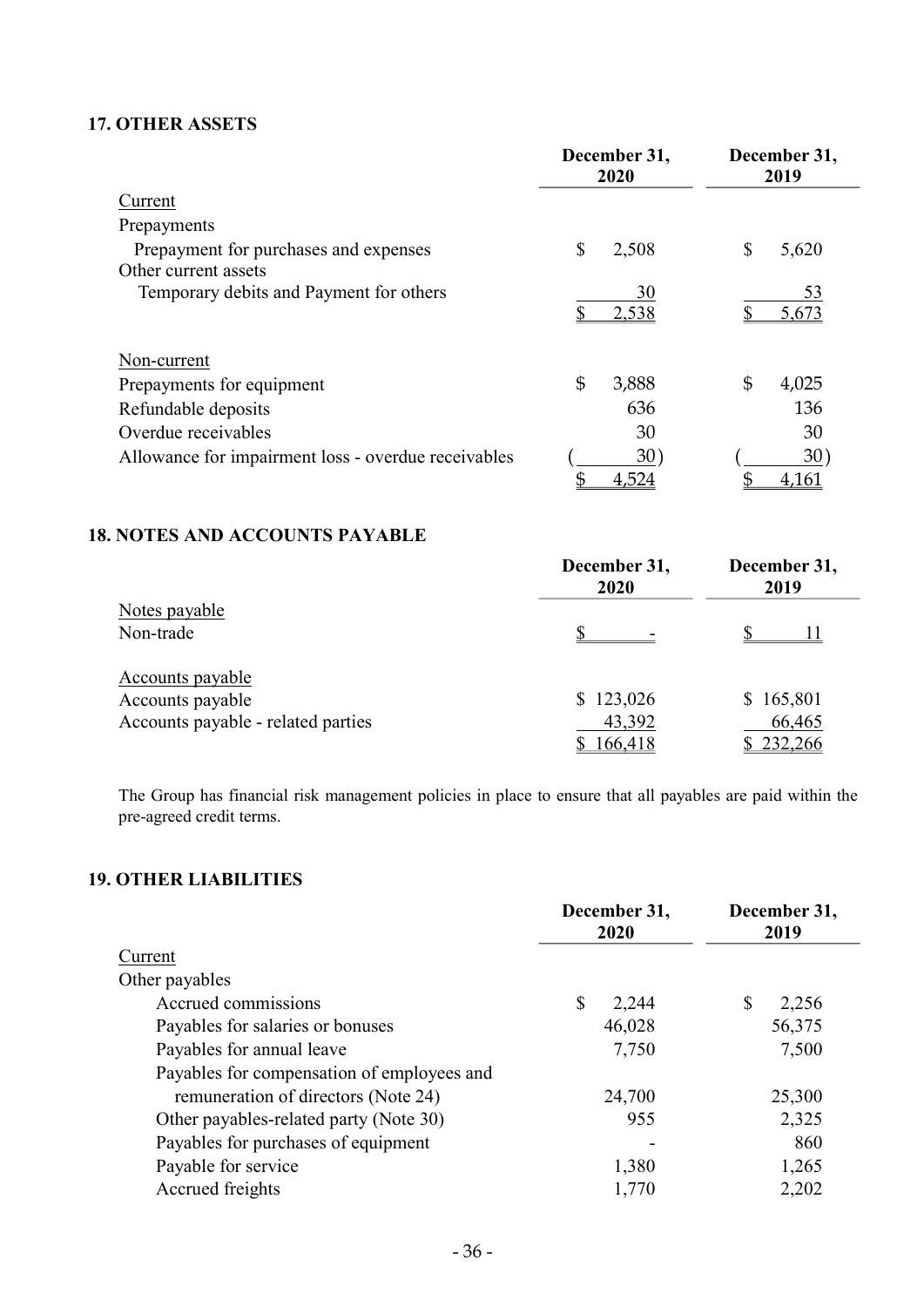### 17. OTHER ASSETS

|                                                     | December 31,<br>2020 | December 31,<br>2019 |
|-----------------------------------------------------|----------------------|----------------------|
| Current                                             |                      |                      |
| Prepayments                                         |                      |                      |
| Prepayment for purchases and expenses               | S<br>2,508           | \$<br>5,620          |
| Other current assets                                |                      |                      |
| Temporary debits and Payment for others             | 30                   | 53                   |
|                                                     | 2,538                | 5,673                |
| Non-current                                         |                      |                      |
| Prepayments for equipment                           | \$<br>3,888          | \$<br>4,025          |
| Refundable deposits                                 | 636                  | 136                  |
| Overdue receivables                                 | 30                   | 30                   |
| Allowance for impairment loss - overdue receivables | 30)                  | 30)                  |
|                                                     | 4,524                | 4,161                |

### 18. NOTES AND ACCOUNTS PAYABLE

|                                    | December 31,<br>2020 | December 31,<br>2019 |
|------------------------------------|----------------------|----------------------|
| Notes payable                      |                      |                      |
| Non-trade                          |                      |                      |
| Accounts payable                   |                      |                      |
| Accounts payable                   | \$123,026            | \$165,801            |
| Accounts payable - related parties | 43,392               | 66,465               |
|                                    | 166,418              | \$232,266            |

The Group has financial risk management policies in place to ensure that all payables are paid within the pre-agreed credit terms.

# 19. OTHER LIABILITIES

| December 31,<br>2020 | December 31,<br>2019 |  |
|----------------------|----------------------|--|
|                      |                      |  |
|                      |                      |  |
| S<br>2,244           | \$<br>2,256          |  |
| 46,028               | 56,375               |  |
| 7,750                | 7,500                |  |
|                      |                      |  |
| 24,700               | 25,300               |  |
| 955                  | 2,325                |  |
|                      | 860                  |  |
| 1,380                | 1,265                |  |
| 1,770                | 2,202                |  |
|                      |                      |  |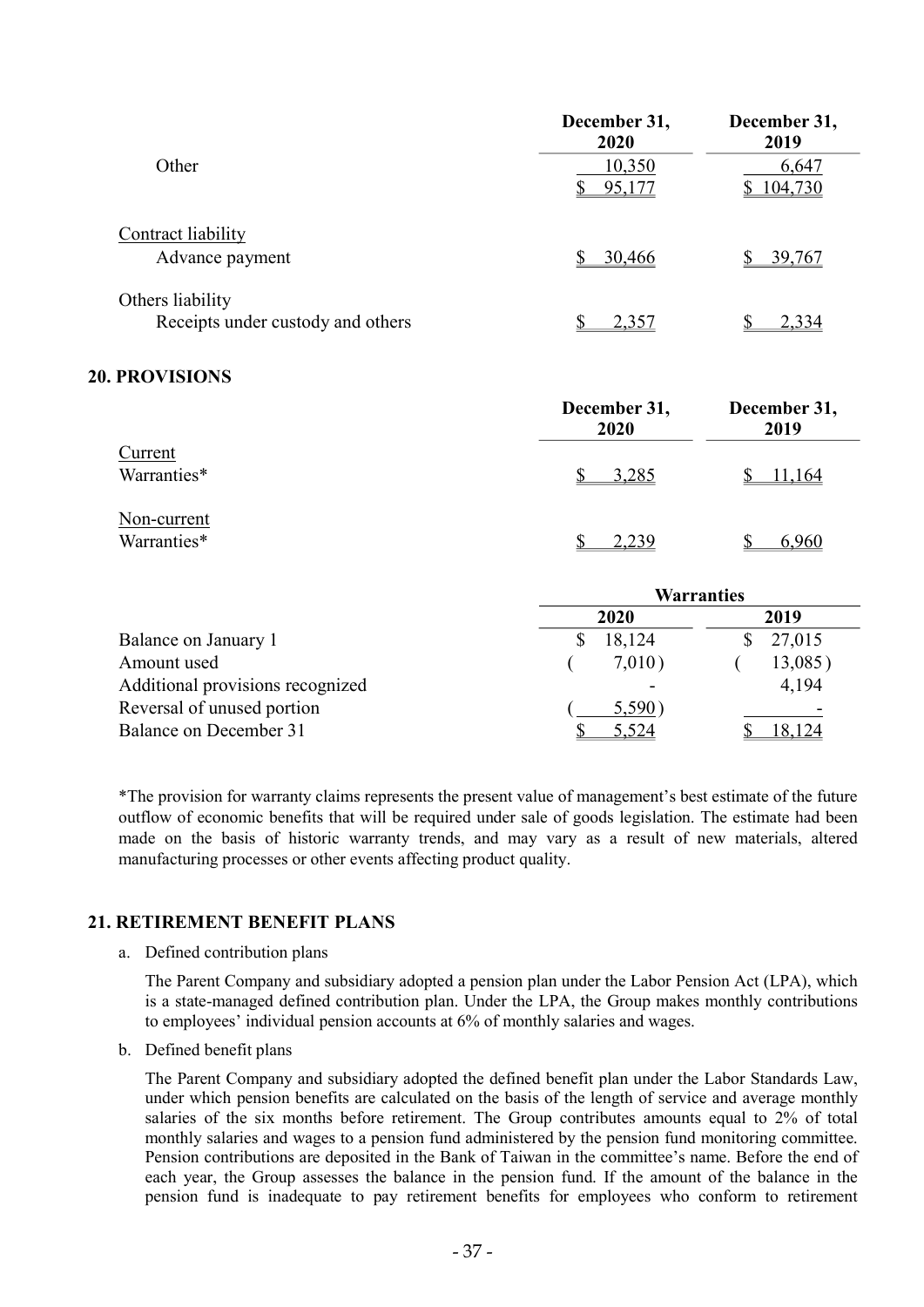|                                   | December 31,<br>2020 | December 31,<br>2019 |
|-----------------------------------|----------------------|----------------------|
| Other                             | 10,350<br>95,177     | 6,647<br>\$104,730   |
| Contract liability                |                      |                      |
| Advance payment                   | 30,466               | 39,767               |
| Others liability                  |                      |                      |
| Receipts under custody and others | 2,357                | 2,334                |
| <b>20. PROVISIONS</b>             |                      |                      |
|                                   | December 31,<br>2020 | December 31,<br>2019 |
| Current                           |                      |                      |
| Warranties*                       | 3,285                | 11,164               |

|                |                       | Warrantica |
|----------------|-----------------------|------------|
| Warranties*    | 2,239<br>$\mathbb{S}$ | ᄓ          |
| THAT CALL CITY |                       |            |

|                                  | <b>Warranties</b> |         |  |
|----------------------------------|-------------------|---------|--|
|                                  | 2020              | 2019    |  |
| Balance on January 1             | 18,124            | 27,015  |  |
| Amount used                      | 7,010)            | 13,085) |  |
| Additional provisions recognized |                   | 4,194   |  |
| Reversal of unused portion       | 5,590)            |         |  |
| Balance on December 31           | 5,524             | 18,124  |  |

\*The provision for warranty claims represents the present value of management's best estimate of the future outflow of economic benefits that will be required under sale of goods legislation. The estimate had been made on the basis of historic warranty trends, and may vary as a result of new materials, altered manufacturing processes or other events affecting product quality.

### 21. RETIREMENT BENEFIT PLANS

a. Defined contribution plans

Non-current

The Parent Company and subsidiary adopted a pension plan under the Labor Pension Act (LPA), which is a state-managed defined contribution plan. Under the LPA, the Group makes monthly contributions to employees' individual pension accounts at 6% of monthly salaries and wages.

b. Defined benefit plans

The Parent Company and subsidiary adopted the defined benefit plan under the Labor Standards Law, under which pension benefits are calculated on the basis of the length of service and average monthly salaries of the six months before retirement. The Group contributes amounts equal to 2% of total monthly salaries and wages to a pension fund administered by the pension fund monitoring committee. Pension contributions are deposited in the Bank of Taiwan in the committee's name. Before the end of each year, the Group assesses the balance in the pension fund. If the amount of the balance in the pension fund is inadequate to pay retirement benefits for employees who conform to retirement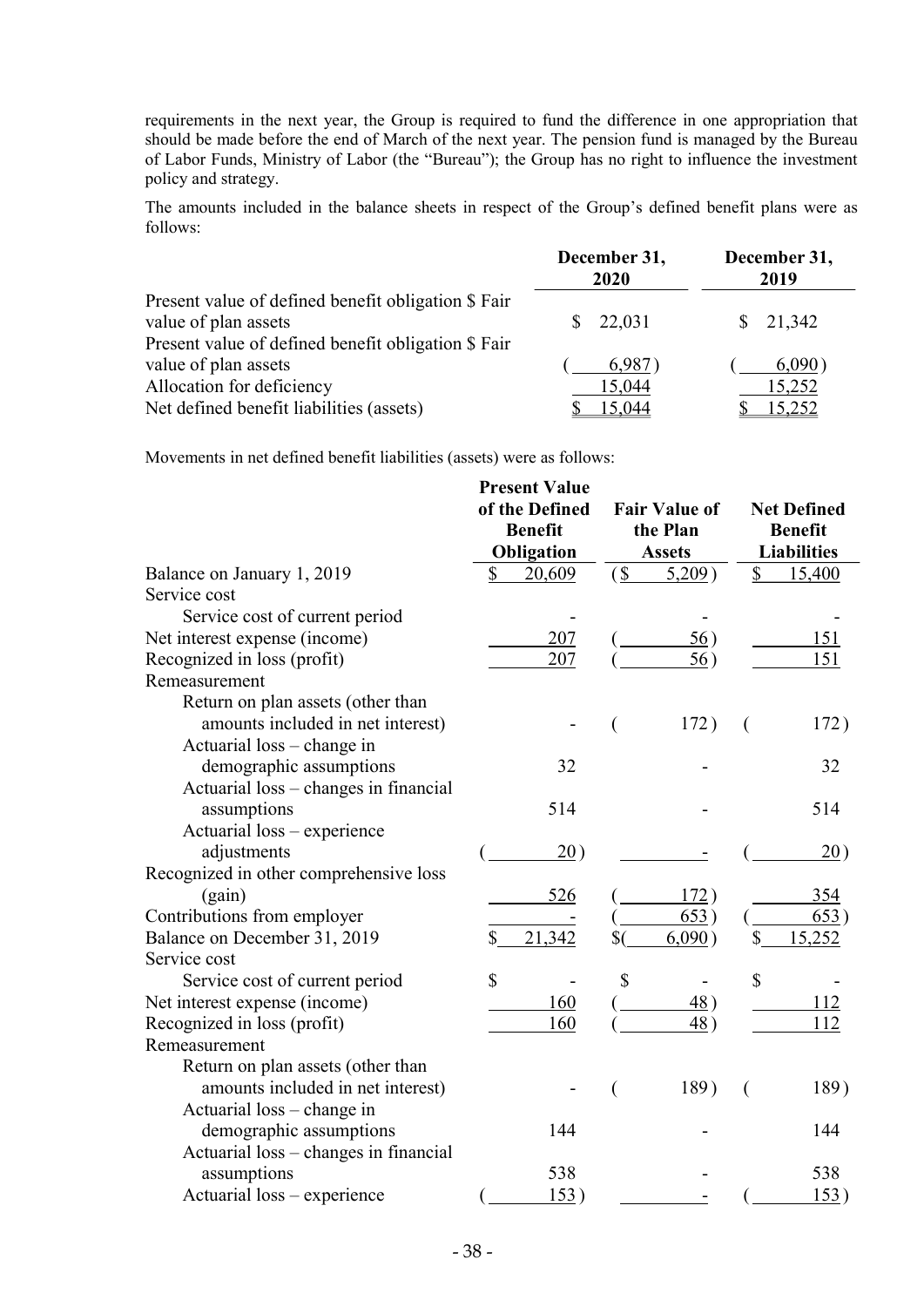requirements in the next year, the Group is required to fund the difference in one appropriation that should be made before the end of March of the next year. The pension fund is managed by the Bureau of Labor Funds, Ministry of Labor (the "Bureau"); the Group has no right to influence the investment policy and strategy.

The amounts included in the balance sheets in respect of the Group's defined benefit plans were as follows:

|                                                                                                                                    | December 31,<br>2020       | December 31,<br>2019       |
|------------------------------------------------------------------------------------------------------------------------------------|----------------------------|----------------------------|
| Present value of defined benefit obligation \$ Fair<br>value of plan assets<br>Present value of defined benefit obligation \$ Fair | 22,031                     | 21,342<br>S.               |
| value of plan assets<br>Allocation for deficiency<br>Net defined benefit liabilities (assets)                                      | 6,987)<br>15,044<br>15,044 | 6,090)<br>15,252<br>15,252 |

Movements in net defined benefit liabilities (assets) were as follows:

|                                        | <b>Present Value</b>           |                         |                    |
|----------------------------------------|--------------------------------|-------------------------|--------------------|
|                                        | of the Defined                 | <b>Fair Value of</b>    | <b>Net Defined</b> |
|                                        | <b>Benefit</b>                 | the Plan                | <b>Benefit</b>     |
|                                        | Obligation                     | <b>Assets</b>           | <b>Liabilities</b> |
| Balance on January 1, 2019             | 20,609<br>\$                   | $\sqrt{S}$<br>$5,209$ ) | 15,400<br>\$       |
| Service cost                           |                                |                         |                    |
| Service cost of current period         |                                |                         |                    |
| Net interest expense (income)          | 207                            | 56)                     | 151                |
| Recognized in loss (profit)            | 207                            | 56)                     | 151                |
| Remeasurement                          |                                |                         |                    |
| Return on plan assets (other than      |                                |                         |                    |
| amounts included in net interest)      |                                | 172)                    | 172)<br>€          |
| Actuarial loss – change in             |                                |                         |                    |
| demographic assumptions                | 32                             |                         | 32                 |
| Actuarial loss - changes in financial  |                                |                         |                    |
| assumptions                            | 514                            |                         | 514                |
| Actuarial loss - experience            |                                |                         |                    |
| adjustments                            | 20)                            |                         | 20)                |
| Recognized in other comprehensive loss |                                |                         |                    |
| (gain)                                 | 526                            | 172)                    | 354                |
| Contributions from employer            |                                | 653)                    | 653)               |
| Balance on December 31, 2019           | \$<br>21,342                   | $\mathcal{S}$<br>6,090) | \$<br>15,252       |
| Service cost                           |                                |                         |                    |
| Service cost of current period         | \$<br>$\overline{\phantom{a}}$ | \$                      | \$                 |
| Net interest expense (income)          | 160                            | 48)                     | 112                |
| Recognized in loss (profit)            | 160                            | 48)                     | 112                |
| Remeasurement                          |                                |                         |                    |
| Return on plan assets (other than      |                                |                         |                    |
| amounts included in net interest)      |                                | 189)                    | 189)               |
| Actuarial loss – change in             |                                |                         |                    |
| demographic assumptions                | 144                            |                         | 144                |
| Actuarial loss - changes in financial  |                                |                         |                    |
| assumptions                            | 538                            |                         | 538                |
| Actuarial loss – experience            | 153)                           |                         | 153)               |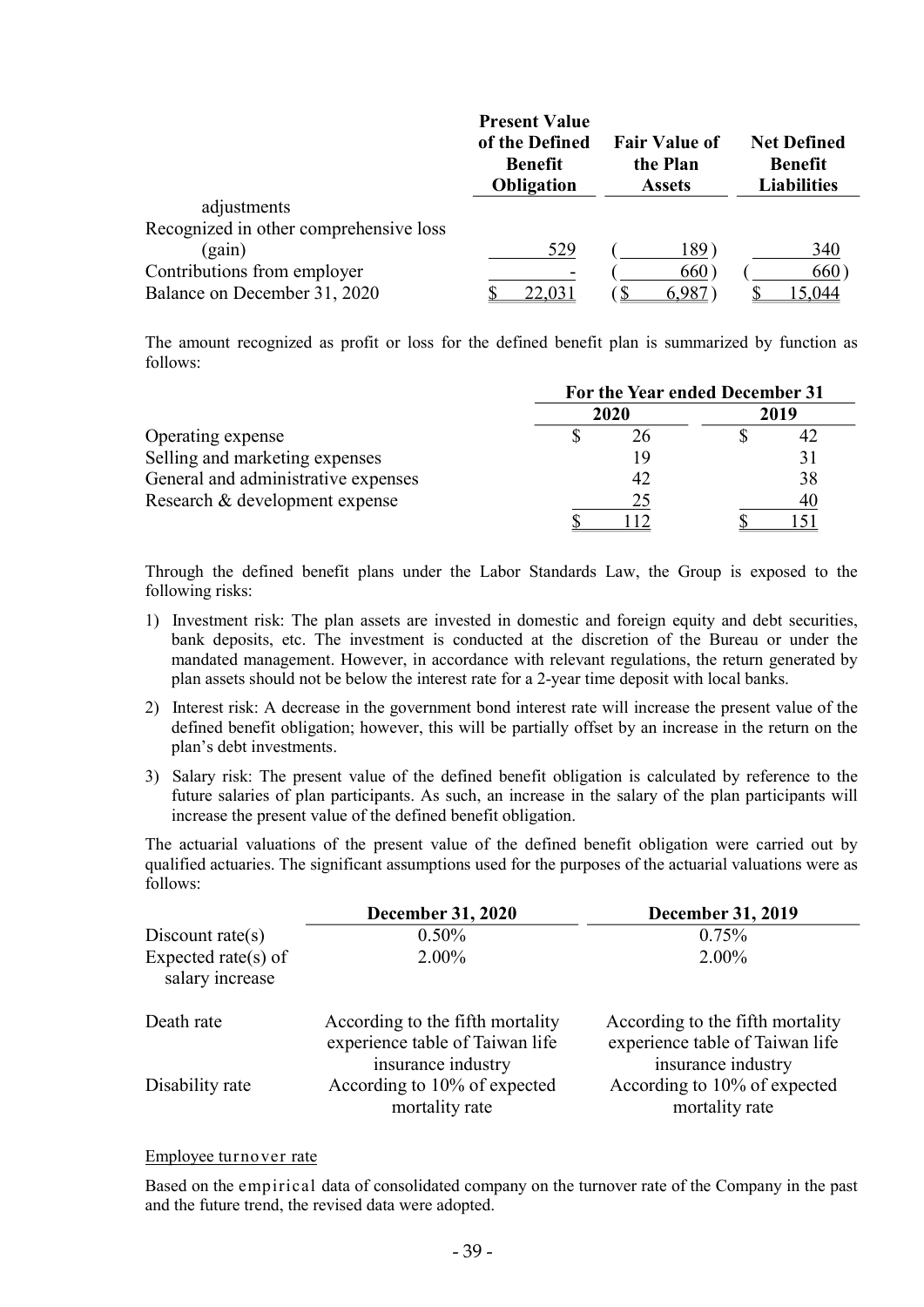|                                        | <b>Present Value</b><br>of the Defined<br><b>Benefit</b><br><b>Obligation</b> | <b>Fair Value of</b><br>the Plan<br><b>Assets</b> | <b>Net Defined</b><br><b>Benefit</b><br><b>Liabilities</b> |
|----------------------------------------|-------------------------------------------------------------------------------|---------------------------------------------------|------------------------------------------------------------|
| adjustments                            |                                                                               |                                                   |                                                            |
| Recognized in other comprehensive loss |                                                                               |                                                   |                                                            |
| (gain)                                 | 529                                                                           | 189)                                              | 340                                                        |
| Contributions from employer            |                                                                               | 660)                                              | 660)                                                       |
| Balance on December 31, 2020           |                                                                               |                                                   | 15.044                                                     |

The amount recognized as profit or loss for the defined benefit plan is summarized by function as follows:

|                                     | For the Year ended December 31 |      |      |
|-------------------------------------|--------------------------------|------|------|
|                                     |                                | 2020 | 2019 |
| Operating expense                   |                                |      | 42   |
| Selling and marketing expenses      |                                | 19   |      |
| General and administrative expenses |                                | 42   | 38   |
| Research & development expense      |                                | 25   | 40   |
|                                     |                                |      |      |

Through the defined benefit plans under the Labor Standards Law, the Group is exposed to the following risks:

- 1) Investment risk: The plan assets are invested in domestic and foreign equity and debt securities, bank deposits, etc. The investment is conducted at the discretion of the Bureau or under the mandated management. However, in accordance with relevant regulations, the return generated by plan assets should not be below the interest rate for a 2-year time deposit with local banks.
- 2) Interest risk: A decrease in the government bond interest rate will increase the present value of the defined benefit obligation; however, this will be partially offset by an increase in the return on the plan's debt investments.
- 3) Salary risk: The present value of the defined benefit obligation is calculated by reference to the future salaries of plan participants. As such, an increase in the salary of the plan participants will increase the present value of the defined benefit obligation.

The actuarial valuations of the present value of the defined benefit obligation were carried out by qualified actuaries. The significant assumptions used for the purposes of the actuarial valuations were as follows:

|                                        | <b>December 31, 2020</b>                                                                  | December 31, 2019                                                                         |
|----------------------------------------|-------------------------------------------------------------------------------------------|-------------------------------------------------------------------------------------------|
| Discount rate( $s$ )                   | $0.50\%$                                                                                  | 0.75%                                                                                     |
| Expected rate(s) of<br>salary increase | $2.00\%$                                                                                  | $2.00\%$                                                                                  |
| Death rate                             | According to the fifth mortality<br>experience table of Taiwan life<br>insurance industry | According to the fifth mortality<br>experience table of Taiwan life<br>insurance industry |
| Disability rate                        | According to 10% of expected<br>mortality rate                                            | According to 10% of expected<br>mortality rate                                            |

#### Employee turnover rate

Based on the empirical data of consolidated company on the turnover rate of the Company in the past and the future trend, the revised data were adopted.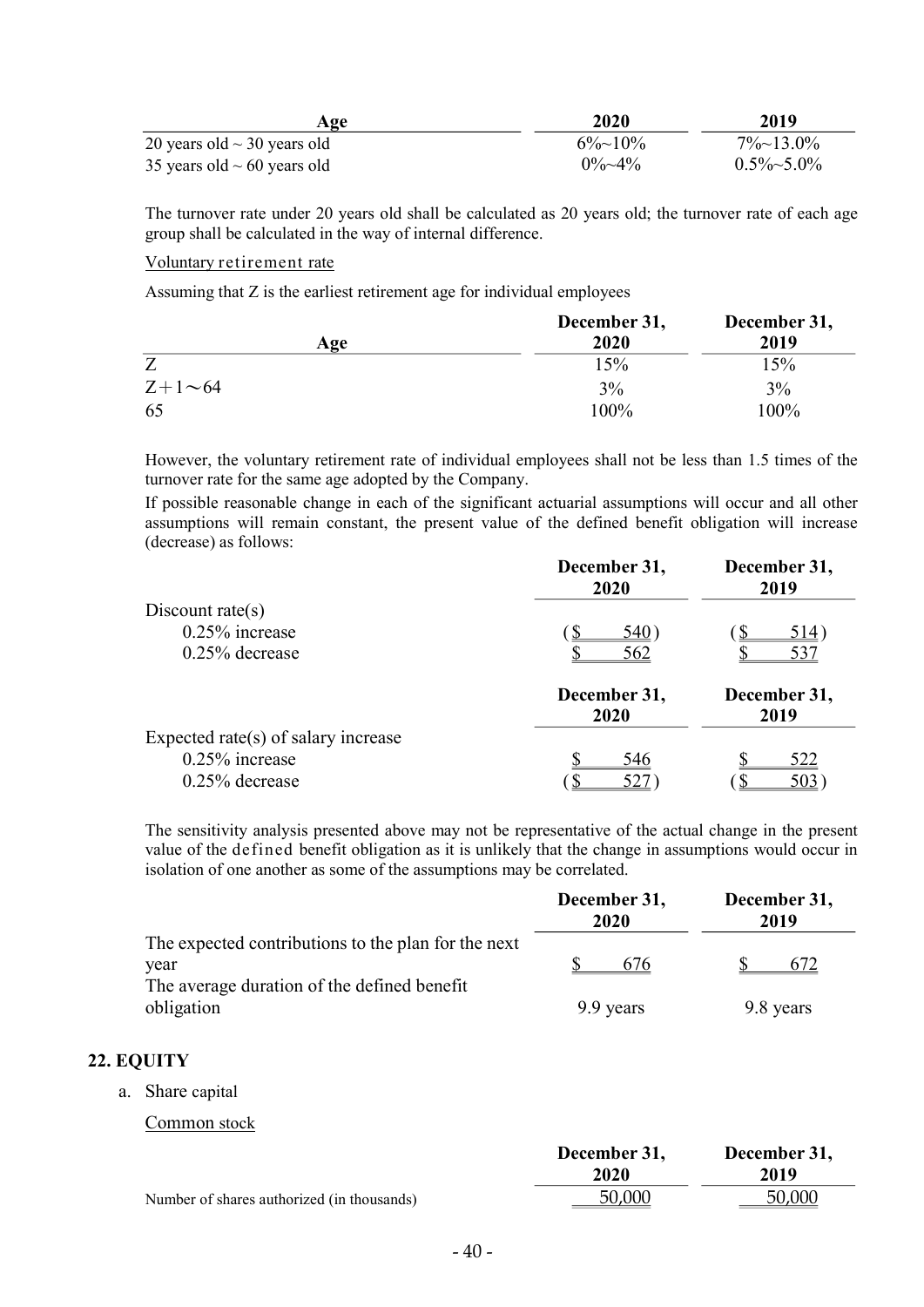| Age                              | 2020           | 2019               |
|----------------------------------|----------------|--------------------|
| 20 years old $\sim$ 30 years old | $6\%$ ~10%     | $7\% \sim 13.0\%$  |
| 35 years old $\sim$ 60 years old | $0\% \sim 4\%$ | $0.5\% \sim 5.0\%$ |

The turnover rate under 20 years old shall be calculated as 20 years old; the turnover rate of each age group shall be calculated in the way of internal difference.

#### Voluntary retirement rate

Assuming that Z is the earliest retirement age for individual employees

|                | December 31, | December 31, |
|----------------|--------------|--------------|
| Age            | 2020         | 2019         |
| Z              | 15%          | 15%          |
| $Z+1\infty 64$ | 3%           | 3%           |
| 65             | 100%         | 100%         |

However, the voluntary retirement rate of individual employees shall not be less than 1.5 times of the turnover rate for the same age adopted by the Company.

If possible reasonable change in each of the significant actuarial assumptions will occur and all other assumptions will remain constant, the present value of the defined benefit obligation will increase (decrease) as follows:

|                                     | December 31,<br>2020 | December 31,<br>2019 |
|-------------------------------------|----------------------|----------------------|
| Discount rate(s)                    |                      |                      |
| $0.25\%$ increase                   | <u>540</u>           | <u>514</u> )         |
| $0.25\%$ decrease                   | 562                  | 537                  |
|                                     | December 31,<br>2020 | December 31,<br>2019 |
| Expected rate(s) of salary increase |                      |                      |
| $0.25\%$ increase                   | 546                  | 522                  |
| $0.25\%$ decrease                   |                      | 503                  |

The sensitivity analysis presented above may not be representative of the actual change in the present value of the defined benefit obligation as it is unlikely that the change in assumptions would occur in isolation of one another as some of the assumptions may be correlated.

|                                                     | December 31,<br>2020 | December 31,<br>2019 |
|-----------------------------------------------------|----------------------|----------------------|
| The expected contributions to the plan for the next |                      |                      |
| year                                                | 676                  | 672                  |
| The average duration of the defined benefit         |                      |                      |
| obligation                                          | 9.9 years            | 9.8 years            |

### 22. EQUITY

a. Share capital

Common stock

|                                            | December 31, | December 31, |
|--------------------------------------------|--------------|--------------|
|                                            | 2020         | 2019         |
| Number of shares authorized (in thousands) | 50,000       | 50,000       |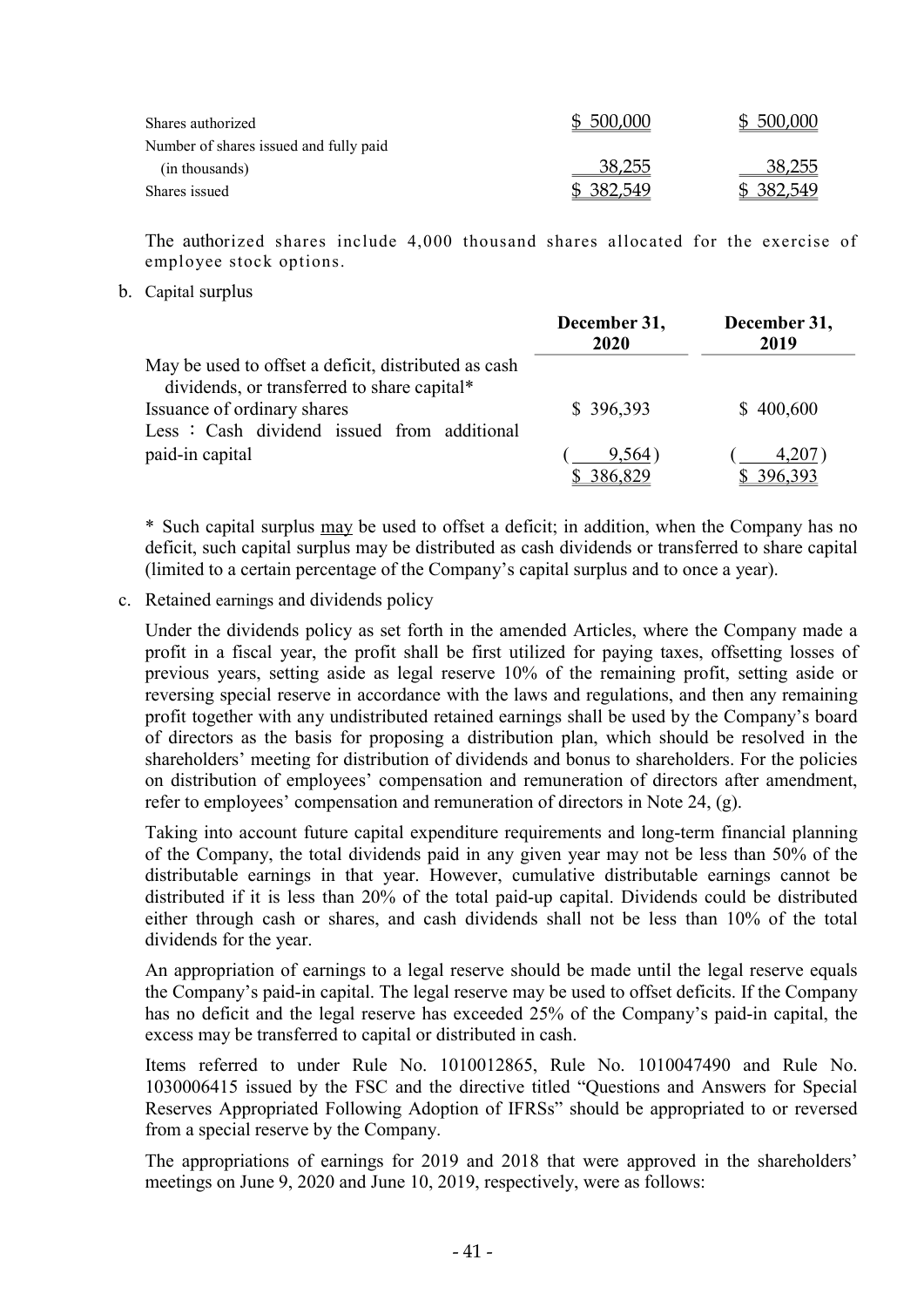| Shares authorized                      | \$500,000 | \$ 500,000 |
|----------------------------------------|-----------|------------|
| Number of shares issued and fully paid |           |            |
| (in thousands)                         | 38,255    | 38,255     |
| Shares issued                          | \$382,549 | \$ 382,549 |

The authorized shares include 4,000 thousand shares allocated for the exercise of employee stock options.

b. Capital surplus

|                                                      | December 31,<br>2020 | December 31,<br>2019 |
|------------------------------------------------------|----------------------|----------------------|
| May be used to offset a deficit, distributed as cash |                      |                      |
| dividends, or transferred to share capital*          |                      |                      |
| Issuance of ordinary shares                          | \$396,393            | \$400,600            |
| Less: Cash dividend issued from additional           |                      |                      |
| paid-in capital                                      | 9,564)               | 4,207)               |
|                                                      | 386,829              | 396,393              |

\* Such capital surplus may be used to offset a deficit; in addition, when the Company has no deficit, such capital surplus may be distributed as cash dividends or transferred to share capital (limited to a certain percentage of the Company's capital surplus and to once a year).

c. Retained earnings and dividends policy

Under the dividends policy as set forth in the amended Articles, where the Company made a profit in a fiscal year, the profit shall be first utilized for paying taxes, offsetting losses of previous years, setting aside as legal reserve 10% of the remaining profit, setting aside or reversing special reserve in accordance with the laws and regulations, and then any remaining profit together with any undistributed retained earnings shall be used by the Company's board of directors as the basis for proposing a distribution plan, which should be resolved in the shareholders' meeting for distribution of dividends and bonus to shareholders. For the policies on distribution of employees' compensation and remuneration of directors after amendment, refer to employees' compensation and remuneration of directors in Note 24, (g).

Taking into account future capital expenditure requirements and long-term financial planning of the Company, the total dividends paid in any given year may not be less than 50% of the distributable earnings in that year. However, cumulative distributable earnings cannot be distributed if it is less than 20% of the total paid-up capital. Dividends could be distributed either through cash or shares, and cash dividends shall not be less than 10% of the total dividends for the year.

An appropriation of earnings to a legal reserve should be made until the legal reserve equals the Company's paid-in capital. The legal reserve may be used to offset deficits. If the Company has no deficit and the legal reserve has exceeded 25% of the Company's paid-in capital, the excess may be transferred to capital or distributed in cash.

Items referred to under Rule No. 1010012865, Rule No. 1010047490 and Rule No. 1030006415 issued by the FSC and the directive titled "Questions and Answers for Special Reserves Appropriated Following Adoption of IFRSs" should be appropriated to or reversed from a special reserve by the Company.

The appropriations of earnings for 2019 and 2018 that were approved in the shareholders' meetings on June 9, 2020 and June 10, 2019, respectively, were as follows: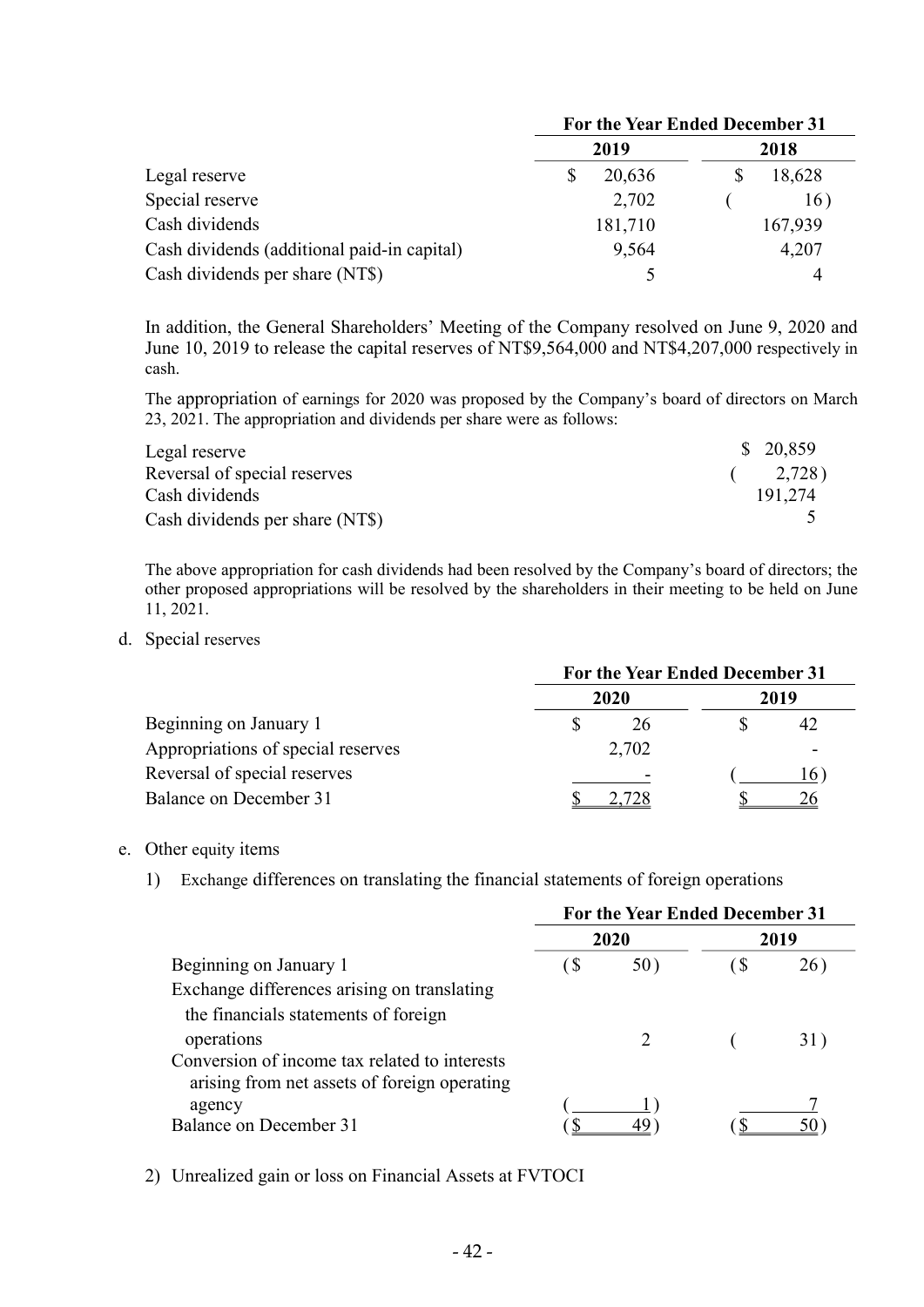|                                             | For the Year Ended December 31 |         |  |
|---------------------------------------------|--------------------------------|---------|--|
|                                             | 2019                           | 2018    |  |
| Legal reserve                               | 20,636                         | 18,628  |  |
| Special reserve                             | 2,702                          | 16)     |  |
| Cash dividends                              | 181,710                        | 167,939 |  |
| Cash dividends (additional paid-in capital) | 9,564                          | 4,207   |  |
| Cash dividends per share (NT\$)             |                                | 4       |  |

In addition, the General Shareholders' Meeting of the Company resolved on June 9, 2020 and June 10, 2019 to release the capital reserves of NT\$9,564,000 and NT\$4,207,000 respectively in cash.

The appropriation of earnings for 2020 was proposed by the Company's board of directors on March 23, 2021. The appropriation and dividends per share were as follows:

| Legal reserve                   | \$20,859 |
|---------------------------------|----------|
| Reversal of special reserves    | (2,728)  |
| Cash dividends                  | 191.274  |
| Cash dividends per share (NT\$) |          |

The above appropriation for cash dividends had been resolved by the Company's board of directors; the other proposed appropriations will be resolved by the shareholders in their meeting to be held on June 11, 2021.

d. Special reserves

|                                    | For the Year Ended December 31 |       |  |      |
|------------------------------------|--------------------------------|-------|--|------|
|                                    | 2020                           |       |  | 2019 |
| Beginning on January 1             |                                | 26    |  |      |
| Appropriations of special reserves |                                | 2,702 |  | ۰    |
| Reversal of special reserves       |                                |       |  | 16.  |
| Balance on December 31             |                                |       |  |      |

#### e. Other equity items

1) Exchange differences on translating the financial statements of foreign operations

|                                                                                               | For the Year Ended December 31 |      |      |      |
|-----------------------------------------------------------------------------------------------|--------------------------------|------|------|------|
|                                                                                               |                                | 2020 |      | 2019 |
| Beginning on January 1                                                                        | ( \$                           | 50)  | ( \$ | 26)  |
| Exchange differences arising on translating                                                   |                                |      |      |      |
| the financials statements of foreign                                                          |                                |      |      |      |
| operations                                                                                    |                                |      |      | 31)  |
| Conversion of income tax related to interests<br>arising from net assets of foreign operating |                                |      |      |      |
| agency                                                                                        |                                |      |      |      |
| Balance on December 31                                                                        |                                |      |      | 50   |

2) Unrealized gain or loss on Financial Assets at FVTOCI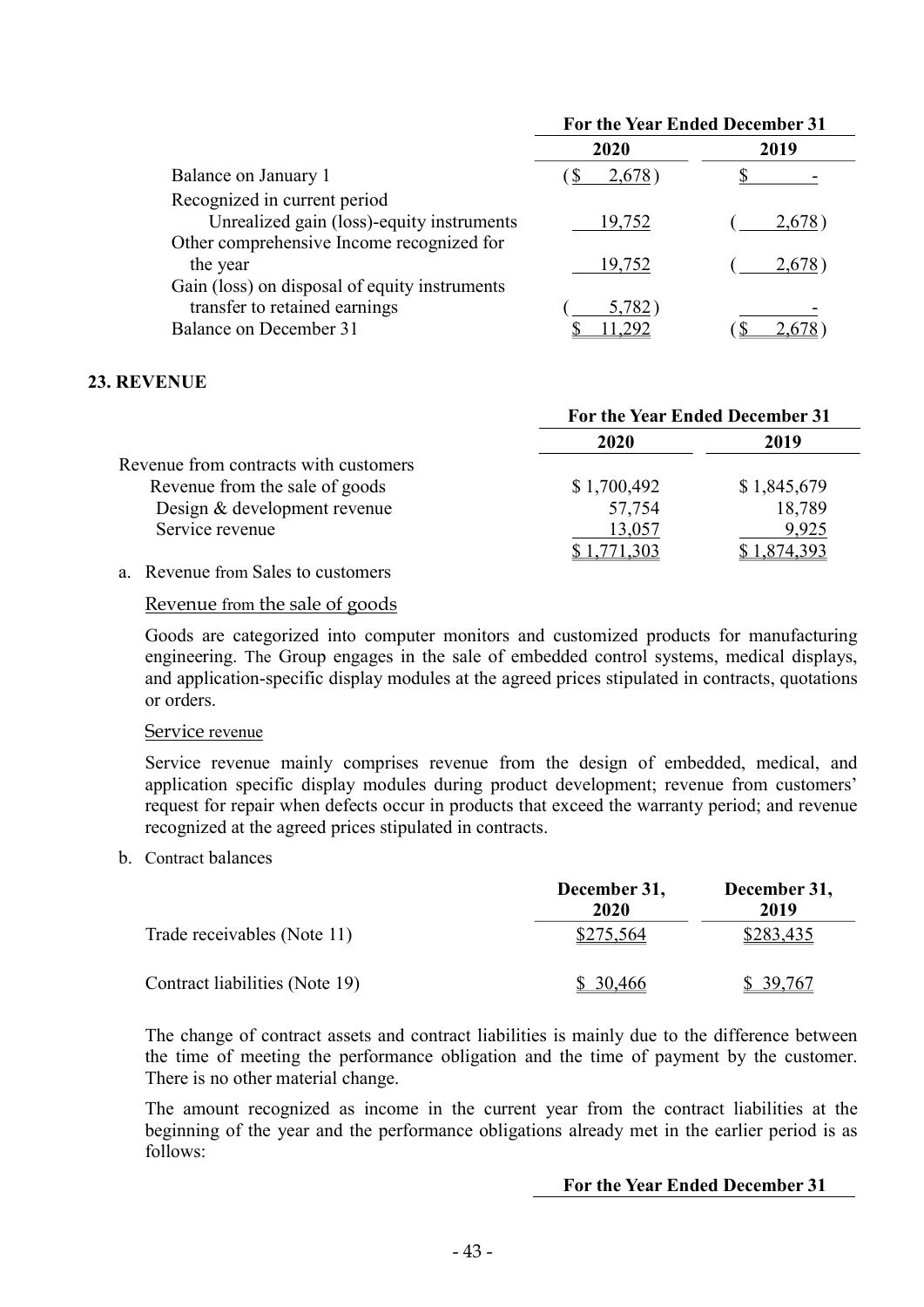|                                                                                                          | <b>For the Year Ended December 31</b> |        |
|----------------------------------------------------------------------------------------------------------|---------------------------------------|--------|
|                                                                                                          | 2020                                  | 2019   |
| Balance on January 1                                                                                     | 2,678)                                |        |
| Recognized in current period<br>Unrealized gain (loss)-equity instruments                                | 19,752                                | 2.678  |
| Other comprehensive Income recognized for<br>the year                                                    | 19,752                                | 2,678) |
| Gain (loss) on disposal of equity instruments<br>transfer to retained earnings<br>Balance on December 31 | 5,782                                 |        |

### 23. REVENUE

|                                       | For the Year Ended December 31 |             |  |
|---------------------------------------|--------------------------------|-------------|--|
|                                       | 2020                           | 2019        |  |
| Revenue from contracts with customers |                                |             |  |
| Revenue from the sale of goods        | \$1,700,492                    | \$1,845,679 |  |
| Design & development revenue          | 57,754                         | 18,789      |  |
| Service revenue                       | 13,057                         | 9,925       |  |
|                                       |                                |             |  |

### a. Revenue from Sales to customers

### Revenue from the sale of goods

Goods are categorized into computer monitors and customized products for manufacturing engineering. The Group engages in the sale of embedded control systems, medical displays, and application-specific display modules at the agreed prices stipulated in contracts, quotations or orders.

#### Service revenue

Service revenue mainly comprises revenue from the design of embedded, medical, and application specific display modules during product development; revenue from customers' request for repair when defects occur in products that exceed the warranty period; and revenue recognized at the agreed prices stipulated in contracts.

b. Contract balances

|                                | December 31,<br>2020 | December 31,<br>2019 |
|--------------------------------|----------------------|----------------------|
| Trade receivables (Note 11)    | \$275,564            | \$283,435            |
| Contract liabilities (Note 19) | \$30,466             | \$ 39,767            |

The change of contract assets and contract liabilities is mainly due to the difference between the time of meeting the performance obligation and the time of payment by the customer. There is no other material change.

The amount recognized as income in the current year from the contract liabilities at the beginning of the year and the performance obligations already met in the earlier period is as follows:

#### For the Year Ended December 31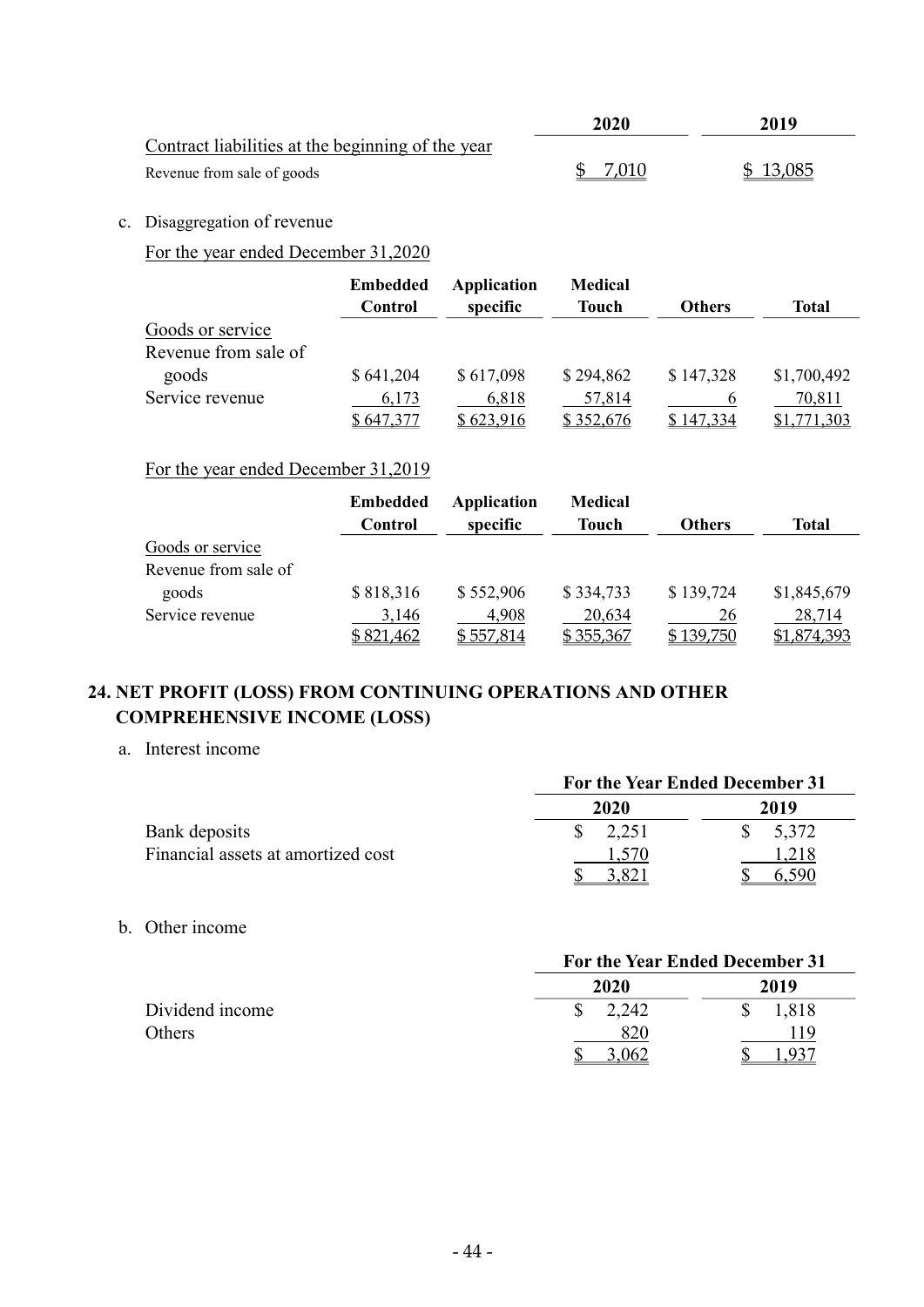|                                                   | 2020  | 2019     |
|---------------------------------------------------|-------|----------|
| Contract liabilities at the beginning of the year |       |          |
| Revenue from sale of goods                        | 7.010 | \$13,085 |

# c. Disaggregation of revenue

# For the year ended December 31,2020

|                      | <b>Embedded</b><br>Control | <b>Application</b><br>specific | <b>Medical</b><br><b>Touch</b> | <b>Others</b> | Total       |
|----------------------|----------------------------|--------------------------------|--------------------------------|---------------|-------------|
| Goods or service     |                            |                                |                                |               |             |
| Revenue from sale of |                            |                                |                                |               |             |
| goods                | \$641,204                  | \$617,098                      | \$294,862                      | \$147,328     | \$1,700,492 |
| Service revenue      | 6,173                      | 6,818                          | 57,814                         |               | 70,811      |
|                      | \$647,377                  | \$623,916                      | \$352,676                      | \$147,334     | \$1,771,303 |

# For the year ended December 31,2019

|                      | <b>Embedded</b><br>Control | Application<br>specific | <b>Medical</b><br><b>Touch</b> | <b>Others</b> | Total       |
|----------------------|----------------------------|-------------------------|--------------------------------|---------------|-------------|
| Goods or service     |                            |                         |                                |               |             |
| Revenue from sale of |                            |                         |                                |               |             |
| goods                | \$818,316                  | \$552,906               | \$334,733                      | \$139,724     | \$1,845,679 |
| Service revenue      | 3,146                      | 4,908                   | 20,634                         | 26            | 28,714      |
|                      | \$821,462                  | \$557,814               | \$355,367                      | \$139,750     | \$1,874,393 |

# 24. NET PROFIT (LOSS) FROM CONTINUING OPERATIONS AND OTHER COMPREHENSIVE INCOME (LOSS)

a. Interest income

|                                    | For the Year Ended December 31 |       |
|------------------------------------|--------------------------------|-------|
|                                    | 2020                           | 2019  |
| Bank deposits                      | 2.251                          | 5,372 |
| Financial assets at amortized cost |                                | .218  |
|                                    |                                | 59C   |

b. Other income

|                 | For the Year Ended December 31 |       |
|-----------------|--------------------------------|-------|
|                 | 2020                           | 2019  |
| Dividend income | 2,242                          | 1,818 |
| Others          | 820                            | 19    |
|                 | .062                           |       |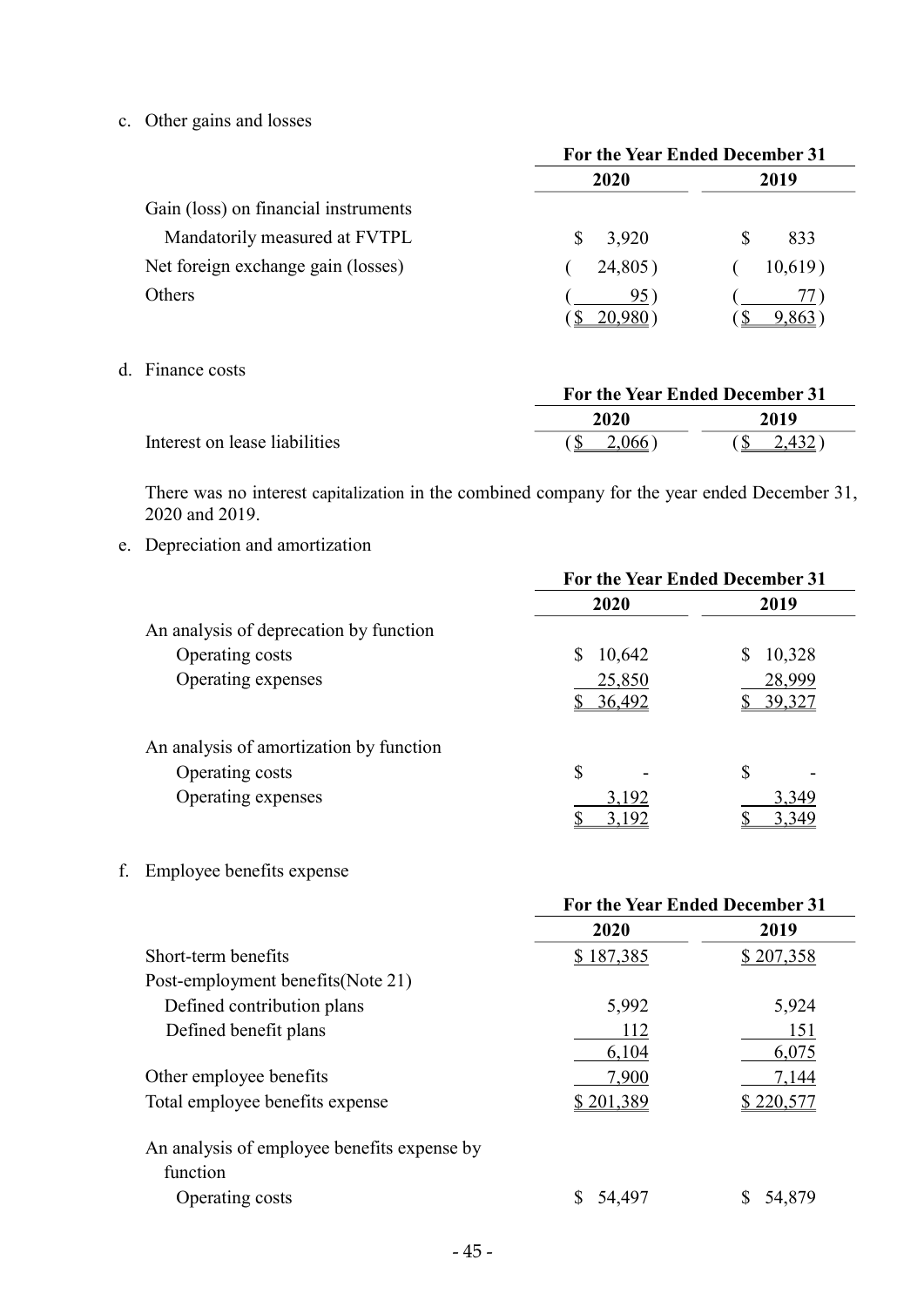c. Other gains and losses

|                                      | For the Year Ended December 31 |         |
|--------------------------------------|--------------------------------|---------|
|                                      | 2020                           | 2019    |
| Gain (loss) on financial instruments |                                |         |
| Mandatorily measured at FVTPL        | 3,920<br>S.                    | 833     |
| Net foreign exchange gain (losses)   | 24,805)                        | 10,619) |
| <b>Others</b>                        | 95)                            |         |

d. Finance costs

|                               |        | For the Year Ended December 31 |  |
|-------------------------------|--------|--------------------------------|--|
|                               | 2020   | 2019                           |  |
| Interest on lease liabilities | 2,066) | 2,432                          |  |

There was no interest capitalization in the combined company for the year ended December 31, 2020 and 2019.

e. Depreciation and amortization

|                                         | <b>For the Year Ended December 31</b> |        |
|-----------------------------------------|---------------------------------------|--------|
|                                         | 2020                                  | 2019   |
| An analysis of deprecation by function  |                                       |        |
| Operating costs                         | \$<br>10,642                          | 10,328 |
| Operating expenses                      | 25,850                                | 28,999 |
|                                         | 36,492                                | 39,327 |
| An analysis of amortization by function |                                       |        |
| Operating costs                         | \$                                    | S      |
| Operating expenses                      | 3,192                                 | 3,349  |
|                                         | 3,192                                 | 3,349  |

f. Employee benefits expense

|                                             | For the Year Ended December 31 |            |
|---------------------------------------------|--------------------------------|------------|
|                                             | 2020                           | 2019       |
| Short-term benefits                         | \$187,385                      | \$207,358  |
| Post-employment benefits (Note 21)          |                                |            |
| Defined contribution plans                  | 5,992                          | 5,924      |
| Defined benefit plans                       | 112                            | 151        |
|                                             | 6,104                          | 6,075      |
| Other employee benefits                     | 7,900                          | 7,144      |
| Total employee benefits expense             | \$201,389                      | \$ 220,577 |
| An analysis of employee benefits expense by |                                |            |
| function                                    |                                |            |
| Operating costs                             | 54,497                         | 54,879     |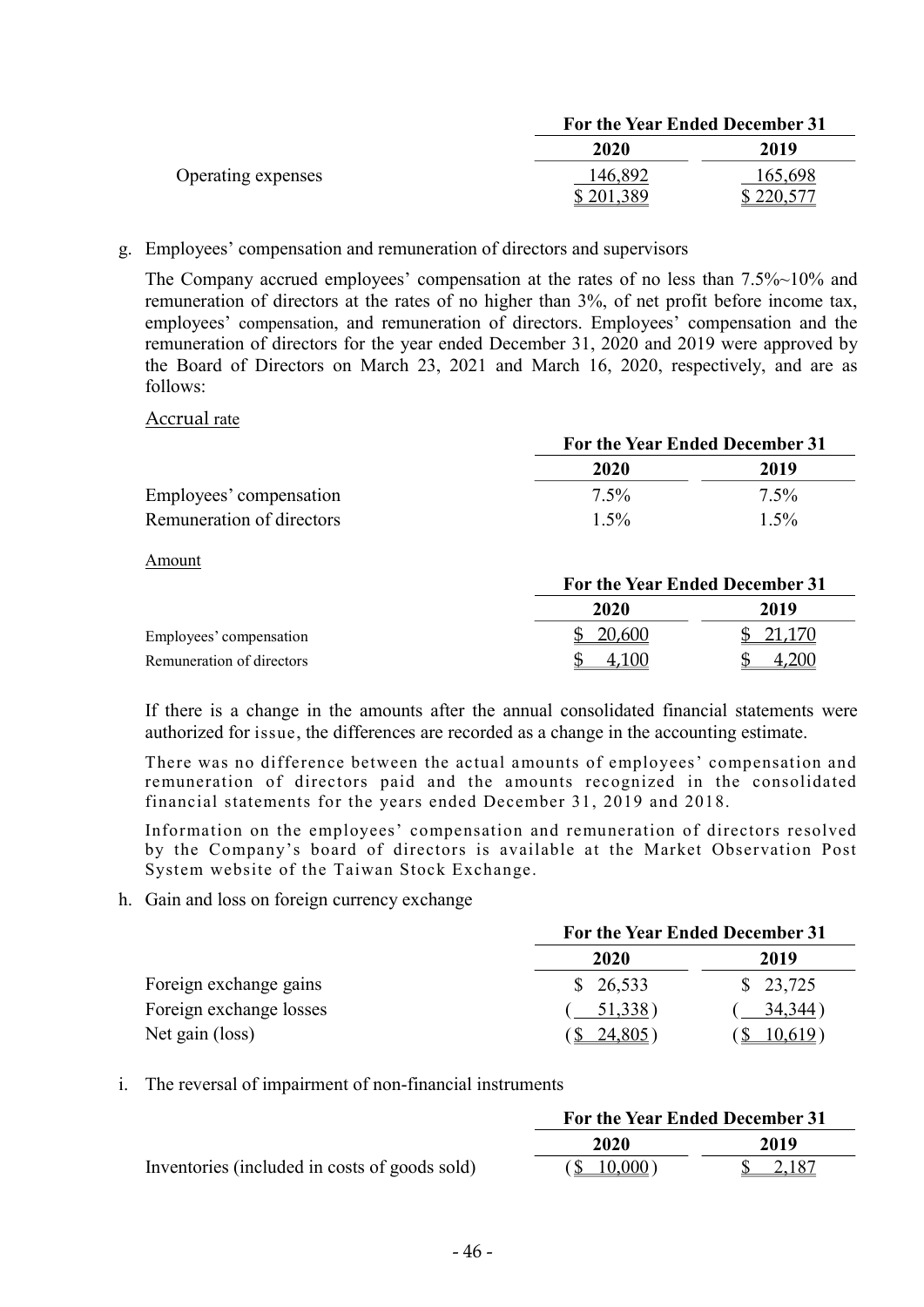|                    | For the Year Ended December 31 |         |
|--------------------|--------------------------------|---------|
|                    | 2020                           | 2019    |
| Operating expenses | 146,892                        | 165,698 |
|                    | \$201.389                      |         |

g. Employees' compensation and remuneration of directors and supervisors

The Company accrued employees' compensation at the rates of no less than 7.5%~10% and remuneration of directors at the rates of no higher than 3%, of net profit before income tax, employees' compensation, and remuneration of directors. Employees' compensation and the remuneration of directors for the year ended December 31, 2020 and 2019 were approved by the Board of Directors on March 23, 2021 and March 16, 2020, respectively, and are as follows:

#### Accrual rate

|                           | For the Year Ended December 31 |         |
|---------------------------|--------------------------------|---------|
|                           | 2020                           | 2019    |
| Employees' compensation   | $7.5\%$                        | $7.5\%$ |
| Remuneration of directors | $1.5\%$                        | $1.5\%$ |

Amount

|                           | For the Year Ended December 31 |          |
|---------------------------|--------------------------------|----------|
|                           | 2020                           | 2019     |
| Employees' compensation   | \$20,600                       | \$21,170 |
| Remuneration of directors | 100                            | ,200     |

If there is a change in the amounts after the annual consolidated financial statements were authorized for issue, the differences are recorded as a change in the accounting estimate.

There was no difference between the actual amounts of employees' compensation and remuneration of directors paid and the amounts recognized in the consolidated financial statements for the years ended December 31, 2019 and 2018.

Information on the employees' compensation and remuneration of directors resolved by the Company's board of directors is available at the Market Observation Post System website of the Taiwan Stock Exchange.

h. Gain and loss on foreign currency exchange

|                         | For the Year Ended December 31 |          |  |  |
|-------------------------|--------------------------------|----------|--|--|
|                         | 2020                           | 2019     |  |  |
| Foreign exchange gains  | \$26,533                       | \$23,725 |  |  |
| Foreign exchange losses | 51,338)                        | 34,344)  |  |  |
| Net gain (loss)         | 24,805)                        | 10,619   |  |  |

i. The reversal of impairment of non-financial instruments

|                                               | For the Year Ended December 31 |                    |  |  |
|-----------------------------------------------|--------------------------------|--------------------|--|--|
|                                               | 2020                           | 2019               |  |  |
| Inventories (included in costs of goods sold) | (S 10,000)                     | $\frac{\$}{2,187}$ |  |  |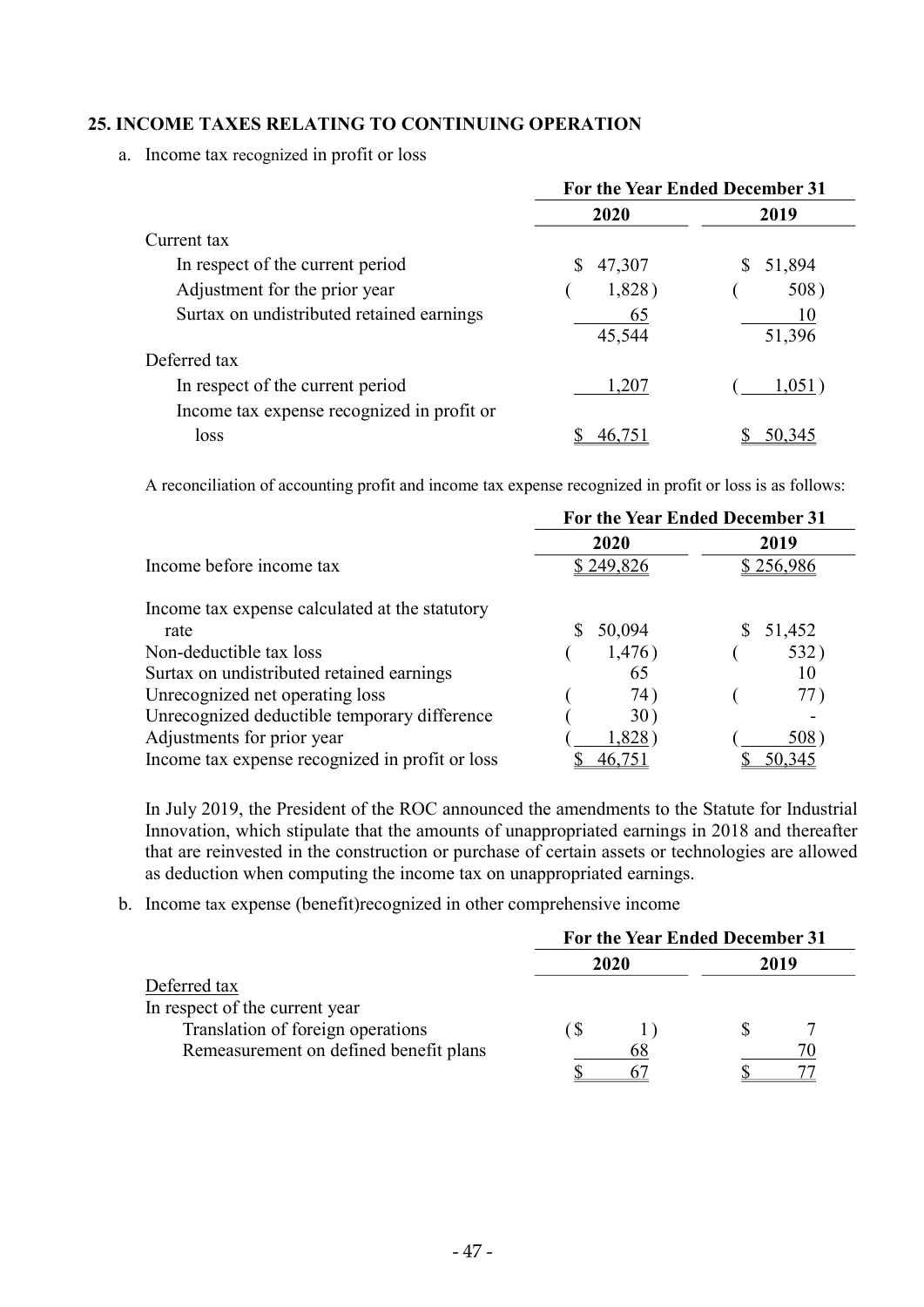### 25. INCOME TAXES RELATING TO CONTINUING OPERATION

a. Income tax recognized in profit or loss

|                                                                                | For the Year Ended December 31 |              |  |  |
|--------------------------------------------------------------------------------|--------------------------------|--------------|--|--|
|                                                                                | 2020                           | 2019         |  |  |
| Current tax                                                                    |                                |              |  |  |
| In respect of the current period                                               | S<br>47,307                    | 51,894       |  |  |
| Adjustment for the prior year                                                  | 1,828)                         | 508)         |  |  |
| Surtax on undistributed retained earnings                                      | 65<br>45,544                   | 10<br>51,396 |  |  |
| Deferred tax                                                                   |                                |              |  |  |
| In respect of the current period<br>Income tax expense recognized in profit or | 1,207                          | 1,051        |  |  |
| loss                                                                           |                                |              |  |  |

A reconciliation of accounting profit and income tax expense recognized in profit or loss is as follows:

|                                                 | For the Year Ended December 31 |           |  |  |
|-------------------------------------------------|--------------------------------|-----------|--|--|
|                                                 | 2020                           | 2019      |  |  |
| Income before income tax                        | \$249,826                      | \$256,986 |  |  |
| Income tax expense calculated at the statutory  |                                |           |  |  |
| rate                                            | 50,094                         | 51,452    |  |  |
| Non-deductible tax loss                         | 1,476)                         | 532)      |  |  |
| Surtax on undistributed retained earnings       | 65                             | 10        |  |  |
| Unrecognized net operating loss                 | 74)                            | 77)       |  |  |
| Unrecognized deductible temporary difference    | 30)                            |           |  |  |
| Adjustments for prior year                      | 1,828                          | 508)      |  |  |
| Income tax expense recognized in profit or loss |                                | 50,345    |  |  |

In July 2019, the President of the ROC announced the amendments to the Statute for Industrial Innovation, which stipulate that the amounts of unappropriated earnings in 2018 and thereafter that are reinvested in the construction or purchase of certain assets or technologies are allowed as deduction when computing the income tax on unappropriated earnings.

b. Income tax expense (benefit)recognized in other comprehensive income

|                                        | For the Year Ended December 31 |      |  |      |  |
|----------------------------------------|--------------------------------|------|--|------|--|
|                                        |                                | 2020 |  | 2019 |  |
| Deferred tax                           |                                |      |  |      |  |
| In respect of the current year         |                                |      |  |      |  |
| Translation of foreign operations      |                                |      |  |      |  |
| Remeasurement on defined benefit plans |                                | 68   |  |      |  |
|                                        |                                |      |  |      |  |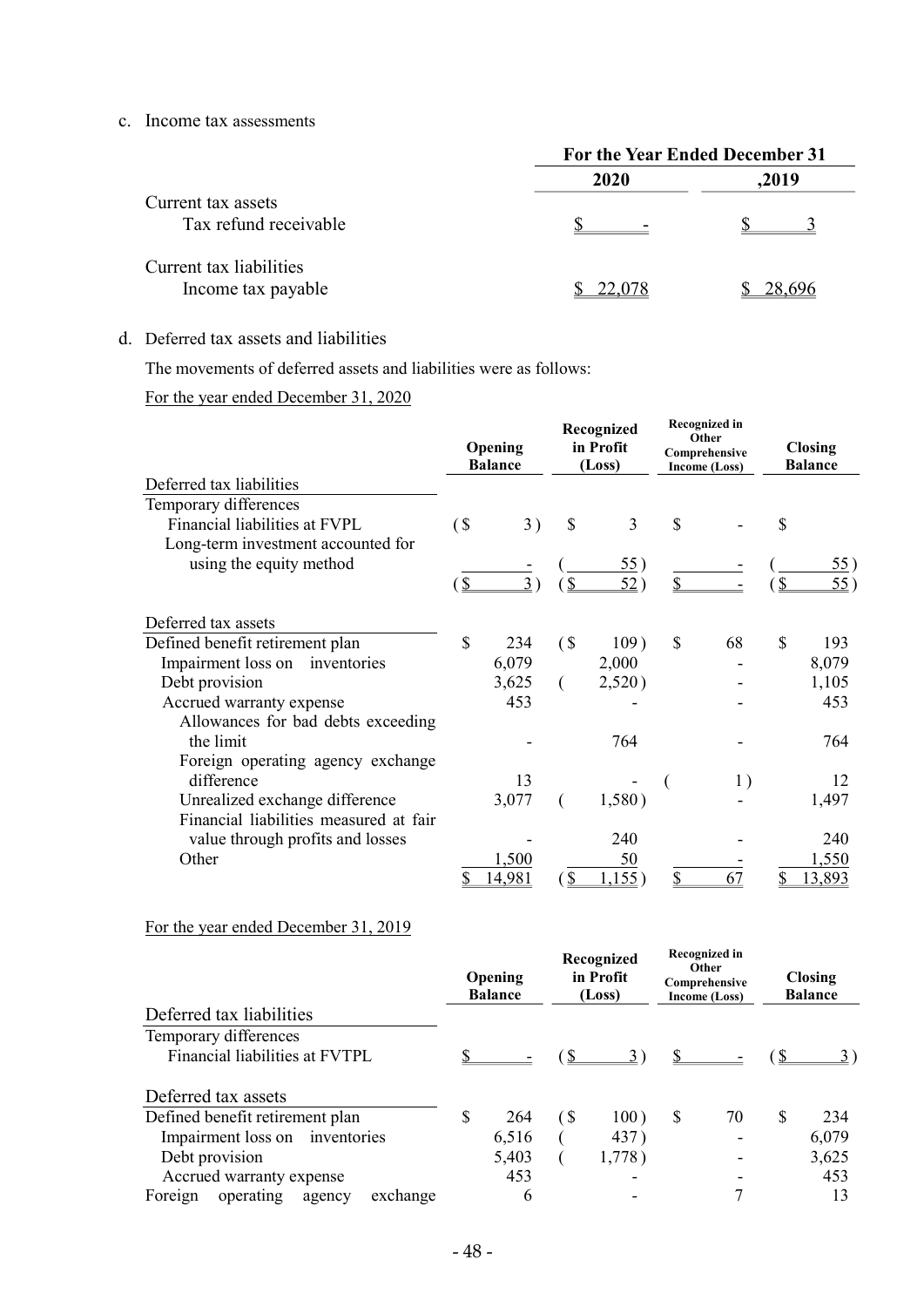#### c. Income tax assessments

|                                               | For the Year Ended December 31 |        |  |  |
|-----------------------------------------------|--------------------------------|--------|--|--|
|                                               | 2020                           | ,2019  |  |  |
| Current tax assets<br>Tax refund receivable   |                                |        |  |  |
| Current tax liabilities<br>Income tax payable | 22,078                         | 28,696 |  |  |

#### d. Deferred tax assets and liabilities

The movements of deferred assets and liabilities were as follows:

### For the year ended December 31, 2020

|                                        |        | Opening<br><b>Balance</b> |                    | Recognized<br>in Profit<br>(Loss) |              | <b>Recognized in</b><br>Other<br>Comprehensive<br>Income (Loss) |                    | <b>Closing</b><br><b>Balance</b> |
|----------------------------------------|--------|---------------------------|--------------------|-----------------------------------|--------------|-----------------------------------------------------------------|--------------------|----------------------------------|
| Deferred tax liabilities               |        |                           |                    |                                   |              |                                                                 |                    |                                  |
| Temporary differences                  |        |                           |                    |                                   |              |                                                                 |                    |                                  |
| Financial liabilities at FVPL          | $($ \$ | 3)                        | \$                 | 3                                 | $\mathbb{S}$ |                                                                 | \$                 |                                  |
| Long-term investment accounted for     |        |                           |                    |                                   |              |                                                                 |                    |                                  |
| using the equity method                |        | $3^{\circ}$               | $\overline{2}$     | $\frac{55}{2}$<br>52)             | \$           |                                                                 | $\mathbf{\hat{S}}$ | <u>55</u> )<br>55)               |
|                                        | (\$    |                           |                    |                                   |              |                                                                 |                    |                                  |
| Deferred tax assets                    |        |                           |                    |                                   |              |                                                                 |                    |                                  |
| Defined benefit retirement plan        | \$     | 234                       | $\left( \text{\$}$ | 109)                              | \$           | 68                                                              | $\mathbb{S}$       | 193                              |
| Impairment loss on<br>inventories      |        | 6,079                     |                    | 2,000                             |              |                                                                 |                    | 8,079                            |
| Debt provision                         |        | 3,625                     |                    | 2,520)                            |              |                                                                 |                    | 1,105                            |
| Accrued warranty expense               |        | 453                       |                    |                                   |              |                                                                 |                    | 453                              |
| Allowances for bad debts exceeding     |        |                           |                    |                                   |              |                                                                 |                    |                                  |
| the limit                              |        |                           |                    | 764                               |              |                                                                 |                    | 764                              |
| Foreign operating agency exchange      |        |                           |                    |                                   |              |                                                                 |                    |                                  |
| difference                             |        | 13                        |                    |                                   |              | 1)                                                              |                    | 12                               |
| Unrealized exchange difference         |        | 3,077                     |                    | 1,580)                            |              |                                                                 |                    | 1,497                            |
| Financial liabilities measured at fair |        |                           |                    |                                   |              |                                                                 |                    |                                  |
| value through profits and losses       |        |                           |                    | 240                               |              |                                                                 |                    | 240                              |
| Other                                  |        | 1,500                     |                    | <u>50</u>                         |              |                                                                 |                    | 1,550                            |
|                                        | S      | 14,981                    | \$                 | 1,155)                            | \$           | 67                                                              |                    | 13,893                           |

# For the year ended December 31, 2019

|                                            | Opening<br><b>Balance</b> |                              | Recognized<br>in Profit<br>(Loss) | <b>Recognized in</b><br>Other<br>Comprehensive<br>Income (Loss) |    | <b>Closing</b><br><b>Balance</b> |
|--------------------------------------------|---------------------------|------------------------------|-----------------------------------|-----------------------------------------------------------------|----|----------------------------------|
| Deferred tax liabilities                   |                           |                              |                                   |                                                                 |    |                                  |
| Temporary differences                      |                           |                              |                                   |                                                                 |    |                                  |
| Financial liabilities at FVTPL             |                           |                              | 3)                                |                                                                 |    |                                  |
| Deferred tax assets                        |                           |                              |                                   |                                                                 |    |                                  |
| Defined benefit retirement plan            | \$<br>264                 | $\left( \mathcal{S} \right)$ | 100)                              | \$<br>70                                                        | -S | 234                              |
| Impairment loss on inventories             | 6,516                     |                              | 437)                              |                                                                 |    | 6,079                            |
| Debt provision                             | 5,403                     |                              | 1,778)                            |                                                                 |    | 3,625                            |
| Accrued warranty expense                   | 453                       |                              |                                   |                                                                 |    | 453                              |
| operating<br>exchange<br>Foreign<br>agency | 6                         |                              |                                   |                                                                 |    | 13                               |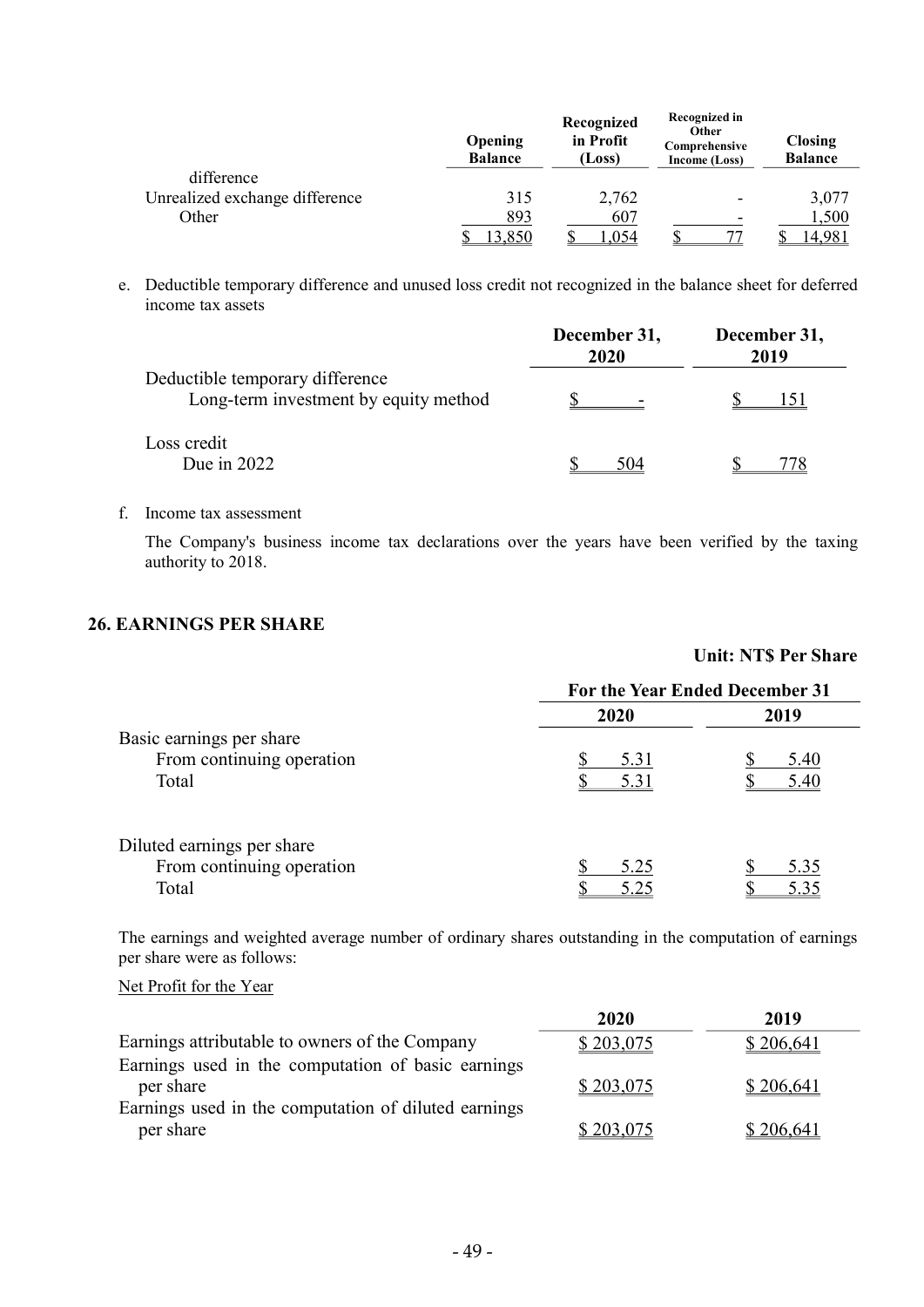|                                | Opening<br><b>Balance</b> | Recognized<br>in Profit<br>(Loss) | <b>Recognized in</b><br>Other<br>Comprehensive<br>Income (Loss) | <b>Closing</b><br><b>Balance</b> |
|--------------------------------|---------------------------|-----------------------------------|-----------------------------------------------------------------|----------------------------------|
| difference                     |                           |                                   |                                                                 |                                  |
| Unrealized exchange difference | 315                       | 2,762                             | $\overline{\phantom{a}}$                                        | 3,077                            |
| Other                          | 893                       | 607                               | $\overline{\phantom{a}}$                                        | 1,500                            |
|                                | 3,850                     | ,054                              |                                                                 | 4,981                            |

e. Deductible temporary difference and unused loss credit not recognized in the balance sheet for deferred income tax assets

|                                                                          | December 31,<br>2020 | December 31,<br>2019 |
|--------------------------------------------------------------------------|----------------------|----------------------|
| Deductible temporary difference<br>Long-term investment by equity method |                      |                      |
| Loss credit<br>Due in $2022$                                             | 504                  |                      |

#### f. Income tax assessment

The Company's business income tax declarations over the years have been verified by the taxing authority to 2018.

Unit: NT\$ Per Share

### 26. EARNINGS PER SHARE

|                            | For the Year Ended December 31 |      |  |
|----------------------------|--------------------------------|------|--|
|                            | 2020                           | 2019 |  |
| Basic earnings per share   |                                |      |  |
| From continuing operation  | 5.31                           | 5.40 |  |
| Total                      | 5.31                           | 5.40 |  |
| Diluted earnings per share |                                |      |  |
| From continuing operation  | 5.25                           | 5.35 |  |
| Total                      | 5.25                           | 5.35 |  |

The earnings and weighted average number of ordinary shares outstanding in the computation of earnings per share were as follows:

Net Profit for the Year

|                                                      | 2020      | 2019      |
|------------------------------------------------------|-----------|-----------|
| Earnings attributable to owners of the Company       | \$203,075 | \$206,641 |
| Earnings used in the computation of basic earnings   |           |           |
| per share                                            | \$203,075 | \$206,641 |
| Earnings used in the computation of diluted earnings |           |           |
| per share                                            | \$203,075 | \$206,641 |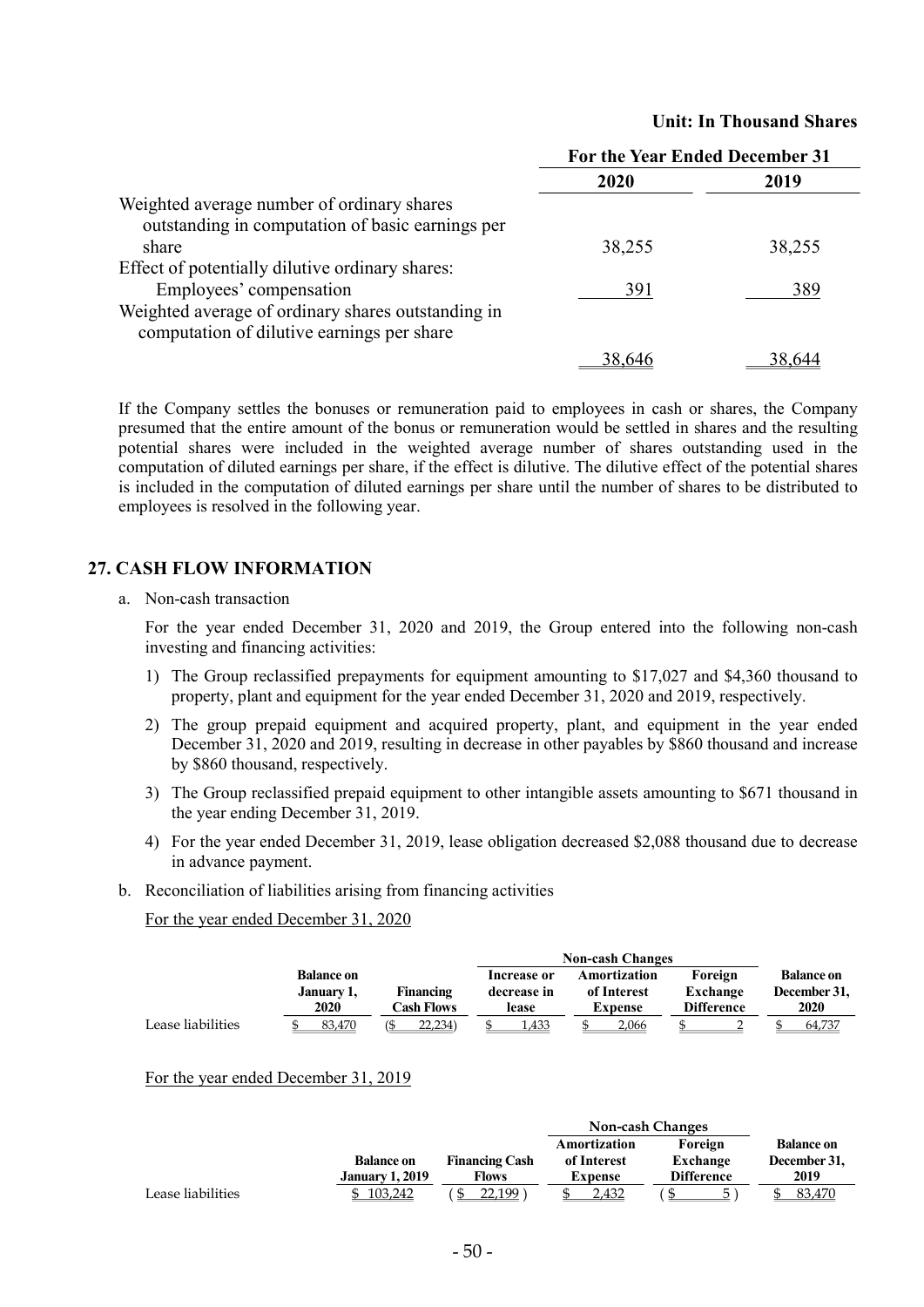|                                                                                                  | For the Year Ended December 31 |        |
|--------------------------------------------------------------------------------------------------|--------------------------------|--------|
|                                                                                                  | 2020                           | 2019   |
| Weighted average number of ordinary shares<br>outstanding in computation of basic earnings per   |                                |        |
| share                                                                                            | 38,255                         | 38,255 |
| Effect of potentially dilutive ordinary shares:<br>Employees' compensation                       | 391                            | 389    |
| Weighted average of ordinary shares outstanding in<br>computation of dilutive earnings per share |                                |        |
|                                                                                                  | 38,646                         | 38,644 |

#### Unit: In Thousand Shares

If the Company settles the bonuses or remuneration paid to employees in cash or shares, the Company presumed that the entire amount of the bonus or remuneration would be settled in shares and the resulting potential shares were included in the weighted average number of shares outstanding used in the computation of diluted earnings per share, if the effect is dilutive. The dilutive effect of the potential shares is included in the computation of diluted earnings per share until the number of shares to be distributed to employees is resolved in the following year.

#### 27. CASH FLOW INFORMATION

a. Non-cash transaction

For the year ended December 31, 2020 and 2019, the Group entered into the following non-cash investing and financing activities:

- 1) The Group reclassified prepayments for equipment amounting to \$17,027 and \$4,360 thousand to property, plant and equipment for the year ended December 31, 2020 and 2019, respectively.
- 2) The group prepaid equipment and acquired property, plant, and equipment in the year ended December 31, 2020 and 2019, resulting in decrease in other payables by \$860 thousand and increase by \$860 thousand, respectively.
- 3) The Group reclassified prepaid equipment to other intangible assets amounting to \$671 thousand in the year ending December 31, 2019.
- 4) For the year ended December 31, 2019, lease obligation decreased \$2,088 thousand due to decrease in advance payment.
- b. Reconciliation of liabilities arising from financing activities

For the year ended December 31, 2020

|                   | <b>Non-cash Changes</b>                 |                         |                                     |                                               |                                          |                                                  |
|-------------------|-----------------------------------------|-------------------------|-------------------------------------|-----------------------------------------------|------------------------------------------|--------------------------------------------------|
|                   | <b>Balance on</b><br>January 1,<br>2020 | Financing<br>Cash Flows | Increase or<br>decrease in<br>lease | Amortization<br>of Interest<br><b>Expense</b> | Foreign<br>Exchange<br><b>Difference</b> | <b>Balance on</b><br>December 31,<br><b>2020</b> |
| Lease liabilities | 83.470                                  | 22.234)                 | 1.433                               | 2.066                                         |                                          | 64,737                                           |

#### For the year ended December 31, 2019

|                   |                        |                       | <b>Non-cash Changes</b> |                   |                   |
|-------------------|------------------------|-----------------------|-------------------------|-------------------|-------------------|
|                   |                        |                       | Amortization            | Foreign           | <b>Balance on</b> |
|                   | <b>Balance on</b>      | <b>Financing Cash</b> | of Interest             | Exchange          | December 31,      |
|                   | <b>January 1, 2019</b> | Flows                 | Expense                 | <b>Difference</b> | 2019              |
| Lease liabilities | 103.242                | 22.199                | 2.432                   |                   | 83.470            |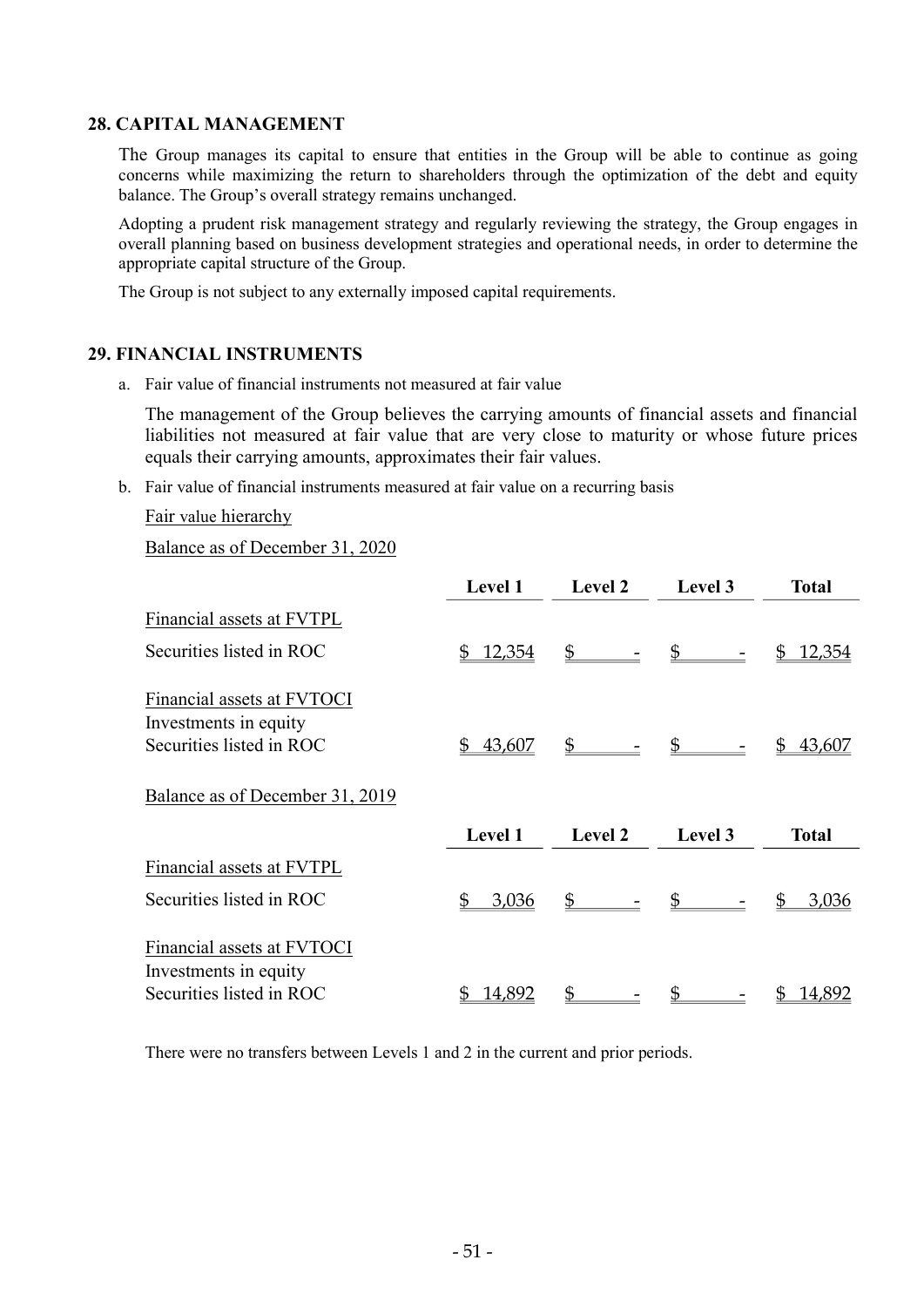### 28. CAPITAL MANAGEMENT

The Group manages its capital to ensure that entities in the Group will be able to continue as going concerns while maximizing the return to shareholders through the optimization of the debt and equity balance. The Group's overall strategy remains unchanged.

Adopting a prudent risk management strategy and regularly reviewing the strategy, the Group engages in overall planning based on business development strategies and operational needs, in order to determine the appropriate capital structure of the Group.

The Group is not subject to any externally imposed capital requirements.

#### 29. FINANCIAL INSTRUMENTS

a. Fair value of financial instruments not measured at fair value

The management of the Group believes the carrying amounts of financial assets and financial liabilities not measured at fair value that are very close to maturity or whose future prices equals their carrying amounts, approximates their fair values.

b. Fair value of financial instruments measured at fair value on a recurring basis

Fair value hierarchy

Balance as of December 31, 2020

|                                                     | <b>Level 1</b>      | <b>Level 2</b> | Level 3        | <b>Total</b> |
|-----------------------------------------------------|---------------------|----------------|----------------|--------------|
| Financial assets at FVTPL                           |                     |                |                |              |
| Securities listed in ROC                            | <u>12,354</u><br>\$ | $\mathbb{S}$   | $\mathfrak{S}$ | 12,354<br>SS |
| Financial assets at FVTOCI                          |                     |                |                |              |
| Investments in equity                               |                     |                |                |              |
| Securities listed in ROC                            | 43,607<br>\$        | $\mathbb{S}$   | $\mathbb{S}$   | 43,607<br>S  |
| Balance as of December 31, 2019                     |                     |                |                |              |
|                                                     | Level 1             | Level 2        | Level 3        | <b>Total</b> |
| Financial assets at FVTPL                           |                     |                |                |              |
| Securities listed in ROC                            | \$<br>3,036         | $\mathbb{S}$   |                | 3,036        |
| Financial assets at FVTOCI<br>Investments in equity |                     |                |                |              |
| Securities listed in ROC                            | 14,892              | \$             |                | 14,892       |

There were no transfers between Levels 1 and 2 in the current and prior periods.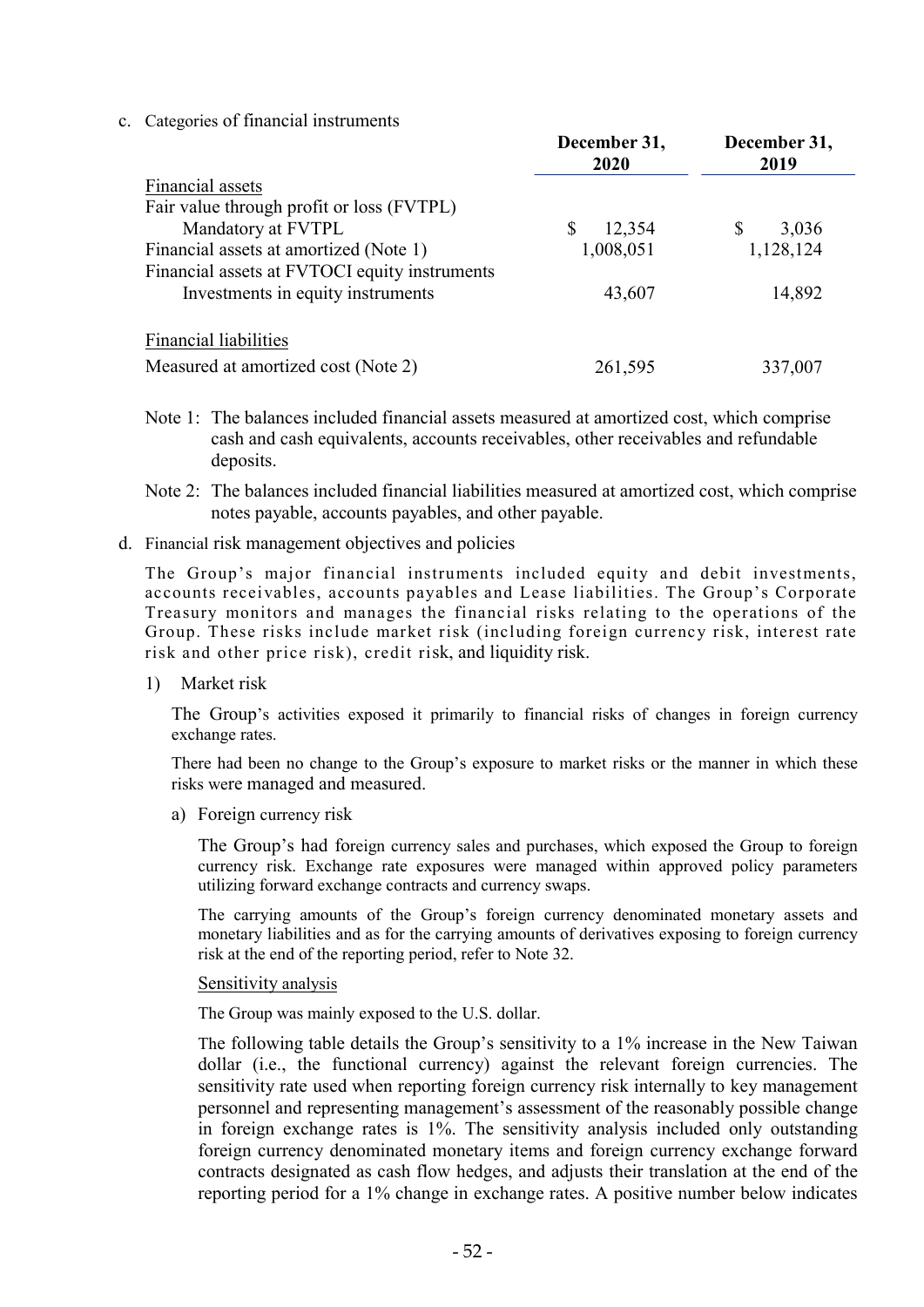c. Categories of financial instruments

|                                               | December 31,<br>2020 | December 31,<br>2019 |
|-----------------------------------------------|----------------------|----------------------|
| Financial assets                              |                      |                      |
| Fair value through profit or loss (FVTPL)     |                      |                      |
| Mandatory at FVTPL                            | 12,354<br>S          | \$<br>3,036          |
| Financial assets at amortized (Note 1)        | 1,008,051            | 1,128,124            |
| Financial assets at FVTOCI equity instruments |                      |                      |
| Investments in equity instruments             | 43,607               | 14,892               |
| <b>Financial liabilities</b>                  |                      |                      |
| Measured at amortized cost (Note 2)           | 261,595              | 337,007              |

- Note 1: The balances included financial assets measured at amortized cost, which comprise cash and cash equivalents, accounts receivables, other receivables and refundable deposits.
- Note 2: The balances included financial liabilities measured at amortized cost, which comprise notes payable, accounts payables, and other payable.
- d. Financial risk management objectives and policies

The Group's major financial instruments included equity and debit investments, accounts receivables, accounts payables and Lease liabilities. The Group's Corporate Treasury monitors and manages the financial risks relating to the operations of the Group. These risks include market risk (including foreign currency risk, interest rate risk and other price risk), credit risk, and liquidity risk.

1) Market risk

The Group's activities exposed it primarily to financial risks of changes in foreign currency exchange rates.

There had been no change to the Group's exposure to market risks or the manner in which these risks were managed and measured.

a) Foreign currency risk

The Group's had foreign currency sales and purchases, which exposed the Group to foreign currency risk. Exchange rate exposures were managed within approved policy parameters utilizing forward exchange contracts and currency swaps.

The carrying amounts of the Group's foreign currency denominated monetary assets and monetary liabilities and as for the carrying amounts of derivatives exposing to foreign currency risk at the end of the reporting period, refer to Note 32.

#### Sensitivity analysis

The Group was mainly exposed to the U.S. dollar.

The following table details the Group's sensitivity to a 1% increase in the New Taiwan dollar (i.e., the functional currency) against the relevant foreign currencies. The sensitivity rate used when reporting foreign currency risk internally to key management personnel and representing management's assessment of the reasonably possible change in foreign exchange rates is 1%. The sensitivity analysis included only outstanding foreign currency denominated monetary items and foreign currency exchange forward contracts designated as cash flow hedges, and adjusts their translation at the end of the reporting period for a 1% change in exchange rates. A positive number below indicates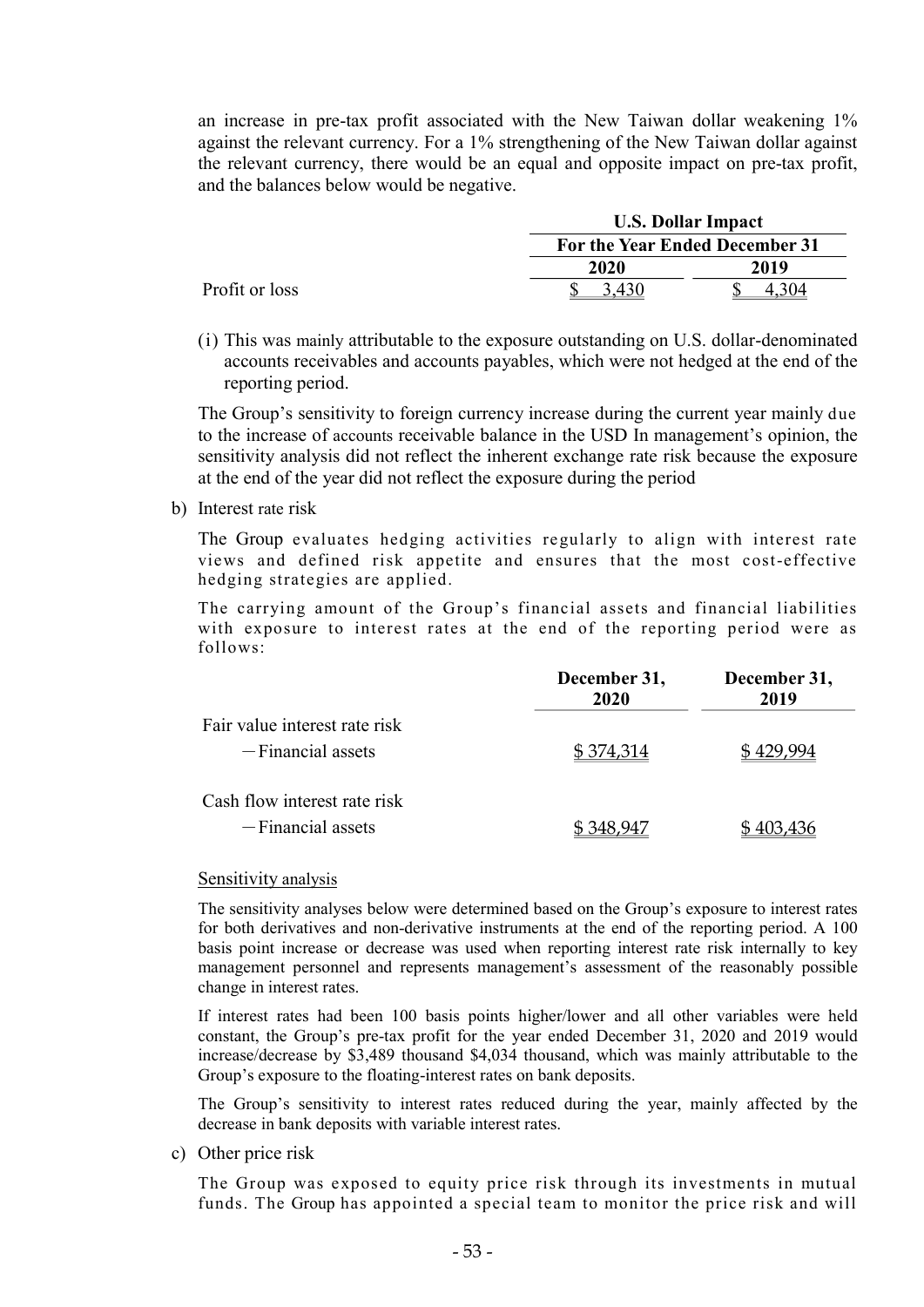an increase in pre-tax profit associated with the New Taiwan dollar weakening 1% against the relevant currency. For a 1% strengthening of the New Taiwan dollar against the relevant currency, there would be an equal and opposite impact on pre-tax profit, and the balances below would be negative.

|                |             | <b>U.S. Dollar Impact</b>      |  |  |
|----------------|-------------|--------------------------------|--|--|
|                |             | For the Year Ended December 31 |  |  |
|                | <b>2020</b> | 2019                           |  |  |
| Profit or loss |             | .04                            |  |  |

(i) This was mainly attributable to the exposure outstanding on U.S. dollar-denominated accounts receivables and accounts payables, which were not hedged at the end of the reporting period.

The Group's sensitivity to foreign currency increase during the current year mainly due to the increase of accounts receivable balance in the USD In management's opinion, the sensitivity analysis did not reflect the inherent exchange rate risk because the exposure at the end of the year did not reflect the exposure during the period

b) Interest rate risk

The Group evaluates hedging activities regularly to align with interest rate views and defined risk appetite and ensures that the most cost-effective hedging strategies are applied.

The carrying amount of the Group's financial assets and financial liabilities with exposure to interest rates at the end of the reporting period were as follows:

|                               | December 31,<br>2020 | December 31,<br>2019 |
|-------------------------------|----------------------|----------------------|
| Fair value interest rate risk |                      |                      |
| $-Financial$ assets           | \$374,314            | \$479.994            |
| Cash flow interest rate risk  |                      |                      |
| $-Finencial$ assets           |                      | 403,436              |

#### Sensitivity analysis

The sensitivity analyses below were determined based on the Group's exposure to interest rates for both derivatives and non-derivative instruments at the end of the reporting period. A 100 basis point increase or decrease was used when reporting interest rate risk internally to key management personnel and represents management's assessment of the reasonably possible change in interest rates.

If interest rates had been 100 basis points higher/lower and all other variables were held constant, the Group's pre-tax profit for the year ended December 31, 2020 and 2019 would increase/decrease by \$3,489 thousand \$4,034 thousand, which was mainly attributable to the Group's exposure to the floating-interest rates on bank deposits.

The Group's sensitivity to interest rates reduced during the year, mainly affected by the decrease in bank deposits with variable interest rates.

c) Other price risk

The Group was exposed to equity price risk through its investments in mutual funds. The Group has appointed a special team to monitor the price risk and will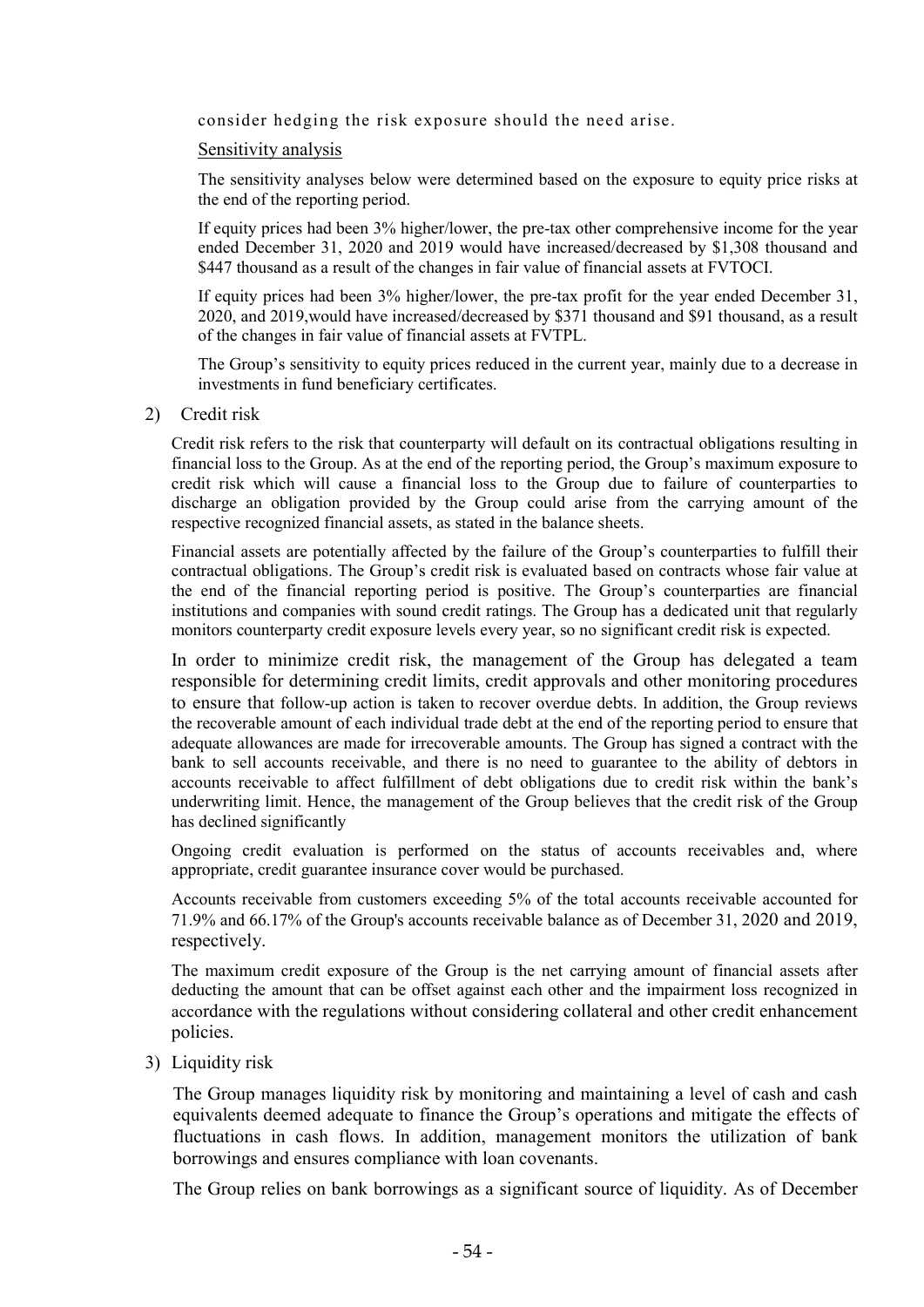consider hedging the risk exposure should the need arise.

#### Sensitivity analysis

The sensitivity analyses below were determined based on the exposure to equity price risks at the end of the reporting period.

If equity prices had been 3% higher/lower, the pre-tax other comprehensive income for the year ended December 31, 2020 and 2019 would have increased/decreased by \$1,308 thousand and \$447 thousand as a result of the changes in fair value of financial assets at FVTOCI.

If equity prices had been 3% higher/lower, the pre-tax profit for the year ended December 31, 2020, and 2019,would have increased/decreased by \$371 thousand and \$91 thousand, as a result of the changes in fair value of financial assets at FVTPL.

The Group's sensitivity to equity prices reduced in the current year, mainly due to a decrease in investments in fund beneficiary certificates.

2) Credit risk

Credit risk refers to the risk that counterparty will default on its contractual obligations resulting in financial loss to the Group. As at the end of the reporting period, the Group's maximum exposure to credit risk which will cause a financial loss to the Group due to failure of counterparties to discharge an obligation provided by the Group could arise from the carrying amount of the respective recognized financial assets, as stated in the balance sheets.

Financial assets are potentially affected by the failure of the Group's counterparties to fulfill their contractual obligations. The Group's credit risk is evaluated based on contracts whose fair value at the end of the financial reporting period is positive. The Group's counterparties are financial institutions and companies with sound credit ratings. The Group has a dedicated unit that regularly monitors counterparty credit exposure levels every year, so no significant credit risk is expected.

In order to minimize credit risk, the management of the Group has delegated a team responsible for determining credit limits, credit approvals and other monitoring procedures to ensure that follow-up action is taken to recover overdue debts. In addition, the Group reviews the recoverable amount of each individual trade debt at the end of the reporting period to ensure that adequate allowances are made for irrecoverable amounts. The Group has signed a contract with the bank to sell accounts receivable, and there is no need to guarantee to the ability of debtors in accounts receivable to affect fulfillment of debt obligations due to credit risk within the bank's underwriting limit. Hence, the management of the Group believes that the credit risk of the Group has declined significantly

Ongoing credit evaluation is performed on the status of accounts receivables and, where appropriate, credit guarantee insurance cover would be purchased.

Accounts receivable from customers exceeding 5% of the total accounts receivable accounted for 71.9% and 66.17% of the Group's accounts receivable balance as of December 31, 2020 and 2019, respectively.

The maximum credit exposure of the Group is the net carrying amount of financial assets after deducting the amount that can be offset against each other and the impairment loss recognized in accordance with the regulations without considering collateral and other credit enhancement policies.

3) Liquidity risk

The Group manages liquidity risk by monitoring and maintaining a level of cash and cash equivalents deemed adequate to finance the Group's operations and mitigate the effects of fluctuations in cash flows. In addition, management monitors the utilization of bank borrowings and ensures compliance with loan covenants.

The Group relies on bank borrowings as a significant source of liquidity. As of December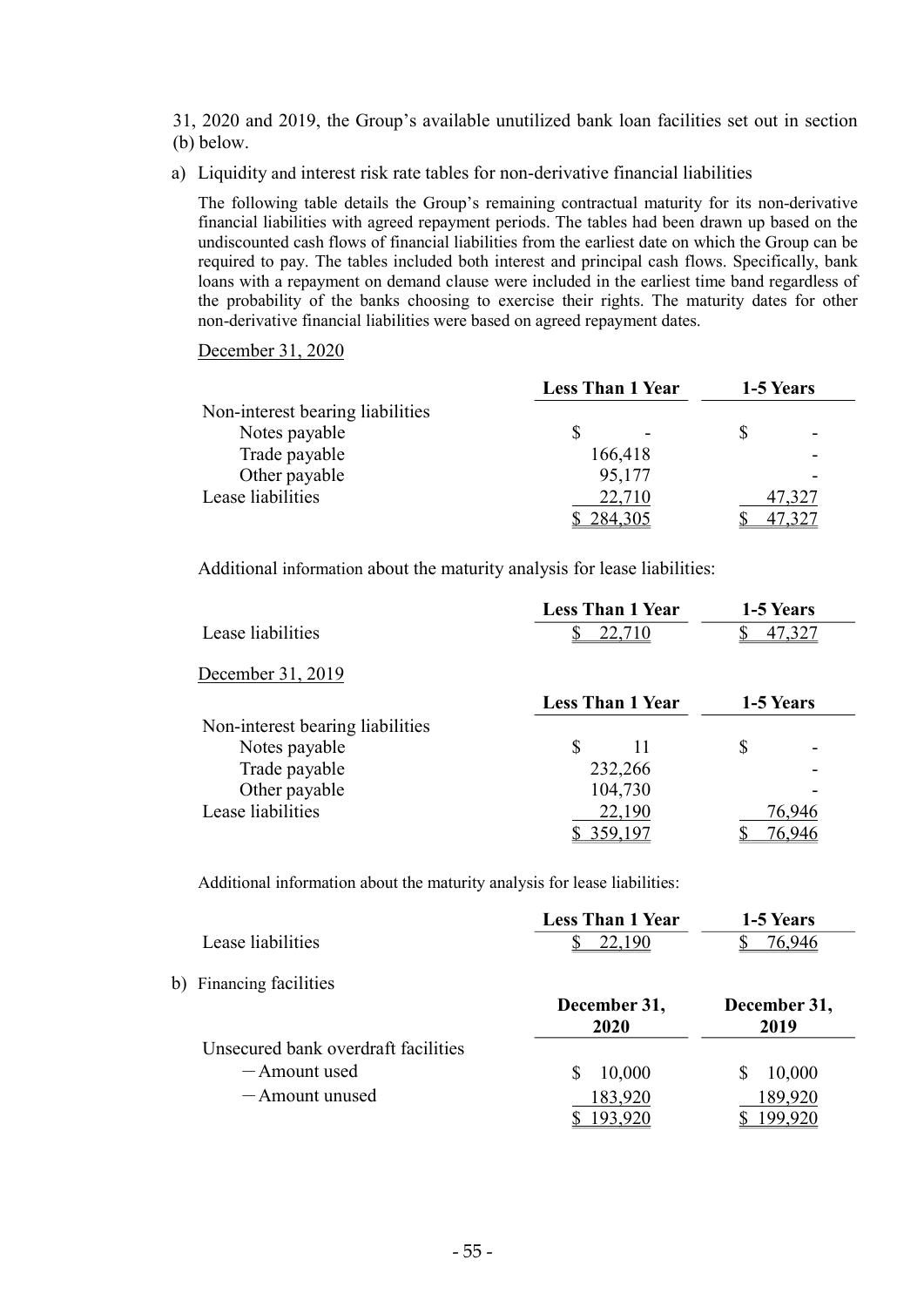31, 2020 and 2019, the Group's available unutilized bank loan facilities set out in section (b) below.

a) Liquidity and interest risk rate tables for non-derivative financial liabilities

The following table details the Group's remaining contractual maturity for its non-derivative financial liabilities with agreed repayment periods. The tables had been drawn up based on the undiscounted cash flows of financial liabilities from the earliest date on which the Group can be required to pay. The tables included both interest and principal cash flows. Specifically, bank loans with a repayment on demand clause were included in the earliest time band regardless of the probability of the banks choosing to exercise their rights. The maturity dates for other non-derivative financial liabilities were based on agreed repayment dates.

#### December 31, 2020

|                                  | <b>Less Than 1 Year</b> | 1-5 Years |  |
|----------------------------------|-------------------------|-----------|--|
| Non-interest bearing liabilities |                         |           |  |
| Notes payable                    |                         |           |  |
| Trade payable                    | 166,418                 |           |  |
| Other payable                    | 95,177                  |           |  |
| Lease liabilities                | 22,710                  | 47,327    |  |
|                                  | 284,305                 |           |  |

Additional information about the maturity analysis for lease liabilities:

|                                  | <b>Less Than 1 Year</b> | 1-5 Years |
|----------------------------------|-------------------------|-----------|
| Lease liabilities                | 22,710                  | 47,327    |
| December 31, 2019                |                         |           |
|                                  | <b>Less Than 1 Year</b> | 1-5 Years |
| Non-interest bearing liabilities |                         |           |
| Notes payable                    | \$<br>11                | \$        |
| Trade payable                    | 232,266                 |           |
| Other payable                    | 104,730                 |           |
| Lease liabilities                | 22,190                  | 76,946    |
|                                  |                         |           |

Additional information about the maturity analysis for lease liabilities:

|                                     | <b>Less Than 1 Year</b> | 1-5 Years    |
|-------------------------------------|-------------------------|--------------|
| Lease liabilities                   | 22,190                  | 76,946       |
| b) Financing facilities             |                         |              |
|                                     | December 31,            | December 31, |
|                                     | 2020                    | 2019         |
| Unsecured bank overdraft facilities |                         |              |
| -Amount used                        | 10,000                  | 10,000<br>S  |
| -Amount unused                      | 183,920                 | 189,920      |
|                                     | 193,920                 | 199,920      |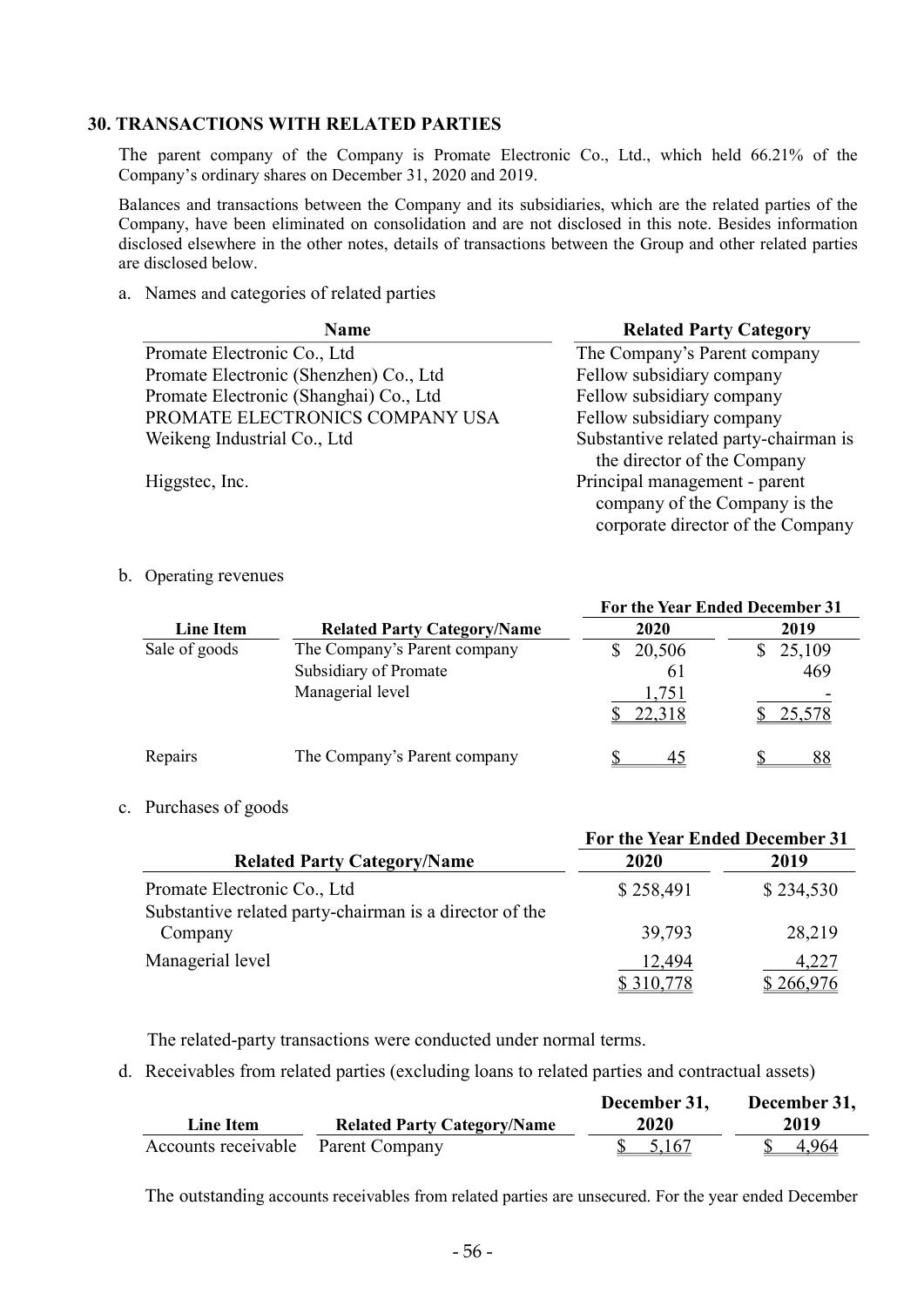### 30. TRANSACTIONS WITH RELATED PARTIES

The parent company of the Company is Promate Electronic Co., Ltd., which held 66.21% of the Company's ordinary shares on December 31, 2020 and 2019.

Balances and transactions between the Company and its subsidiaries, which are the related parties of the Company, have been eliminated on consolidation and are not disclosed in this note. Besides information disclosed elsewhere in the other notes, details of transactions between the Group and other related parties are disclosed below.

a. Names and categories of related parties

| <b>Name</b>                            | <b>Related Party Category</b>                                                                       |
|----------------------------------------|-----------------------------------------------------------------------------------------------------|
| Promate Electronic Co., Ltd            | The Company's Parent company                                                                        |
| Promate Electronic (Shenzhen) Co., Ltd | Fellow subsidiary company                                                                           |
| Promate Electronic (Shanghai) Co., Ltd | Fellow subsidiary company                                                                           |
| PROMATE ELECTRONICS COMPANY USA        | Fellow subsidiary company                                                                           |
| Weikeng Industrial Co., Ltd            | Substantive related party-chairman is<br>the director of the Company                                |
| Higgstec, Inc.                         | Principal management - parent<br>company of the Company is the<br>corporate director of the Company |

b. Operating revenues

|                  |                                    | For the Year Ended December 31 |        |
|------------------|------------------------------------|--------------------------------|--------|
| <b>Line Item</b> | <b>Related Party Category/Name</b> | 2020                           | 2019   |
| Sale of goods    | The Company's Parent company       | 20,506                         | 25,109 |
|                  | Subsidiary of Promate              | 61                             | 469    |
|                  | Managerial level                   | 1,751<br>22,318                | 25,578 |
|                  |                                    |                                |        |
| Repairs          | The Company's Parent company       | 45                             |        |

#### c. Purchases of goods

|                                                         | For the Year Ended December 31 |           |
|---------------------------------------------------------|--------------------------------|-----------|
| <b>Related Party Category/Name</b>                      | 2020                           | 2019      |
| Promate Electronic Co., Ltd                             | \$258,491                      | \$234,530 |
| Substantive related party-chairman is a director of the |                                |           |
| Company                                                 | 39,793                         | 28,219    |
| Managerial level                                        | 12,494                         | 4,227     |
|                                                         | <u>\$310,778</u>               | \$266,976 |

The related-party transactions were conducted under normal terms.

d. Receivables from related parties (excluding loans to related parties and contractual assets)

|                                    |                                    | December 31,       | December 31, |
|------------------------------------|------------------------------------|--------------------|--------------|
| <b>Line Item</b>                   | <b>Related Party Category/Name</b> | <b>2020</b>        | 2019         |
| Accounts receivable Parent Company |                                    | $\frac{\$}{5,167}$ | 4.964        |

The outstanding accounts receivables from related parties are unsecured. For the year ended December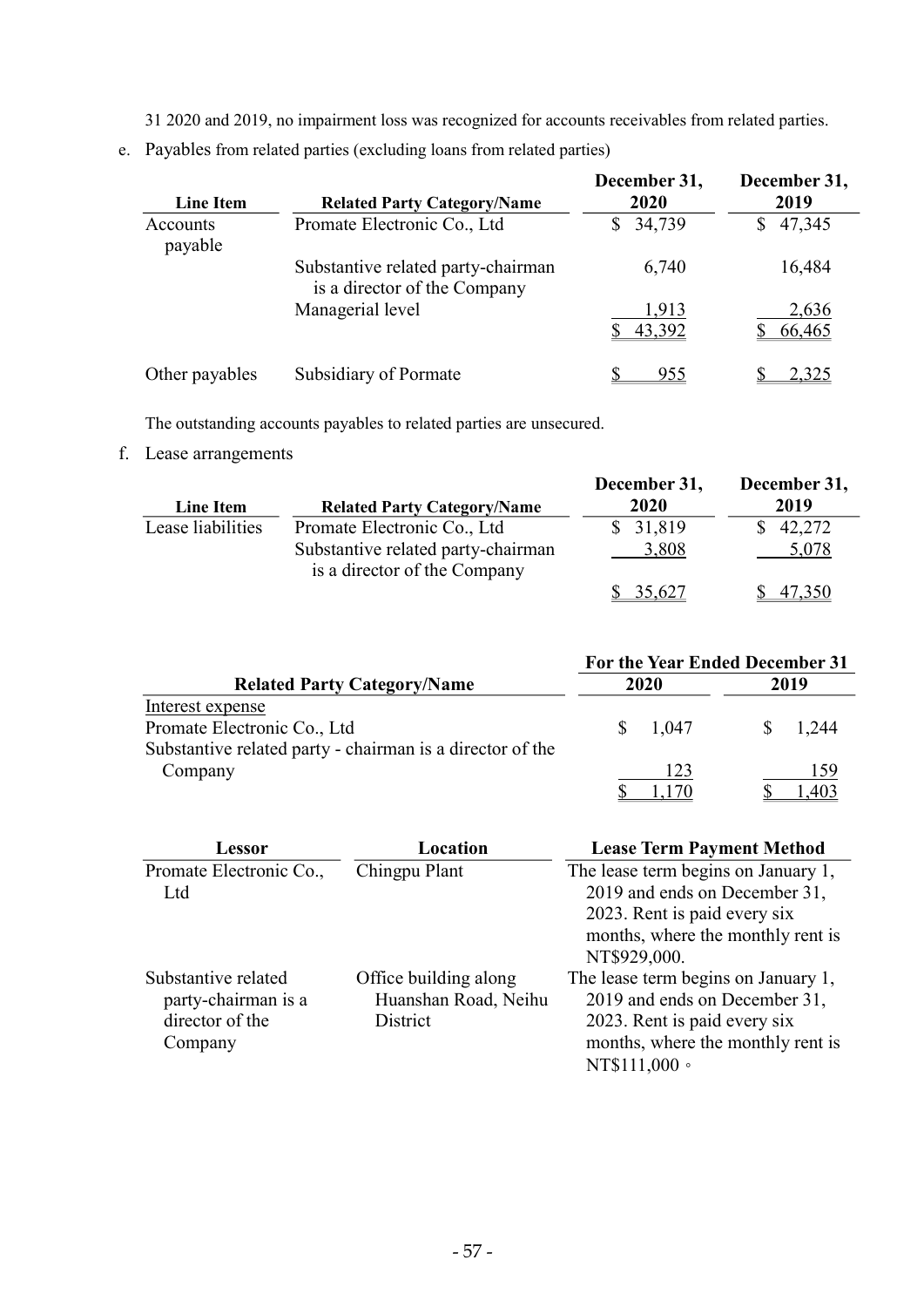31 2020 and 2019, no impairment loss was recognized for accounts receivables from related parties.

e. Payables from related parties (excluding loans from related parties)

| <b>Line Item</b>    | <b>Related Party Category/Name</b>                                 | December 31,<br>2020 | December 31,<br>2019 |
|---------------------|--------------------------------------------------------------------|----------------------|----------------------|
| Accounts<br>payable | Promate Electronic Co., Ltd                                        | 34,739               | 47,345<br>S          |
|                     | Substantive related party-chairman<br>is a director of the Company | 6,740                | 16,484               |
|                     | Managerial level                                                   | 1,913<br>43,392      | 2,636<br>66,465      |
| Other payables      | Subsidiary of Pormate                                              | 955                  | 2,325                |

The outstanding accounts payables to related parties are unsecured.

f. Lease arrangements

| Line Item         | <b>Related Party Category/Name</b>                                 | December 31,<br>2020 | December 31,<br>2019 |
|-------------------|--------------------------------------------------------------------|----------------------|----------------------|
| Lease liabilities | Promate Electronic Co., Ltd                                        | \$31,819             | 42,272               |
|                   | Substantive related party-chairman<br>is a director of the Company | 3,808                | 5,078                |
|                   |                                                                    | \$35,627             | 47,350               |

|                                                           |    | For the Year Ended December 31 |  |       |  |
|-----------------------------------------------------------|----|--------------------------------|--|-------|--|
| <b>Related Party Category/Name</b>                        |    | 2020                           |  | 2019  |  |
| Interest expense                                          |    |                                |  |       |  |
| Promate Electronic Co., Ltd                               | S. | 1.047                          |  | 1.244 |  |
| Substantive related party - chairman is a director of the |    |                                |  |       |  |
| Company                                                   |    | 123                            |  | 159   |  |
|                                                           |    |                                |  |       |  |

| Lessor                  | Location              | <b>Lease Term Payment Method</b>    |
|-------------------------|-----------------------|-------------------------------------|
| Promate Electronic Co., | Chingpu Plant         | The lease term begins on January 1, |
| Ltd                     |                       | 2019 and ends on December 31,       |
|                         |                       | 2023. Rent is paid every six        |
|                         |                       | months, where the monthly rent is   |
|                         |                       | NT\$929,000.                        |
| Substantive related     | Office building along | The lease term begins on January 1, |
| party-chairman is a     | Huanshan Road, Neihu  | 2019 and ends on December 31,       |
| director of the         | District              | 2023. Rent is paid every six        |
| Company                 |                       | months, where the monthly rent is   |
|                         |                       | NT\$111,000 ·                       |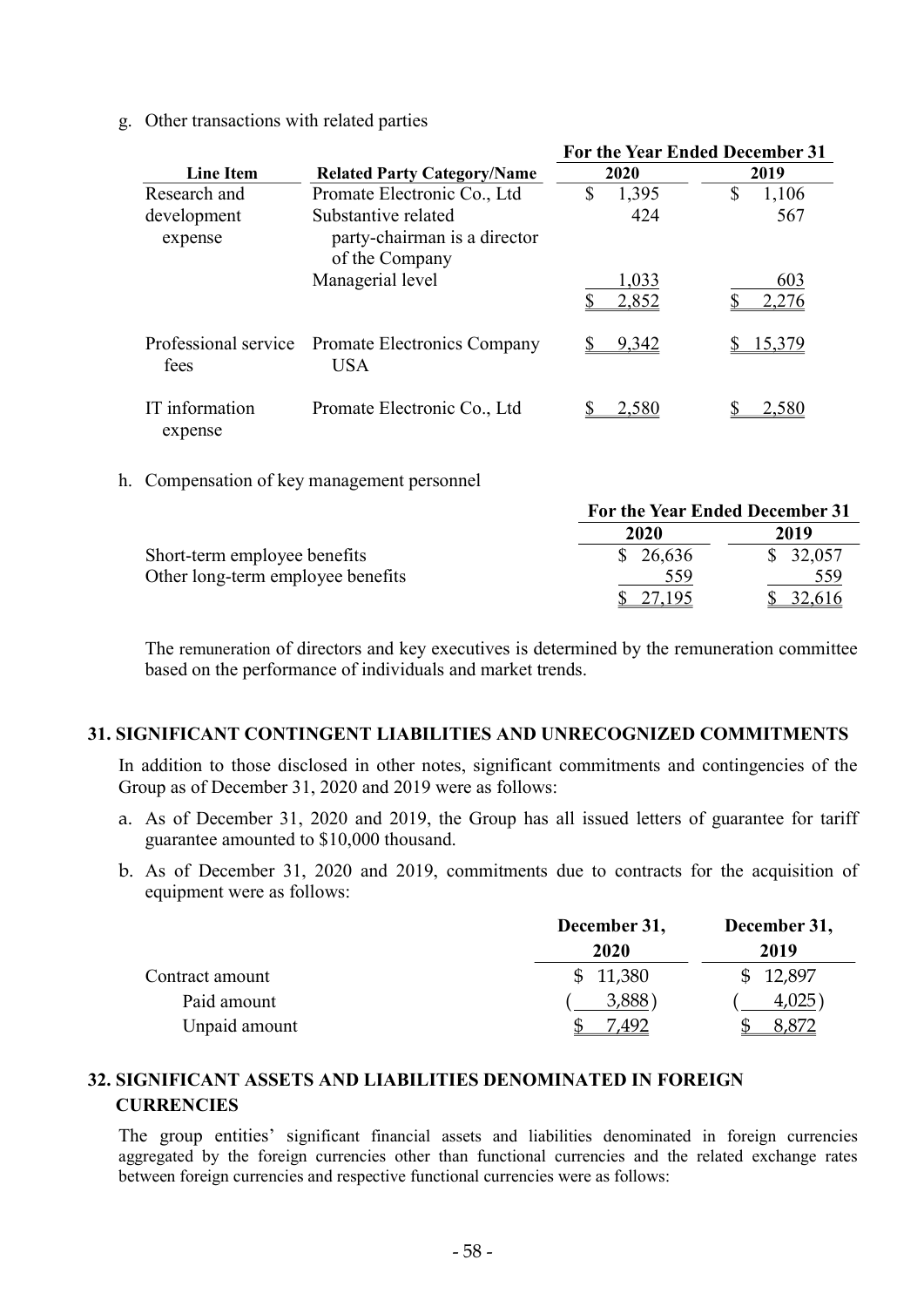g. Other transactions with related parties

|                           |                                                                       | <b>For the Year Ended December 31</b> |              |
|---------------------------|-----------------------------------------------------------------------|---------------------------------------|--------------|
| <b>Line Item</b>          | <b>Related Party Category/Name</b>                                    | 2020                                  | 2019         |
| Research and              | Promate Electronic Co., Ltd                                           | \$<br>1,395                           | \$<br>1,106  |
| development<br>expense    | Substantive related<br>party-chairman is a director<br>of the Company | 424                                   | 567          |
|                           | Managerial level                                                      | 1,033<br>2,852                        | 603<br>2,276 |
| fees                      | Professional service Promate Electronics Company<br><b>USA</b>        | 9,342                                 | 15.379       |
| IT information<br>expense | Promate Electronic Co., Ltd                                           | 2.580                                 |              |

h. Compensation of key management personnel

|                                   | For the Year Ended December 31 |          |
|-----------------------------------|--------------------------------|----------|
|                                   | 2020                           | 2019     |
| Short-term employee benefits      | \$26,636                       | \$32,057 |
| Other long-term employee benefits | 559                            | 559      |
|                                   | 27.195                         | 32,616   |

The remuneration of directors and key executives is determined by the remuneration committee based on the performance of individuals and market trends.

#### 31. SIGNIFICANT CONTINGENT LIABILITIES AND UNRECOGNIZED COMMITMENTS

In addition to those disclosed in other notes, significant commitments and contingencies of the Group as of December 31, 2020 and 2019 were as follows:

- a. As of December 31, 2020 and 2019, the Group has all issued letters of guarantee for tariff guarantee amounted to \$10,000 thousand.
- b. As of December 31, 2020 and 2019, commitments due to contracts for the acquisition of equipment were as follows:

|                 | December 31, | December 31, |
|-----------------|--------------|--------------|
|                 | 2020         | 2019         |
| Contract amount | \$11,380     | \$12,897     |
| Paid amount     | 3,888        | 4,025        |
| Unpaid amount   |              |              |

# 32. SIGNIFICANT ASSETS AND LIABILITIES DENOMINATED IN FOREIGN **CURRENCIES**

The group entities' significant financial assets and liabilities denominated in foreign currencies aggregated by the foreign currencies other than functional currencies and the related exchange rates between foreign currencies and respective functional currencies were as follows: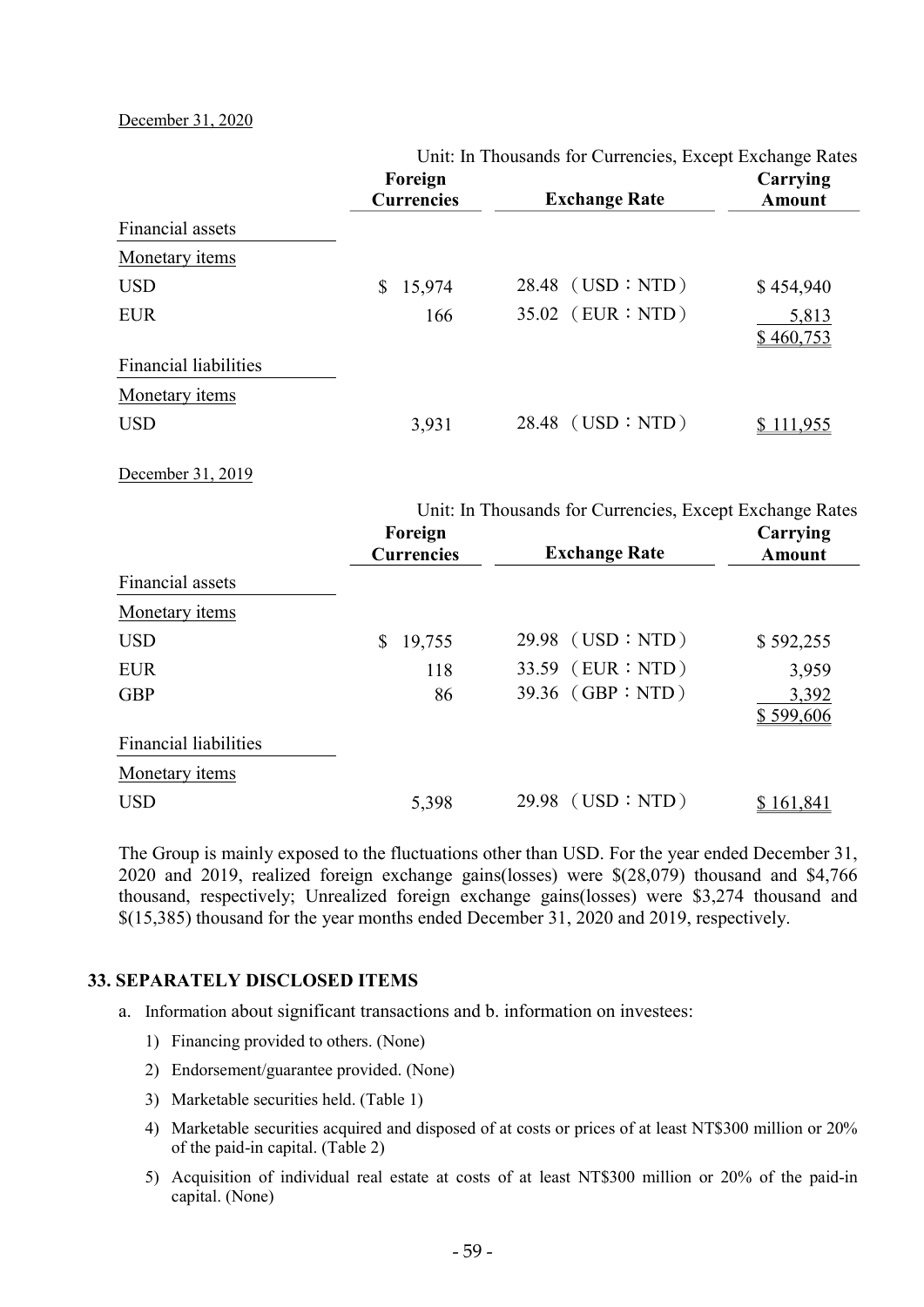December 31, 2020

|                              | Unit: In Thousands for Currencies, Except Exchange Rates |                                                          |                           |
|------------------------------|----------------------------------------------------------|----------------------------------------------------------|---------------------------|
|                              | Foreign<br><b>Currencies</b>                             | <b>Exchange Rate</b>                                     | Carrying<br><b>Amount</b> |
| Financial assets             |                                                          |                                                          |                           |
| <b>Monetary</b> items        |                                                          |                                                          |                           |
| <b>USD</b>                   | 15,974<br>$\mathbb{S}$                                   | $28.48$ (USD : NTD)                                      | \$454,940                 |
| <b>EUR</b>                   | 166                                                      | 35.02 (EUR : NTD)                                        | 5,813                     |
|                              |                                                          |                                                          | \$460,753                 |
| <b>Financial liabilities</b> |                                                          |                                                          |                           |
| Monetary items               |                                                          |                                                          |                           |
| <b>USD</b>                   | 3,931                                                    | 28.48 (USD : NTD)                                        | \$111,955                 |
| December 31, 2019            |                                                          |                                                          |                           |
|                              |                                                          | Unit: In Thousands for Currencies, Except Exchange Rates |                           |
|                              | Foreign                                                  |                                                          | Carrying                  |
|                              | <b>Currencies</b>                                        | <b>Exchange Rate</b>                                     | <b>Amount</b>             |
| Financial assets             |                                                          |                                                          |                           |
| Monetary items               |                                                          |                                                          |                           |
| <b>USD</b>                   | 19,755<br>\$                                             | 29.98 (USD : NTD)                                        | \$592,255                 |
| <b>EUR</b>                   | 118                                                      | 33.59 (EUR : NTD)                                        | 3,959                     |
| <b>GBP</b>                   | 86                                                       | 39.36 (GBP : NTD)                                        | 3,392                     |
|                              |                                                          |                                                          | \$599,606                 |
| <b>Financial liabilities</b> |                                                          |                                                          |                           |
| Monetary items               |                                                          |                                                          |                           |
| <b>USD</b>                   | 5,398                                                    | 29.98 (USD : NTD)                                        | \$161,841                 |

The Group is mainly exposed to the fluctuations other than USD. For the year ended December 31, 2020 and 2019, realized foreign exchange gains(losses) were \$(28,079) thousand and \$4,766 thousand, respectively; Unrealized foreign exchange gains(losses) were \$3,274 thousand and \$(15,385) thousand for the year months ended December 31, 2020 and 2019, respectively.

### 33. SEPARATELY DISCLOSED ITEMS

- a. Information about significant transactions and b. information on investees:
	- 1) Financing provided to others. (None)
	- 2) Endorsement/guarantee provided. (None)
	- 3) Marketable securities held. (Table 1)
	- 4) Marketable securities acquired and disposed of at costs or prices of at least NT\$300 million or 20% of the paid-in capital. (Table 2)
	- 5) Acquisition of individual real estate at costs of at least NT\$300 million or 20% of the paid-in capital. (None)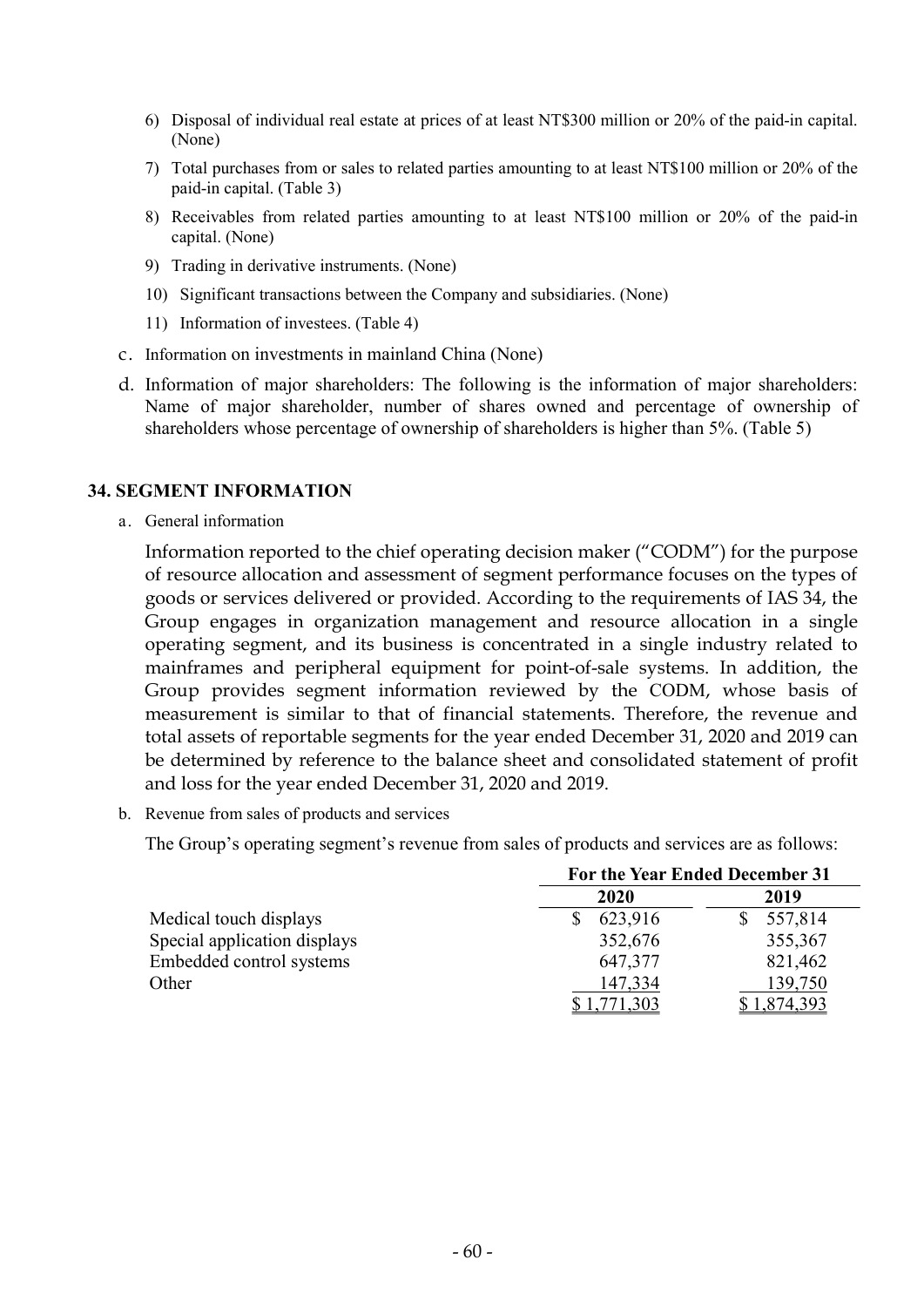- 6) Disposal of individual real estate at prices of at least NT\$300 million or 20% of the paid-in capital. (None)
- 7) Total purchases from or sales to related parties amounting to at least NT\$100 million or 20% of the paid-in capital. (Table 3)
- 8) Receivables from related parties amounting to at least NT\$100 million or 20% of the paid-in capital. (None)
- 9) Trading in derivative instruments. (None)
- 10) Significant transactions between the Company and subsidiaries. (None)
- 11) Information of investees. (Table 4)
- c. Information on investments in mainland China (None)
- d. Information of major shareholders: The following is the information of major shareholders: Name of major shareholder, number of shares owned and percentage of ownership of shareholders whose percentage of ownership of shareholders is higher than 5%. (Table 5)

#### 34. SEGMENT INFORMATION

a. General information

Information reported to the chief operating decision maker ("CODM") for the purpose of resource allocation and assessment of segment performance focuses on the types of goods or services delivered or provided. According to the requirements of IAS 34, the Group engages in organization management and resource allocation in a single operating segment, and its business is concentrated in a single industry related to mainframes and peripheral equipment for point-of-sale systems. In addition, the Group provides segment information reviewed by the CODM, whose basis of measurement is similar to that of financial statements. Therefore, the revenue and total assets of reportable segments for the year ended December 31, 2020 and 2019 can be determined by reference to the balance sheet and consolidated statement of profit and loss for the year ended December 31, 2020 and 2019.

b. Revenue from sales of products and services

The Group's operating segment's revenue from sales of products and services are as follows:

|                              | For the Year Ended December 31 |           |
|------------------------------|--------------------------------|-----------|
|                              | 2020                           | 2019      |
| Medical touch displays       | 623,916                        | 557,814   |
| Special application displays | 352,676                        | 355,367   |
| Embedded control systems     | 647,377                        | 821,462   |
| Other                        | 147,334                        | 139,750   |
|                              | <u>\$1,771,303</u>             | 1,874,393 |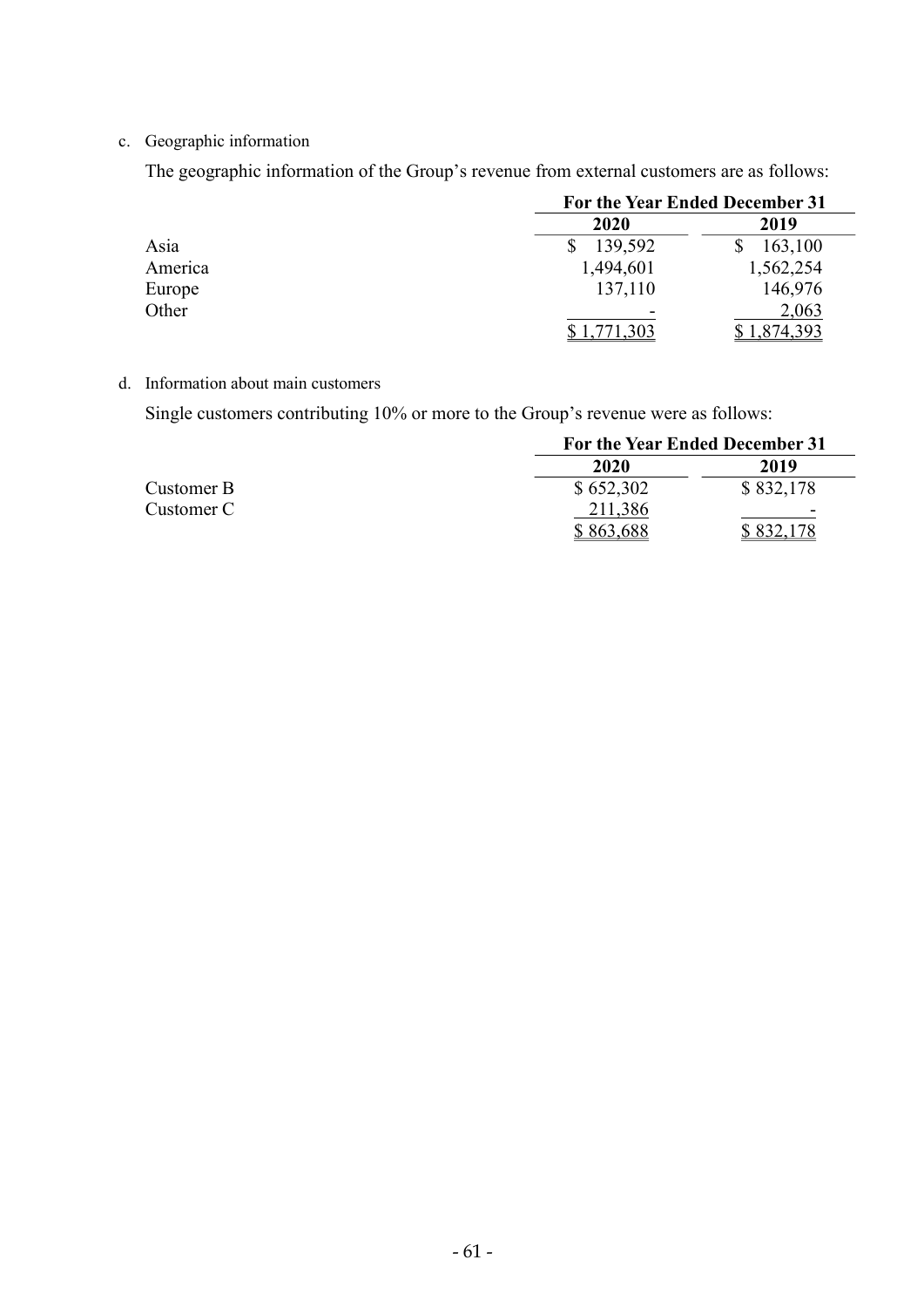c. Geographic information

The geographic information of the Group's revenue from external customers are as follows:

|         | For the Year Ended December 31 |           |
|---------|--------------------------------|-----------|
|         | 2020                           | 2019      |
| Asia    | 139,592                        | 163,100   |
| America | 1,494,601                      | 1,562,254 |
| Europe  | 137,110                        | 146,976   |
| Other   |                                | 2,063     |
|         | ,771,303                       | 1,874,393 |

d. Information about main customers

Single customers contributing 10% or more to the Group's revenue were as follows:

|            | For the Year Ended December 31 |           |  |  |  |
|------------|--------------------------------|-----------|--|--|--|
|            | 2020                           | 2019      |  |  |  |
| Customer B | \$652,302                      | \$832,178 |  |  |  |
| Customer C | 211,386                        | -         |  |  |  |
|            | \$863,688                      | 78        |  |  |  |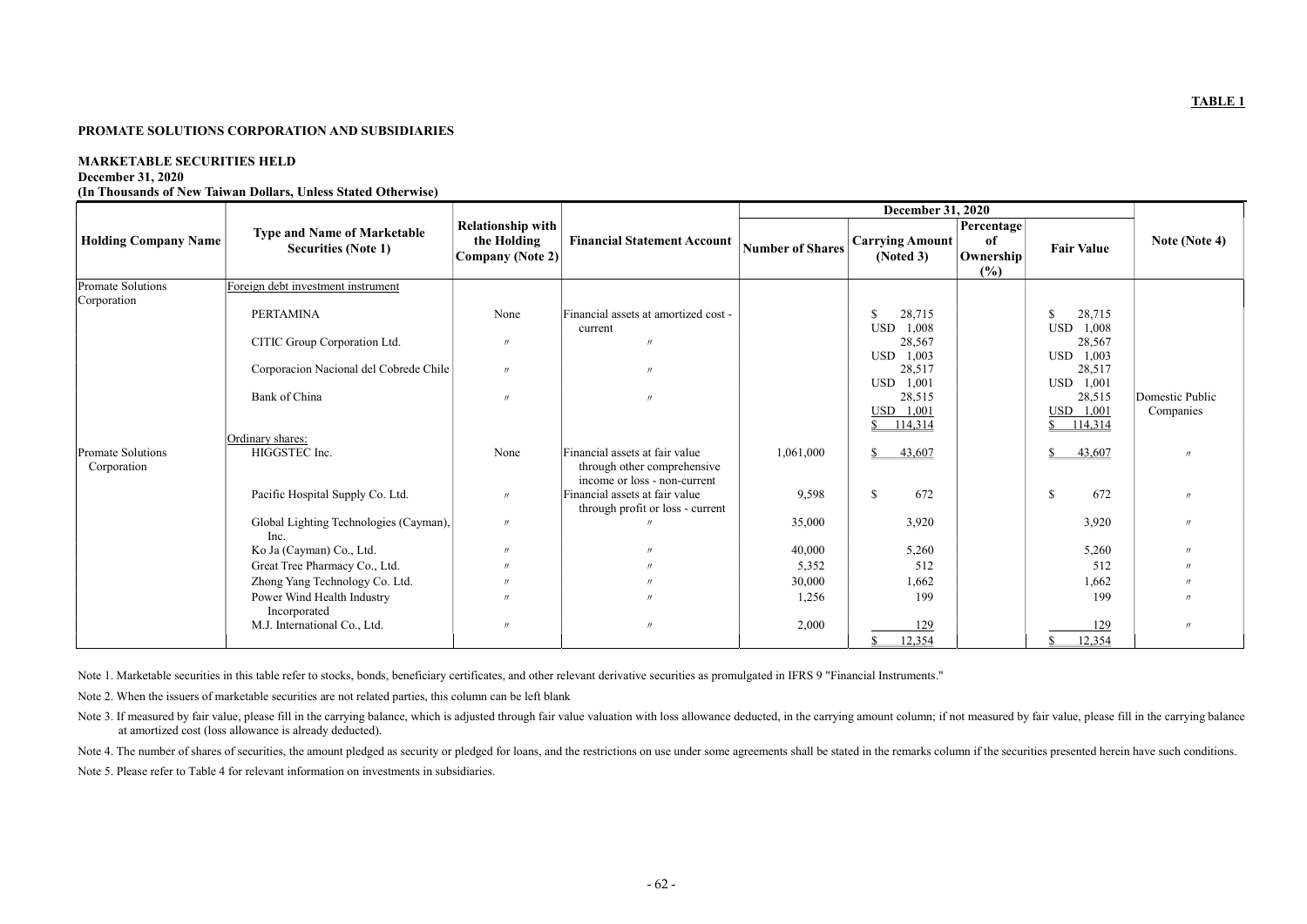#### PROMATE SOLUTIONS CORPORATION AND SUBSIDIARIES

#### MARKETABLE SECURITIES HELD

#### December 31, 2020

(In Thousands of New Taiwan Dollars, Unless Stated Otherwise)

|                                         | <b>Type and Name of Marketable</b>             | <b>Relationship with</b>        |                                                                                               |                         |                                     | Percentage      |                               |                   |
|-----------------------------------------|------------------------------------------------|---------------------------------|-----------------------------------------------------------------------------------------------|-------------------------|-------------------------------------|-----------------|-------------------------------|-------------------|
| <b>Holding Company Name</b>             | <b>Securities (Note 1)</b>                     | the Holding<br>Company (Note 2) | <b>Financial Statement Account</b>                                                            | <b>Number of Shares</b> | <b>Carrying Amount</b><br>(Noted 3) | of<br>Ownership | <b>Fair Value</b>             | Note (Note 4)     |
|                                         |                                                |                                 |                                                                                               |                         |                                     | (%)             |                               |                   |
| Promate Solutions                       | Foreign debt investment instrument             |                                 |                                                                                               |                         |                                     |                 |                               |                   |
| Corporation                             | <b>PERTAMINA</b>                               | None                            | Financial assets at amortized cost -                                                          |                         | 28,715<br><sup>\$</sup>             |                 | 28,715<br><sup>\$</sup>       |                   |
|                                         |                                                |                                 | current                                                                                       |                         | 1,008<br><b>USD</b>                 |                 | 1,008<br><b>USD</b>           |                   |
|                                         | CITIC Group Corporation Ltd.                   | $^{\prime\prime}$               |                                                                                               |                         | 28,567                              |                 | 28,567                        |                   |
|                                         |                                                |                                 |                                                                                               |                         | USD 1,003                           |                 | 1,003<br><b>USD</b>           |                   |
|                                         | Corporacion Nacional del Cobrede Chile         | $^{\prime\prime}$               | $^{\prime\prime}$                                                                             |                         | 28,517                              |                 | 28,517                        |                   |
|                                         | Bank of China                                  | $^{\prime\prime}$               | $\prime$                                                                                      |                         | USD 1,001<br>28,515                 |                 | 1,001<br><b>USD</b><br>28,515 | Domestic Public   |
|                                         |                                                |                                 |                                                                                               |                         | USD 1,001                           |                 | USD 1,001                     | Companies         |
|                                         |                                                |                                 |                                                                                               |                         | 114,314<br>S.                       |                 | 114,314<br>\$.                |                   |
|                                         | Ordinary shares:                               |                                 |                                                                                               |                         |                                     |                 |                               |                   |
| <b>Promate Solutions</b><br>Corporation | HIGGSTEC Inc.                                  | None                            | Financial assets at fair value<br>through other comprehensive<br>income or loss - non-current | 1,061,000               | 43,607<br>$\mathbb{S}$              |                 | 43,607<br>\$                  | $^{\prime\prime}$ |
|                                         | Pacific Hospital Supply Co. Ltd.               | $^{\prime\prime}$               | Financial assets at fair value                                                                | 9,598                   | $\mathbb{S}$<br>672                 |                 | 672<br>$\mathbb{S}$           | $^{\prime\prime}$ |
|                                         |                                                |                                 | through profit or loss - current                                                              |                         |                                     |                 |                               |                   |
|                                         | Global Lighting Technologies (Cayman),<br>Inc. | $^{\prime\prime}$               |                                                                                               | 35,000                  | 3,920                               |                 | 3,920                         | $^{\prime\prime}$ |
|                                         | Ko Ja (Cayman) Co., Ltd.                       | $^{\prime\prime}$               |                                                                                               | 40,000                  | 5,260                               |                 | 5,260                         | $^{\prime\prime}$ |
|                                         | Great Tree Pharmacy Co., Ltd.                  | $^{\prime\prime}$               |                                                                                               | 5,352                   | 512                                 |                 | 512                           |                   |
|                                         | Zhong Yang Technology Co. Ltd.                 | $^{\prime\prime}$               |                                                                                               | 30,000                  | 1,662                               |                 | 1,662                         | $^{\prime\prime}$ |
|                                         | Power Wind Health Industry                     | $^{\prime\prime}$               |                                                                                               | 1,256                   | 199                                 |                 | 199                           | $^{\prime\prime}$ |
|                                         | Incorporated                                   |                                 |                                                                                               |                         |                                     |                 |                               |                   |
|                                         | M.J. International Co., Ltd.                   | $^{\prime\prime}$               | $\prime$                                                                                      | 2,000                   | 129                                 |                 | 129                           | $^{\prime\prime}$ |
|                                         |                                                |                                 |                                                                                               |                         | 12,354                              |                 | 12,354                        |                   |

Note 1. Marketable securities in this table refer to stocks, bonds, beneficiary certificates, and other relevant derivative securities as promulgated in IFRS 9 "Financial Instruments."

Note 2. When the issuers of marketable securities are not related parties, this column can be left blank

Note 3. If measured by fair value, please fill in the carrying balance, which is adjusted through fair value valuation with loss allowance deducted, in the carrying amount column; if not measured by fair value, please fill at amortized cost (loss allowance is already deducted). Note 4. The number of shares of securities, the amount pledged as security or pledged for loans, and the restrictions on use under some agreements shall be stated in the remarks column if the securities presented herein ha

Note 5. Please refer to Table 4 for relevant information on investments in subsidiaries.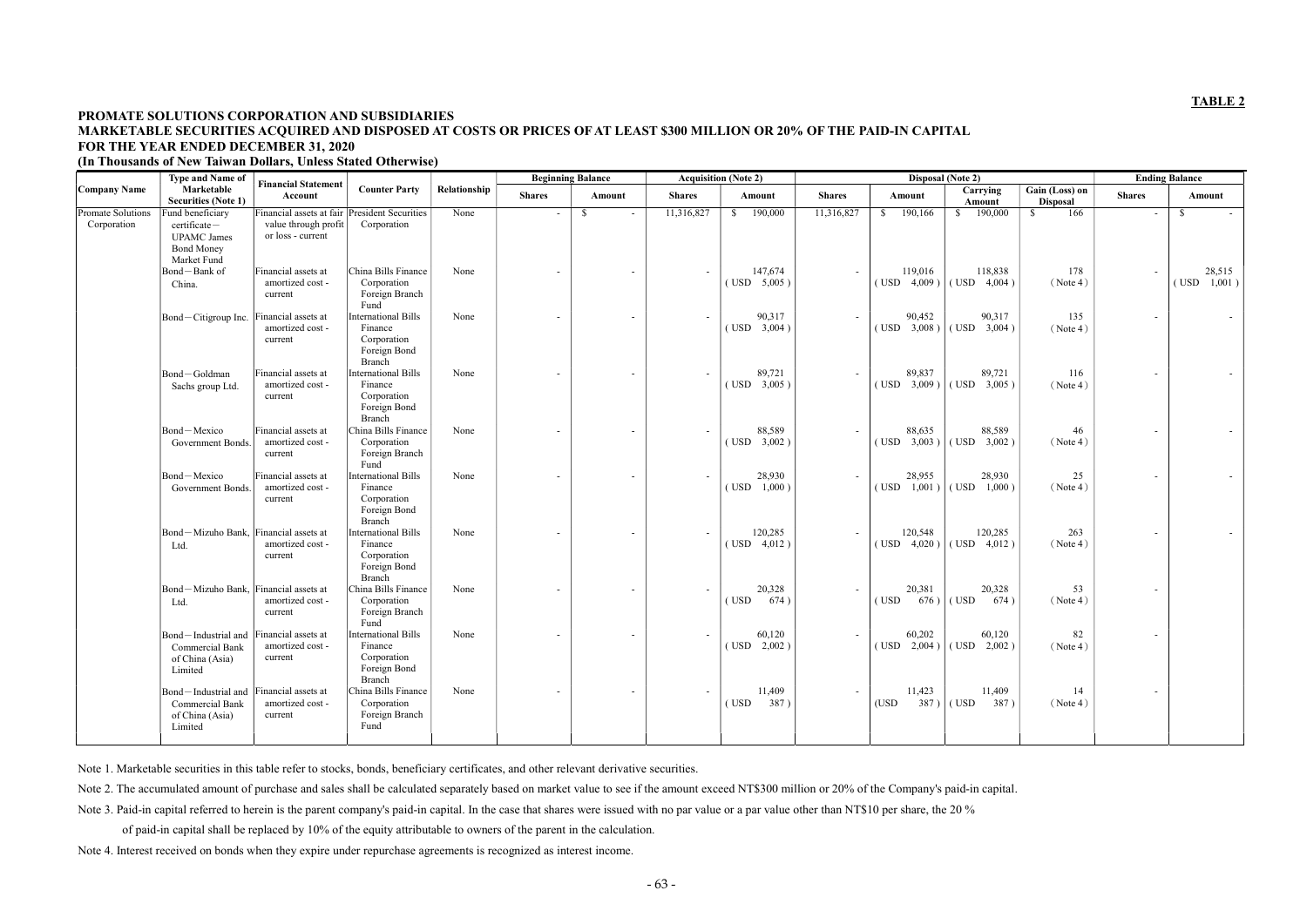# PROMATE SOLUTIONS CORPORATION AND SUBSIDIARIES MARKETABLE SECURITIES ACQUIRED AND DISPOSED AT COSTS OR PRICES OF AT LEAST \$300 MILLION OR 20% OF THE PAID-IN CAPITAL FOR THE YEAR ENDED DECEMBER 31, 2020

(In Thousands of New Taiwan Dollars, Unless Stated Otherwise)

|                                  | <b>Type and Name of</b>                                                     | <b>Financial Statement</b>                                                                 |                                                                                |              | <b>Beginning Balance</b> |                          | <b>Acquisition (Note 2)</b><br>Disposal (Note 2) |                              |                          |                              | <b>Ending Balance</b>         |                                   |                          |                           |
|----------------------------------|-----------------------------------------------------------------------------|--------------------------------------------------------------------------------------------|--------------------------------------------------------------------------------|--------------|--------------------------|--------------------------|--------------------------------------------------|------------------------------|--------------------------|------------------------------|-------------------------------|-----------------------------------|--------------------------|---------------------------|
| <b>Company Name</b>              | Marketable<br><b>Securities (Note 1)</b>                                    | Account                                                                                    | <b>Counter Party</b>                                                           | Relationship | <b>Shares</b>            | Amount                   | <b>Shares</b>                                    | Amount                       | <b>Shares</b>            | Amount                       | Carrying<br>Amount            | Gain (Loss) on<br><b>Disposal</b> | <b>Shares</b>            | Amount                    |
| Promate Solutions<br>Corporation | Fund beneficiary<br>certificate-<br><b>UPAMC</b> James<br><b>Bond Money</b> | Financial assets at fair President Securities<br>value through profit<br>or loss - current | Corporation                                                                    | None         |                          | <sup>S</sup>             | 11,316,827                                       | 190,000<br>$\mathbb{S}$      | 11,316,827               | \$190,166                    | $\frac{190,000}{2}$           | 166<br><sup>S</sup>               | $\overline{\phantom{a}}$ | <sup>S</sup><br>$\sim$    |
|                                  | Market Fund<br>Bond-Bank of<br>China.                                       | Financial assets at<br>amortized cost -<br>current                                         | China Bills Finance<br>Corporation<br>Foreign Branch<br>Fund                   | None         |                          | $\overline{a}$           | $\overline{\phantom{a}}$                         | 147,674<br>$($ USD $5,005)$  |                          | 119,016<br>$($ USD $4,009$ ) | 118,838<br>$($ USD $4,004)$   | 178<br>(Note 4)                   |                          | 28,515<br>1,001)<br>(USD) |
|                                  | Bond-Citigroup Inc.                                                         | Financial assets at<br>amortized cost -<br>current                                         | <b>International Bills</b><br>Finance<br>Corporation<br>Foreign Bond<br>Branch | None         |                          | $\overline{\phantom{a}}$ | $\overline{\phantom{a}}$                         | 90,317<br>$($ USD $-3,004)$  |                          | 90,452<br>(USD 3,008)        | 90,317<br>$($ USD $3,004)$    | 135<br>(Note 4)                   | $\overline{\phantom{a}}$ |                           |
|                                  | Bond-Goldman<br>Sachs group Ltd.                                            | Financial assets at<br>amortized cost -<br>current                                         | <b>International Bills</b><br>Finance<br>Corporation<br>Foreign Bond<br>Branch | None         | $\overline{\phantom{a}}$ | $\overline{\phantom{a}}$ | $\overline{\phantom{a}}$                         | 89,721<br>$($ USD $-3,005)$  | $\overline{\phantom{a}}$ | 89,837<br>(USD 3,009)        | 89,721<br>$($ USD $-3,005)$   | 116<br>(Note 4)                   | $\overline{\phantom{a}}$ |                           |
|                                  | Bond-Mexico<br>Government Bonds.                                            | Financial assets at<br>amortized cost -<br>current                                         | China Bills Finance<br>Corporation<br>Foreign Branch<br>Fund                   | None         |                          |                          | $\overline{\phantom{a}}$                         | 88,589<br>$($ USD $-3,002)$  |                          | 88,635<br>$($ USD $3,003)$   | 88,589<br>$($ USD $-3,002)$   | 46<br>(Note 4)                    |                          |                           |
|                                  | Bond-Mexico<br>Government Bonds.                                            | Financial assets at<br>amortized cost -<br>current                                         | <b>International Bills</b><br>Finance<br>Corporation<br>Foreign Bond<br>Branch | None         |                          | $\overline{\phantom{a}}$ | $\overline{\phantom{a}}$                         | 28,930<br>$($ USD $1,000$ )  |                          | 28,955<br>$($ USD $1,001$ )  | 28,930<br>$($ USD $1,000$ )   | 25<br>(Note 4)                    |                          |                           |
|                                  | Bond-Mizuho Bank, Financial assets at<br>Ltd.                               | amortized cost -<br>current                                                                | <b>International Bills</b><br>Finance<br>Corporation<br>Foreign Bond<br>Branch | None         |                          |                          | $\overline{\phantom{a}}$                         | 120,285<br>$($ USD $-4,012)$ |                          | 120,548<br>(USD 4,020)       | 120,285<br>$($ USD $-4,012)$  | 263<br>(Note 4)                   |                          |                           |
|                                  | Bond-Mizuho Bank,<br>Ltd.                                                   | Financial assets at<br>amortized cost -<br>current                                         | China Bills Finance<br>Corporation<br>Foreign Branch<br>Fund                   | None         |                          | $\overline{a}$           | $\overline{\phantom{a}}$                         | 20,328<br>(USD)<br>674)      |                          | 20,381<br>(USD)<br>676)      | 20,328<br>(USD<br>674)        | 53<br>(Note 4)                    |                          |                           |
|                                  | Bond-Industrial and<br>Commercial Bank<br>of China (Asia)<br>Limited        | Financial assets at<br>amortized cost -<br>current                                         | <b>International Bills</b><br>Finance<br>Corporation<br>Foreign Bond<br>Branch | None         |                          | $\overline{\phantom{a}}$ | $\overline{\phantom{a}}$                         | 60,120<br>$($ USD $2,002$ )  |                          | 60,202<br>$($ USD $2,004$ )  | 60,120<br>$($ USD $2,002$ )   | 82<br>(Note 4)                    |                          |                           |
|                                  | Bond-Industrial and<br>Commercial Bank<br>of China (Asia)<br>Limited        | Financial assets at<br>amortized cost -<br>current                                         | China Bills Finance<br>Corporation<br>Foreign Branch<br>Fund                   | None         | $\overline{\phantom{a}}$ | $\overline{\phantom{a}}$ | $\overline{\phantom{a}}$                         | 11,409<br>387)<br>(USD)      |                          | 11,423<br>(USD)              | 11,409<br>$387)$ (USD<br>387) | 14<br>(Note 4)                    | $\overline{\phantom{a}}$ |                           |

Note 1. Marketable securities in this table refer to stocks, bonds, beneficiary certificates, and other relevant derivative securities.

Note 2. The accumulated amount of purchase and sales shall be calculated separately based on market value to see if the amount exceed NT\$300 million or 20% of the Company's paid-in capital.

Note 3. Paid-in capital referred to herein is the parent company's paid-in capital. In the case that shares were issued with no par value or a par value other than NT\$10 per share, the 20 %

of paid-in capital shall be replaced by 10% of the equity attributable to owners of the parent in the calculation.

Note 4. Interest received on bonds when they expire under repurchase agreements is recognized as interest income.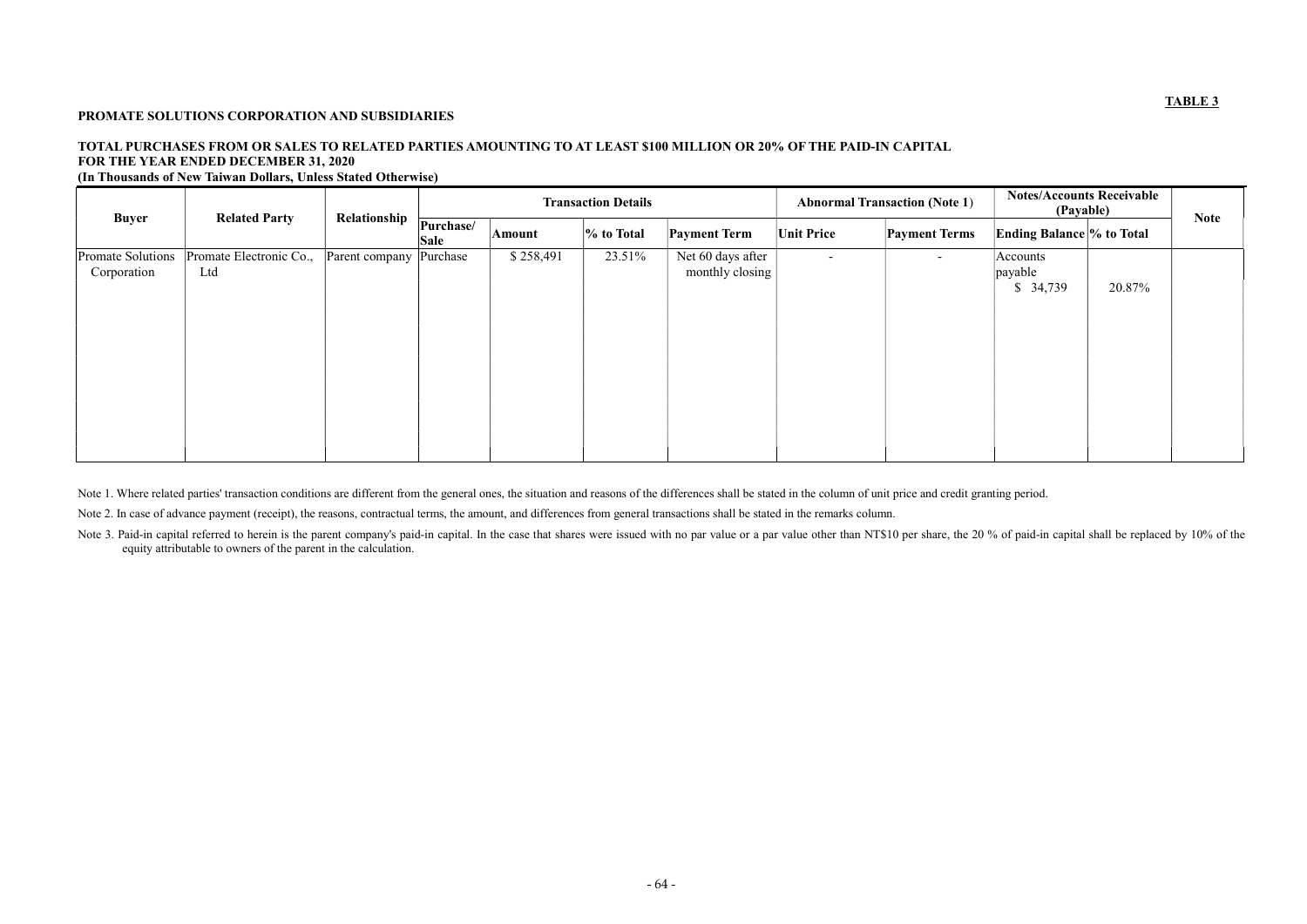### PROMATE SOLUTIONS CORPORATION AND SUBSIDIARIES

# TOTAL PURCHASES FROM OR SALES TO RELATED PARTIES AMOUNTING TO AT LEAST \$100 MILLION OR 20% OF THE PAID-IN CAPITAL FOR THE YEAR ENDED DECEMBER 31, 2020

(In Thousands of New Taiwan Dollars, Unless Stated Otherwise)

|                                  |                                |                | <b>Transaction Details</b> |               |               |                                      | <b>Abnormal Transaction (Note 1)</b> |                      | <b>Notes/Accounts Receivable</b><br>(Payable) | <b>Note</b> |  |
|----------------------------------|--------------------------------|----------------|----------------------------|---------------|---------------|--------------------------------------|--------------------------------------|----------------------|-----------------------------------------------|-------------|--|
| <b>Buyer</b>                     | <b>Related Party</b>           | Relationship   | Purchase/<br><b>Sale</b>   | <b>Amount</b> | $\%$ to Total | <b>Payment Term</b>                  | <b>Unit Price</b>                    | <b>Payment Terms</b> | <b>Ending Balance % to Total</b>              |             |  |
| Promate Solutions<br>Corporation | Promate Electronic Co.,<br>Ltd | Parent company | Purchase                   | \$258,491     | 23.51%        | Net 60 days after<br>monthly closing | $\sim$                               | $\sim$               | Accounts<br>$ \text{payable} $<br>\$34,739    | 20.87%      |  |

Note 1. Where related parties' transaction conditions are different from the general ones, the situation and reasons of the differences shall be stated in the column of unit price and credit granting period.

Note 3. Paid-in capital referred to herein is the parent company's paid-in capital. In the case that shares were issued with no par value or a par value other than NT\$10 per share, the 20 % of paid-in capital shall be repl equity attributable to owners of the parent in the calculation.

Note 2. In case of advance payment (receipt), the reasons, contractual terms, the amount, and differences from general transactions shall be stated in the remarks column.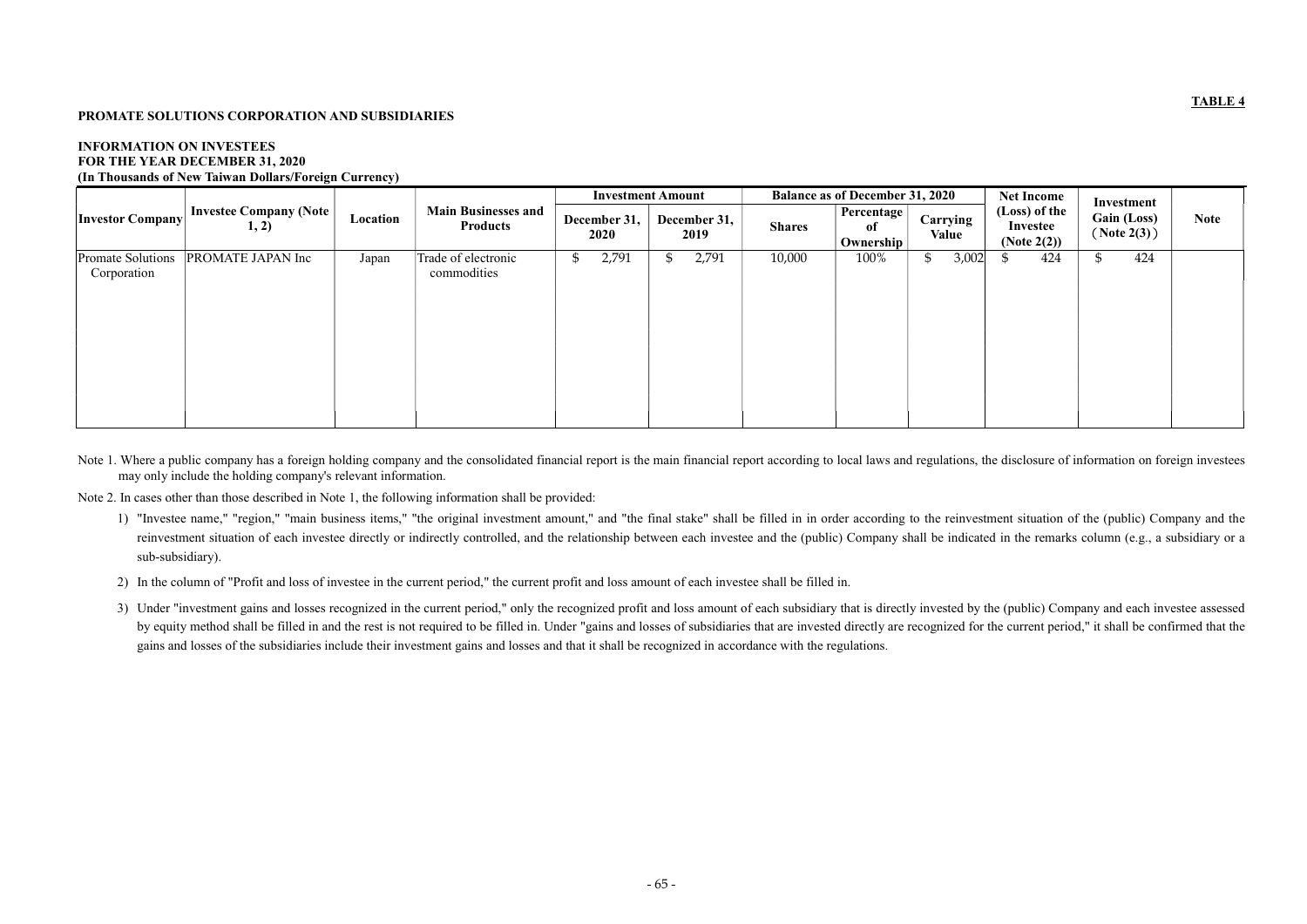### PROMATE SOLUTIONS CORPORATION AND SUBSIDIARIES

#### INFORMATION ON INVESTEES FOR THE YEAR DECEMBER 31, 2020 (In Thousands of New Taiwan Dollars/Foreign Currency)

|                                         |                                        |          |                                               | <b>Investment Amount</b> |                      | <b>Balance as of December 31, 2020</b> |                               | <b>Net Income</b>        | Investment                                  |                                    |             |
|-----------------------------------------|----------------------------------------|----------|-----------------------------------------------|--------------------------|----------------------|----------------------------------------|-------------------------------|--------------------------|---------------------------------------------|------------------------------------|-------------|
| <b>Investor Company</b>                 | <b>Investee Company (Note</b><br>1, 2) | Location | <b>Main Businesses and</b><br><b>Products</b> | December 31,<br>2020     | December 31,<br>2019 | <b>Shares</b>                          | Percentage<br>of<br>Ownership | Carrying<br><b>Value</b> | (Loss) of the<br>Investee<br>(Note $2(2)$ ) | <b>Gain (Loss)</b><br>( Note 2(3)) | <b>Note</b> |
| <b>Promate Solutions</b><br>Corporation | PROMATE JAPAN Inc                      | Japan    | Trade of electronic<br>commodities            | 2,791<br>\$              | 2,791<br>D           | 10,000                                 | 100%                          | 3,002<br>J.              | 424                                         | 424<br>৾৾                          |             |

Note 1. Where a public company has a foreign holding company and the consolidated financial report is the main financial report according to local laws and regulations, the disclosure of information on foreign investees may only include the holding company's relevant information.

Note 2. In cases other than those described in Note 1, the following information shall be provided:

- 1) "Investee name," "region," "main business items," "the original investment amount," and "the final stake" shall be filled in in order according to the reinvestment situation of the (public) Company and the reinvestment situation of each investee directly or indirectly controlled, and the relationship between each investee and the (public) Company shall be indicated in the remarks column (e.g., a subsidiary or a sub-subsidiary).
- 2) In the column of "Profit and loss of investee in the current period," the current profit and loss amount of each investee shall be filled in.
- 3) Under "investment gains and losses recognized in the current period," only the recognized profit and loss amount of each subsidiary that is directly invested by the (public) Company and each investee assessed by equity method shall be filled in and the rest is not required to be filled in. Under "gains and losses of subsidiaries that are invested directly are recognized for the current period," it shall be confirmed that the gains and losses of the subsidiaries include their investment gains and losses and that it shall be recognized in accordance with the regulations.